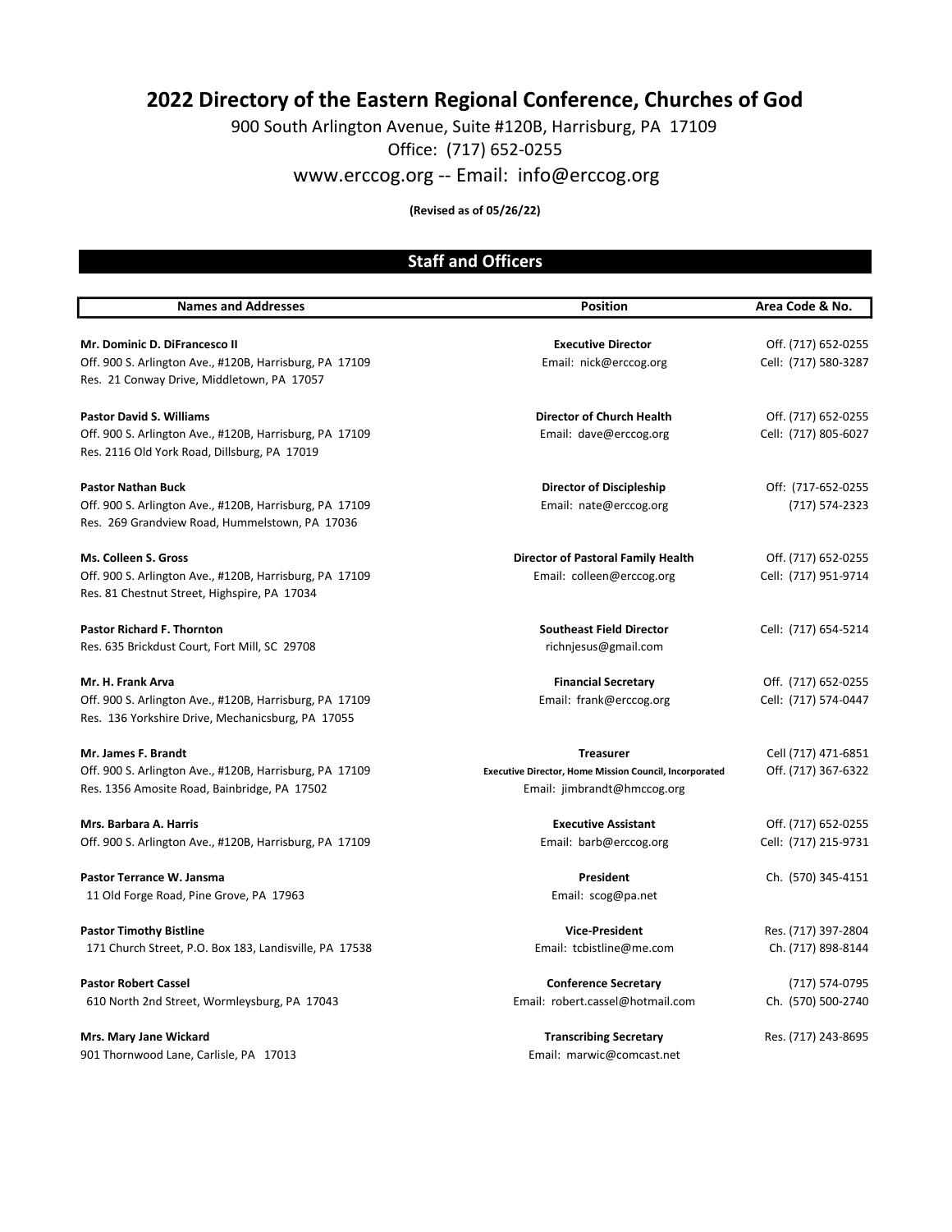# 2022 Directory of the Eastern Regional Conference, Churches of God

900 South Arlington Avenue, Suite #120B, Harrisburg, PA 17109

Office: (717) 652-0255

www.erccog.org -- Email: info@erccog.org

#### (Revised as of 05/26/22)

## Staff and Officers

| <b>Names and Addresses</b>                              | <b>Position</b>                                               | Area Code & No.      |
|---------------------------------------------------------|---------------------------------------------------------------|----------------------|
|                                                         |                                                               |                      |
| Mr. Dominic D. DiFrancesco II                           | <b>Executive Director</b>                                     | Off. (717) 652-0255  |
| Off. 900 S. Arlington Ave., #120B, Harrisburg, PA 17109 | Email: nick@erccog.org                                        | Cell: (717) 580-3287 |
| Res. 21 Conway Drive, Middletown, PA 17057              |                                                               |                      |
| <b>Pastor David S. Williams</b>                         | <b>Director of Church Health</b>                              | Off. (717) 652-0255  |
| Off. 900 S. Arlington Ave., #120B, Harrisburg, PA 17109 | Email: dave@erccog.org                                        | Cell: (717) 805-6027 |
| Res. 2116 Old York Road, Dillsburg, PA 17019            |                                                               |                      |
| <b>Pastor Nathan Buck</b>                               | Director of Discipleship                                      | Off: (717-652-0255)  |
| Off. 900 S. Arlington Ave., #120B, Harrisburg, PA 17109 | Email: nate@erccog.org                                        | (717) 574-2323       |
| Res. 269 Grandview Road, Hummelstown, PA 17036          |                                                               |                      |
| Ms. Colleen S. Gross                                    | <b>Director of Pastoral Family Health</b>                     | Off. (717) 652-0255  |
| Off. 900 S. Arlington Ave., #120B, Harrisburg, PA 17109 | Email: colleen@erccog.org                                     | Cell: (717) 951-9714 |
| Res. 81 Chestnut Street, Highspire, PA 17034            |                                                               |                      |
| <b>Pastor Richard F. Thornton</b>                       | <b>Southeast Field Director</b>                               | Cell: (717) 654-5214 |
| Res. 635 Brickdust Court, Fort Mill, SC 29708           | richnjesus@gmail.com                                          |                      |
| Mr. H. Frank Arva                                       | <b>Financial Secretary</b>                                    | Off. (717) 652-0255  |
| Off. 900 S. Arlington Ave., #120B, Harrisburg, PA 17109 | Email: frank@erccog.org                                       | Cell: (717) 574-0447 |
| Res. 136 Yorkshire Drive, Mechanicsburg, PA 17055       |                                                               |                      |
| Mr. James F. Brandt                                     | <b>Treasurer</b>                                              | Cell (717) 471-6851  |
| Off. 900 S. Arlington Ave., #120B, Harrisburg, PA 17109 | <b>Executive Director, Home Mission Council, Incorporated</b> | Off. (717) 367-6322  |
| Res. 1356 Amosite Road, Bainbridge, PA 17502            | Email: jimbrandt@hmccog.org                                   |                      |
| Mrs. Barbara A. Harris                                  | <b>Executive Assistant</b>                                    | Off. (717) 652-0255  |
| Off. 900 S. Arlington Ave., #120B, Harrisburg, PA 17109 | Email: barb@erccog.org                                        | Cell: (717) 215-9731 |
| Pastor Terrance W. Jansma                               | <b>President</b>                                              | Ch. (570) 345-4151   |
| 11 Old Forge Road, Pine Grove, PA 17963                 | Email: scog@pa.net                                            |                      |
| <b>Pastor Timothy Bistline</b>                          | <b>Vice-President</b>                                         | Res. (717) 397-2804  |
| 171 Church Street, P.O. Box 183, Landisville, PA 17538  | Email: tcbistline@me.com                                      | Ch. (717) 898-8144   |
| <b>Pastor Robert Cassel</b>                             | <b>Conference Secretary</b>                                   | (717) 574-0795       |
| 610 North 2nd Street, Wormleysburg, PA 17043            | Email: robert.cassel@hotmail.com                              | Ch. (570) 500-2740   |
| Mrs. Mary Jane Wickard                                  | <b>Transcribing Secretary</b>                                 | Res. (717) 243-8695  |
| 901 Thornwood Lane, Carlisle, PA 17013                  | Email: marwic@comcast.net                                     |                      |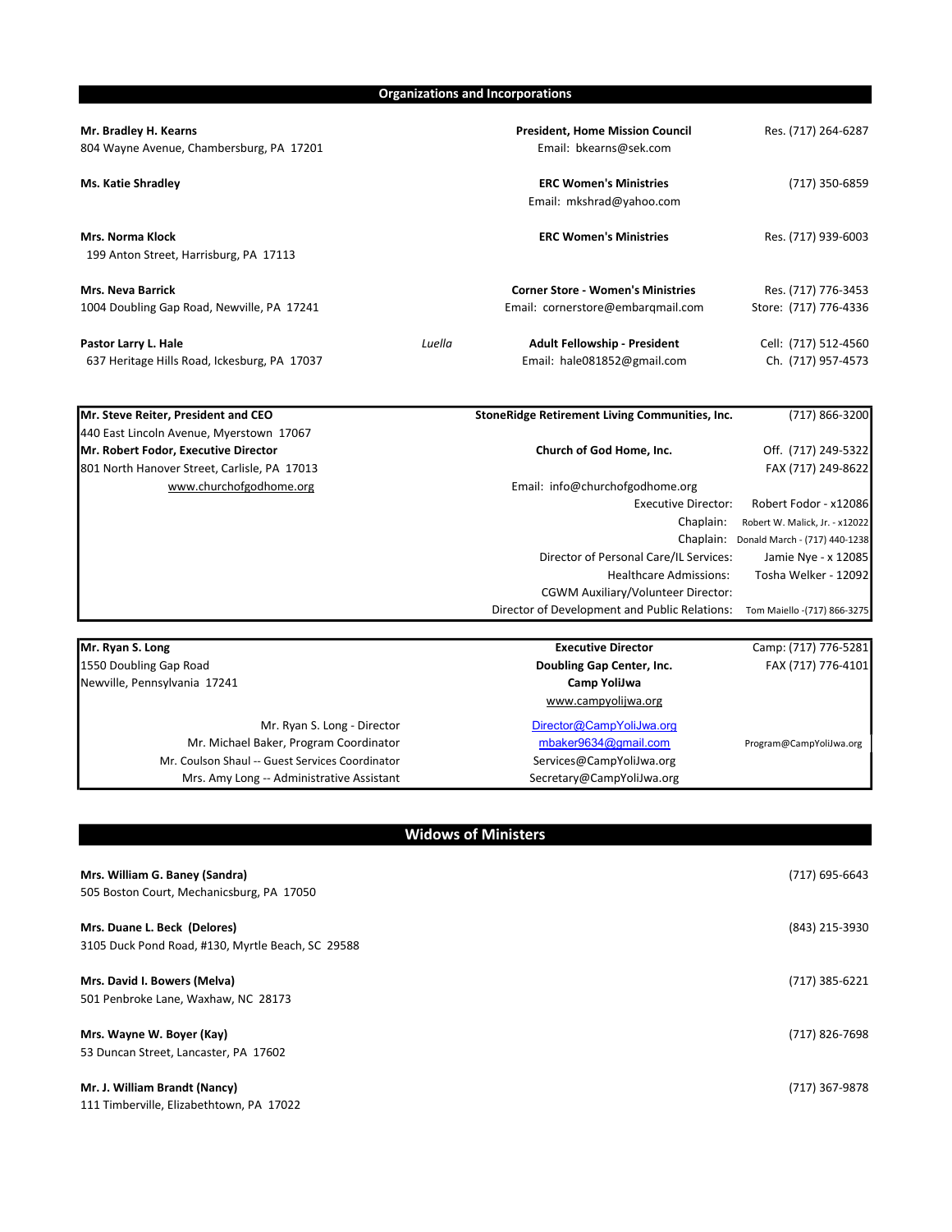Organizations and Incorporations

| Mr. Bradley H. Kearns<br>804 Wayne Avenue, Chambersburg, PA 17201      |        | <b>President, Home Mission Council</b><br>Email: bkearns@sek.com              | Res. (717) 264-6287                          |
|------------------------------------------------------------------------|--------|-------------------------------------------------------------------------------|----------------------------------------------|
| <b>Ms. Katie Shradley</b>                                              |        | <b>ERC Women's Ministries</b><br>Email: mkshrad@yahoo.com                     | (717) 350-6859                               |
| <b>Mrs. Norma Klock</b><br>199 Anton Street, Harrisburg, PA 17113      |        | <b>ERC Women's Ministries</b>                                                 | Res. (717) 939-6003                          |
| <b>Mrs. Neva Barrick</b><br>1004 Doubling Gap Road, Newville, PA 17241 |        | <b>Corner Store - Women's Ministries</b><br>Email: cornerstore@embargmail.com | Res. (717) 776-3453<br>Store: (717) 776-4336 |
| Pastor Larry L. Hale<br>637 Heritage Hills Road, Ickesburg, PA 17037   | Luella | <b>Adult Fellowship - President</b><br>Email: hale081852@gmail.com            | Cell: (717) 512-4560<br>Ch. (717) 957-4573   |

| Mr. Steve Reiter, President and CEO          | StoneRidge Retirement Living Communities, Inc. | (717) 866-3200                 |
|----------------------------------------------|------------------------------------------------|--------------------------------|
| 440 East Lincoln Avenue, Myerstown 17067     |                                                |                                |
| Mr. Robert Fodor, Executive Director         | Church of God Home, Inc.                       | Off. (717) 249-5322            |
| 801 North Hanover Street, Carlisle, PA 17013 |                                                | FAX (717) 249-8622             |
| www.churchofgodhome.org                      | Email: info@churchofgodhome.org                |                                |
|                                              | <b>Executive Director:</b>                     | Robert Fodor - x12086          |
|                                              | Chaplain:                                      | Robert W. Malick, Jr. - x12022 |
|                                              | Chaplain:                                      | Donald March - (717) 440-1238  |
|                                              | Director of Personal Care/IL Services:         | Jamie Nye - x 12085            |
|                                              | <b>Healthcare Admissions:</b>                  | Tosha Welker - 12092           |
|                                              | CGWM Auxiliary/Volunteer Director:             |                                |
|                                              | Director of Development and Public Relations:  | Tom Maiello - (717) 866-3275   |

| Mr. Ryan S. Long                                | <b>Executive Director</b> | Camp: (717) 776-5281    |
|-------------------------------------------------|---------------------------|-------------------------|
| 1550 Doubling Gap Road                          | Doubling Gap Center, Inc. | FAX (717) 776-4101      |
| Newville, Pennsylvania 17241                    | Camp YoliJwa              |                         |
|                                                 | www.campyolijwa.org       |                         |
| Mr. Ryan S. Long - Director                     | Director@CampYoliJwa.org  |                         |
| Mr. Michael Baker, Program Coordinator          | mbaker9634@gmail.com      | Program@CampYoliJwa.org |
| Mr. Coulson Shaul -- Guest Services Coordinator | Services@CampYoliJwa.org  |                         |
| Mrs. Amy Long -- Administrative Assistant       | Secretary@CampYoliJwa.org |                         |

### Widows of Ministers

| Mrs. William G. Baney (Sandra)<br>505 Boston Court, Mechanicsburg, PA 17050       | (717) 695-6643 |
|-----------------------------------------------------------------------------------|----------------|
| Mrs. Duane L. Beck (Delores)<br>3105 Duck Pond Road, #130, Myrtle Beach, SC 29588 | (843) 215-3930 |
| Mrs. David I. Bowers (Melva)<br>501 Penbroke Lane, Waxhaw, NC 28173               | (717) 385-6221 |
| Mrs. Wayne W. Boyer (Kay)<br>53 Duncan Street, Lancaster, PA 17602                | (717) 826-7698 |
| Mr. J. William Brandt (Nancy)<br>111 Timberville, Elizabethtown, PA 17022         | (717) 367-9878 |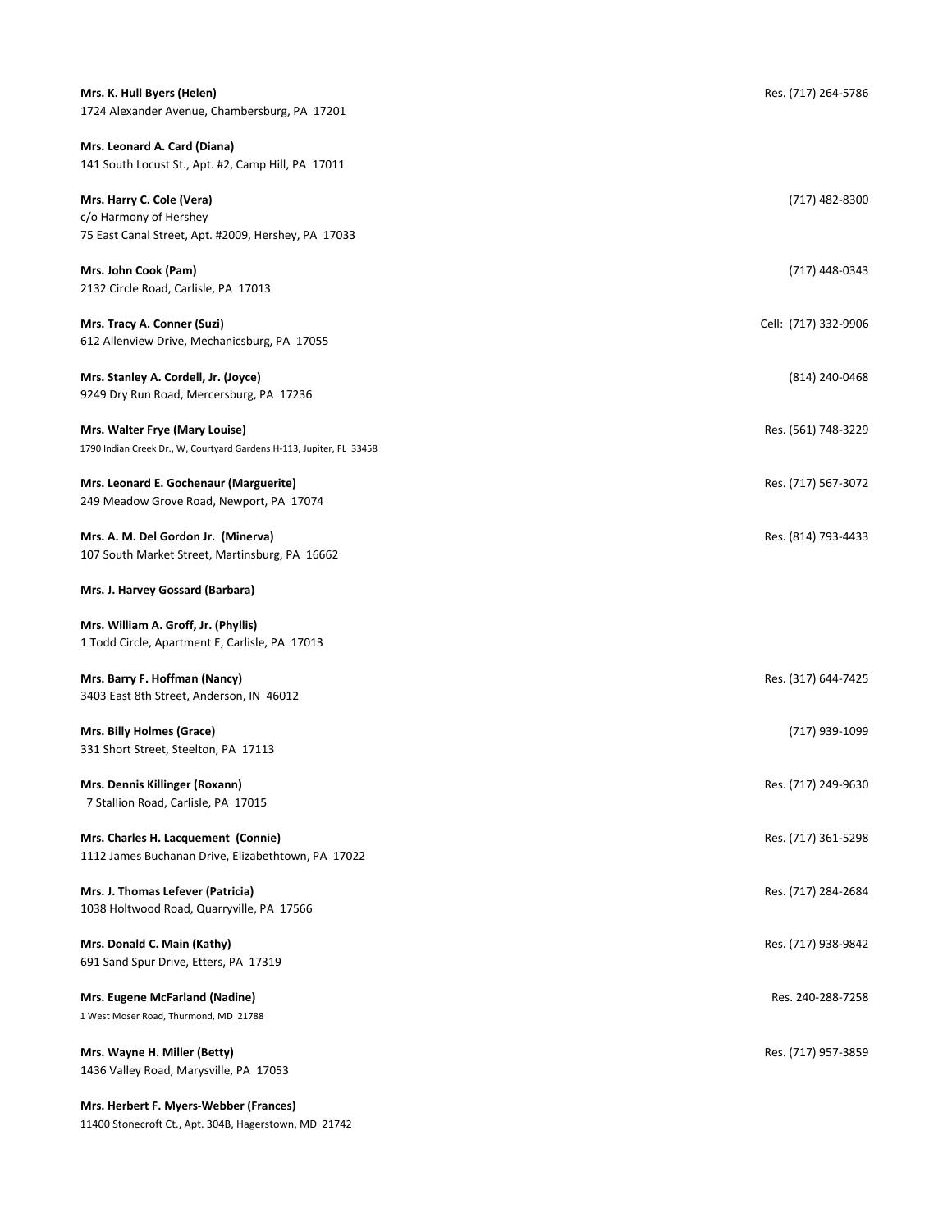| Mrs. K. Hull Byers (Helen)<br>1724 Alexander Avenue, Chambersburg, PA 17201                                | Res. (717) 264-5786  |
|------------------------------------------------------------------------------------------------------------|----------------------|
| Mrs. Leonard A. Card (Diana)<br>141 South Locust St., Apt. #2, Camp Hill, PA 17011                         |                      |
| Mrs. Harry C. Cole (Vera)<br>c/o Harmony of Hershey<br>75 East Canal Street, Apt. #2009, Hershey, PA 17033 | (717) 482-8300       |
| Mrs. John Cook (Pam)<br>2132 Circle Road, Carlisle, PA 17013                                               | (717) 448-0343       |
| Mrs. Tracy A. Conner (Suzi)<br>612 Allenview Drive, Mechanicsburg, PA 17055                                | Cell: (717) 332-9906 |
| Mrs. Stanley A. Cordell, Jr. (Joyce)<br>9249 Dry Run Road, Mercersburg, PA 17236                           | (814) 240-0468       |
| Mrs. Walter Frye (Mary Louise)<br>1790 Indian Creek Dr., W, Courtyard Gardens H-113, Jupiter, FL 33458     | Res. (561) 748-3229  |
| Mrs. Leonard E. Gochenaur (Marguerite)<br>249 Meadow Grove Road, Newport, PA 17074                         | Res. (717) 567-3072  |
| Mrs. A. M. Del Gordon Jr. (Minerva)<br>107 South Market Street, Martinsburg, PA 16662                      | Res. (814) 793-4433  |
| Mrs. J. Harvey Gossard (Barbara)                                                                           |                      |
| Mrs. William A. Groff, Jr. (Phyllis)<br>1 Todd Circle, Apartment E, Carlisle, PA 17013                     |                      |
| Mrs. Barry F. Hoffman (Nancy)<br>3403 East 8th Street, Anderson, IN 46012                                  | Res. (317) 644-7425  |
| Mrs. Billy Holmes (Grace)<br>331 Short Street, Steelton, PA 17113                                          | (717) 939-1099       |
| Mrs. Dennis Killinger (Roxann)<br>7 Stallion Road, Carlisle, PA 17015                                      | Res. (717) 249-9630  |
| Mrs. Charles H. Lacquement (Connie)<br>1112 James Buchanan Drive, Elizabethtown, PA 17022                  | Res. (717) 361-5298  |
| Mrs. J. Thomas Lefever (Patricia)<br>1038 Holtwood Road, Quarryville, PA 17566                             | Res. (717) 284-2684  |
| Mrs. Donald C. Main (Kathy)<br>691 Sand Spur Drive, Etters, PA 17319                                       | Res. (717) 938-9842  |
| Mrs. Eugene McFarland (Nadine)<br>1 West Moser Road, Thurmond, MD 21788                                    | Res. 240-288-7258    |
| Mrs. Wayne H. Miller (Betty)<br>1436 Valley Road, Marysville, PA 17053                                     | Res. (717) 957-3859  |
| Mrs. Herbert F. Myers-Webber (Frances)                                                                     |                      |

11400 Stonecroft Ct., Apt. 304B, Hagerstown, MD 21742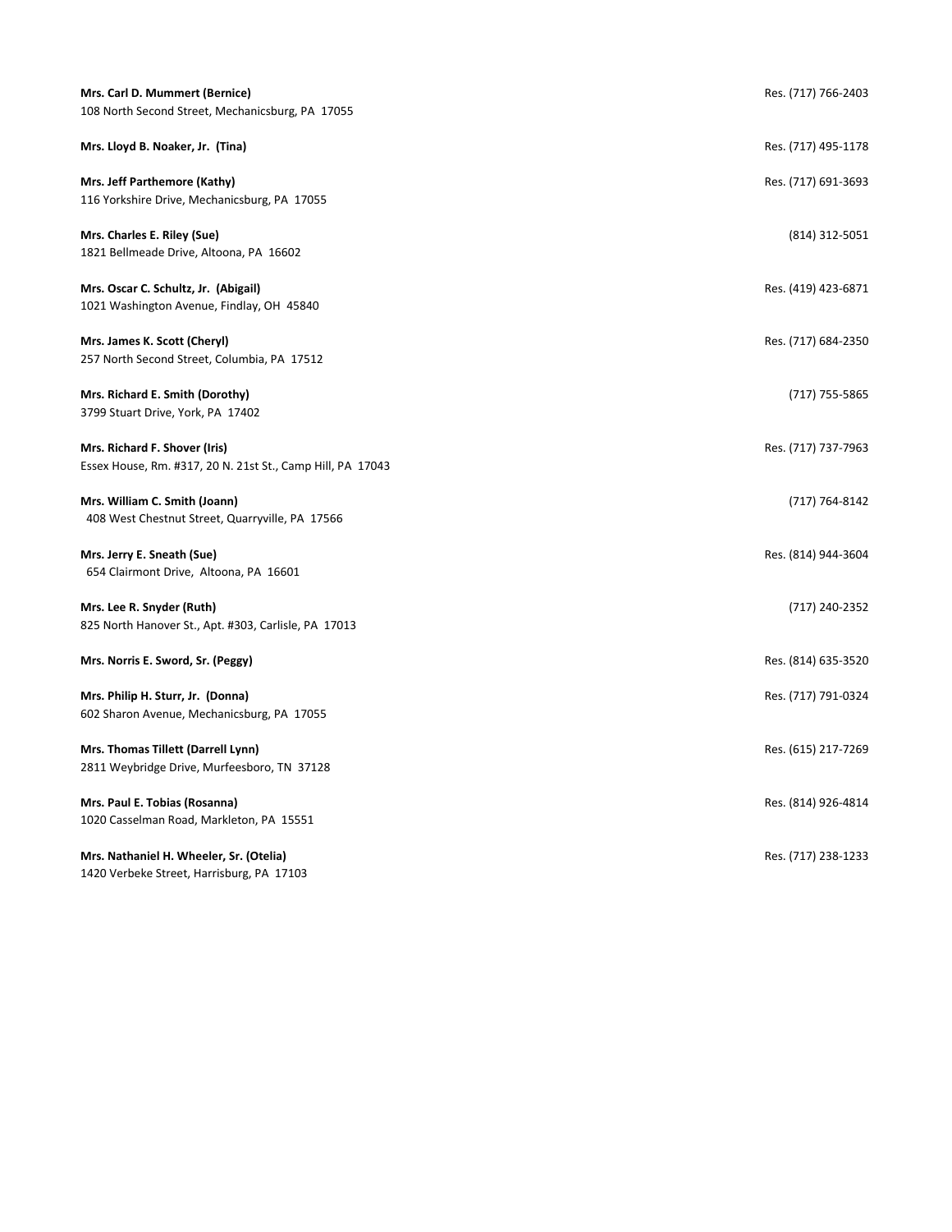| Mrs. Carl D. Mummert (Bernice)<br>108 North Second Street, Mechanicsburg, PA 17055          | Res. (717) 766-2403 |
|---------------------------------------------------------------------------------------------|---------------------|
| Mrs. Lloyd B. Noaker, Jr. (Tina)                                                            | Res. (717) 495-1178 |
| Mrs. Jeff Parthemore (Kathy)<br>116 Yorkshire Drive, Mechanicsburg, PA 17055                | Res. (717) 691-3693 |
| Mrs. Charles E. Riley (Sue)<br>1821 Bellmeade Drive, Altoona, PA 16602                      | (814) 312-5051      |
| Mrs. Oscar C. Schultz, Jr. (Abigail)<br>1021 Washington Avenue, Findlay, OH 45840           | Res. (419) 423-6871 |
| Mrs. James K. Scott (Cheryl)<br>257 North Second Street, Columbia, PA 17512                 | Res. (717) 684-2350 |
| Mrs. Richard E. Smith (Dorothy)<br>3799 Stuart Drive, York, PA 17402                        | (717) 755-5865      |
| Mrs. Richard F. Shover (Iris)<br>Essex House, Rm. #317, 20 N. 21st St., Camp Hill, PA 17043 | Res. (717) 737-7963 |
| Mrs. William C. Smith (Joann)<br>408 West Chestnut Street, Quarryville, PA 17566            | (717) 764-8142      |
| Mrs. Jerry E. Sneath (Sue)<br>654 Clairmont Drive, Altoona, PA 16601                        | Res. (814) 944-3604 |
| Mrs. Lee R. Snyder (Ruth)<br>825 North Hanover St., Apt. #303, Carlisle, PA 17013           | (717) 240-2352      |
| Mrs. Norris E. Sword, Sr. (Peggy)                                                           | Res. (814) 635-3520 |
| Mrs. Philip H. Sturr, Jr. (Donna)<br>602 Sharon Avenue, Mechanicsburg, PA 17055             | Res. (717) 791-0324 |
| Mrs. Thomas Tillett (Darrell Lynn)<br>2811 Weybridge Drive, Murfeesboro, TN 37128           | Res. (615) 217-7269 |
| Mrs. Paul E. Tobias (Rosanna)<br>1020 Casselman Road, Markleton, PA 15551                   | Res. (814) 926-4814 |
| Mrs. Nathaniel H. Wheeler, Sr. (Otelia)<br>1420 Verbeke Street, Harrisburg, PA 17103        | Res. (717) 238-1233 |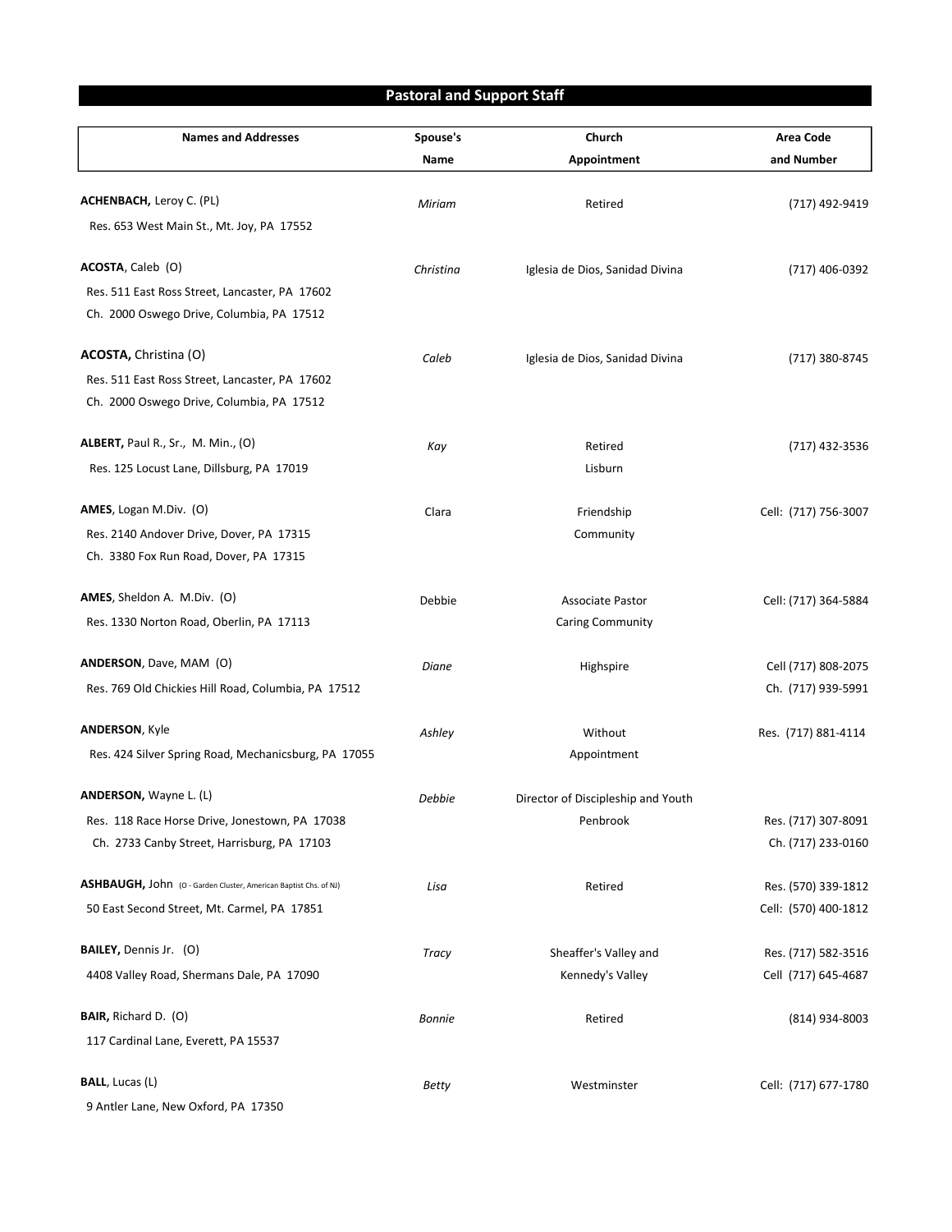## Pastoral and Support Staff

| <b>Names and Addresses</b>                                       | Spouse's<br>Name | Church<br>Appointment              | <b>Area Code</b><br>and Number |
|------------------------------------------------------------------|------------------|------------------------------------|--------------------------------|
|                                                                  |                  |                                    |                                |
| <b>ACHENBACH, Leroy C. (PL)</b>                                  | Miriam           | Retired                            | (717) 492-9419                 |
| Res. 653 West Main St., Mt. Joy, PA 17552                        |                  |                                    |                                |
| <b>ACOSTA, Caleb (O)</b>                                         | Christina        | Iglesia de Dios, Sanidad Divina    | (717) 406-0392                 |
| Res. 511 East Ross Street, Lancaster, PA 17602                   |                  |                                    |                                |
| Ch. 2000 Oswego Drive, Columbia, PA 17512                        |                  |                                    |                                |
| ACOSTA, Christina (O)                                            | Caleb            | Iglesia de Dios, Sanidad Divina    | (717) 380-8745                 |
| Res. 511 East Ross Street, Lancaster, PA 17602                   |                  |                                    |                                |
| Ch. 2000 Oswego Drive, Columbia, PA 17512                        |                  |                                    |                                |
| <b>ALBERT, Paul R., Sr., M. Min., (O)</b>                        | Kay              | Retired                            | (717) 432-3536                 |
| Res. 125 Locust Lane, Dillsburg, PA 17019                        |                  | Lisburn                            |                                |
| AMES, Logan M.Div. (O)                                           | Clara            | Friendship                         | Cell: (717) 756-3007           |
| Res. 2140 Andover Drive, Dover, PA 17315                         |                  | Community                          |                                |
| Ch. 3380 Fox Run Road, Dover, PA 17315                           |                  |                                    |                                |
| AMES, Sheldon A. M.Div. (O)                                      | Debbie           | <b>Associate Pastor</b>            | Cell: (717) 364-5884           |
| Res. 1330 Norton Road, Oberlin, PA 17113                         |                  | <b>Caring Community</b>            |                                |
| <b>ANDERSON</b> , Dave, MAM (O)                                  | Diane            | Highspire                          | Cell (717) 808-2075            |
| Res. 769 Old Chickies Hill Road, Columbia, PA 17512              |                  |                                    | Ch. (717) 939-5991             |
| <b>ANDERSON, Kyle</b>                                            | Ashley           | Without                            | Res. (717) 881-4114            |
| Res. 424 Silver Spring Road, Mechanicsburg, PA 17055             |                  | Appointment                        |                                |
| ANDERSON, Wayne L. (L)                                           | Debbie           | Director of Discipleship and Youth |                                |
| Res. 118 Race Horse Drive, Jonestown, PA 17038                   |                  | Penbrook                           | Res. (717) 307-8091            |
| Ch. 2733 Canby Street, Harrisburg, PA 17103                      |                  |                                    | Ch. (717) 233-0160             |
| ASHBAUGH, John (O - Garden Cluster, American Baptist Chs. of NJ) | Lisa             | Retired                            | Res. (570) 339-1812            |
| 50 East Second Street, Mt. Carmel, PA 17851                      |                  |                                    | Cell: (570) 400-1812           |
| BAILEY, Dennis Jr. (O)                                           | Tracy            | Sheaffer's Valley and              | Res. (717) 582-3516            |
| 4408 Valley Road, Shermans Dale, PA 17090                        |                  | Kennedy's Valley                   | Cell (717) 645-4687            |
| BAIR, Richard D. (O)                                             | <b>Bonnie</b>    | Retired                            | (814) 934-8003                 |
| 117 Cardinal Lane, Everett, PA 15537                             |                  |                                    |                                |
| <b>BALL, Lucas (L)</b>                                           | <b>Betty</b>     | Westminster                        | Cell: (717) 677-1780           |
| 9 Antler Lane, New Oxford, PA 17350                              |                  |                                    |                                |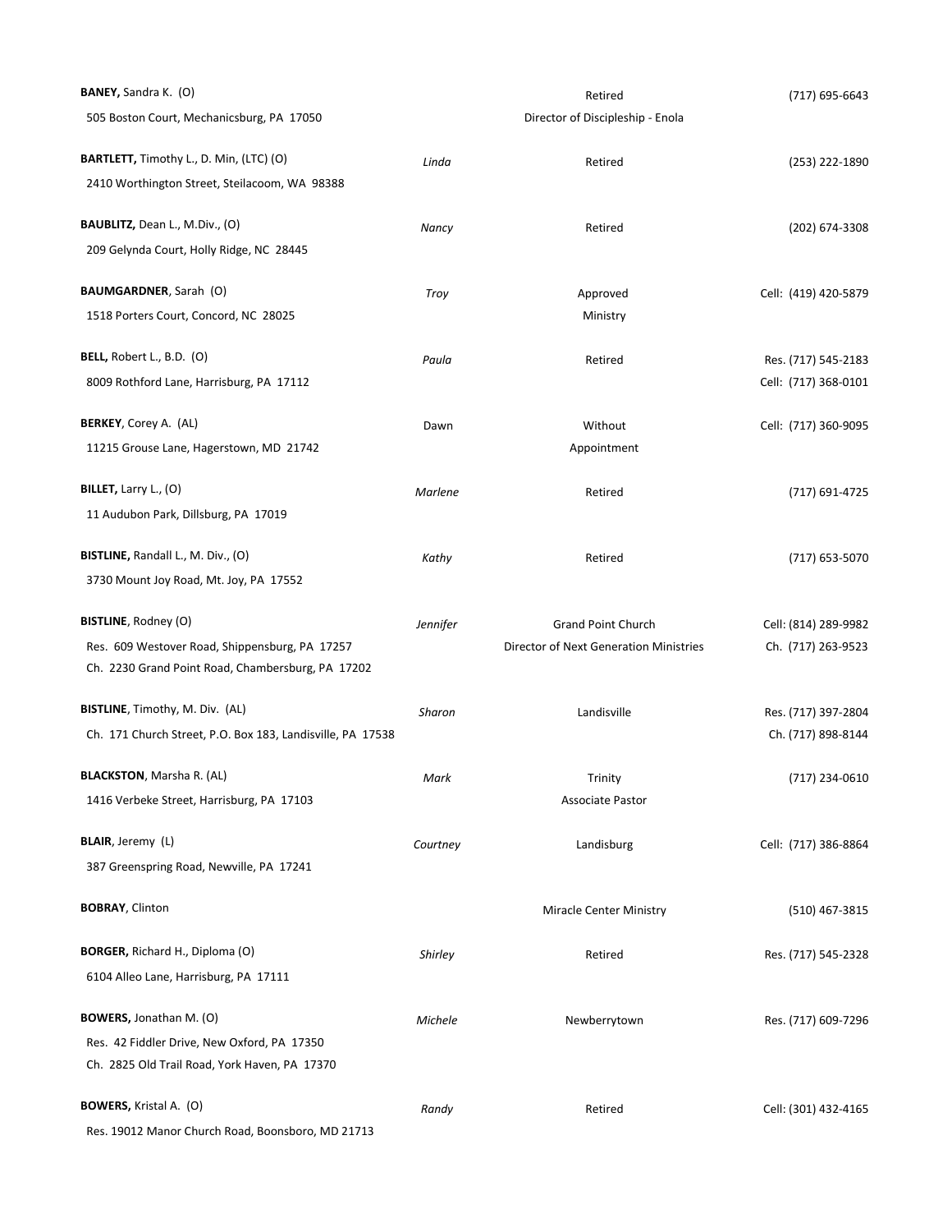| <b>BANEY, Sandra K. (O)</b>                                |          | Retired                                | (717) 695-6643       |
|------------------------------------------------------------|----------|----------------------------------------|----------------------|
| 505 Boston Court, Mechanicsburg, PA 17050                  |          | Director of Discipleship - Enola       |                      |
| BARTLETT, Timothy L., D. Min, (LTC) (O)                    | Linda    | Retired                                | (253) 222-1890       |
| 2410 Worthington Street, Steilacoom, WA 98388              |          |                                        |                      |
| <b>BAUBLITZ,</b> Dean L., M.Div., (O)                      | Nancy    | Retired                                | (202) 674-3308       |
| 209 Gelynda Court, Holly Ridge, NC 28445                   |          |                                        |                      |
| <b>BAUMGARDNER, Sarah (O)</b>                              | Troy     | Approved                               | Cell: (419) 420-5879 |
| 1518 Porters Court, Concord, NC 28025                      |          | Ministry                               |                      |
| BELL, Robert L., B.D. (O)                                  | Paula    | Retired                                | Res. (717) 545-2183  |
| 8009 Rothford Lane, Harrisburg, PA 17112                   |          |                                        | Cell: (717) 368-0101 |
| <b>BERKEY, Corey A. (AL)</b>                               | Dawn     | Without                                | Cell: (717) 360-9095 |
| 11215 Grouse Lane, Hagerstown, MD 21742                    |          | Appointment                            |                      |
| BILLET, Larry L., (O)                                      | Marlene  | Retired                                | (717) 691-4725       |
| 11 Audubon Park, Dillsburg, PA 17019                       |          |                                        |                      |
| BISTLINE, Randall L., M. Div., (O)                         | Kathy    | Retired                                | (717) 653-5070       |
| 3730 Mount Joy Road, Mt. Joy, PA 17552                     |          |                                        |                      |
| <b>BISTLINE, Rodney (O)</b>                                | Jennifer | <b>Grand Point Church</b>              | Cell: (814) 289-9982 |
| Res. 609 Westover Road, Shippensburg, PA 17257             |          | Director of Next Generation Ministries | Ch. (717) 263-9523   |
| Ch. 2230 Grand Point Road, Chambersburg, PA 17202          |          |                                        |                      |
| BISTLINE, Timothy, M. Div. (AL)                            | Sharon   | Landisville                            | Res. (717) 397-2804  |
| Ch. 171 Church Street, P.O. Box 183, Landisville, PA 17538 |          |                                        | Ch. (717) 898-8144   |
| <b>BLACKSTON, Marsha R. (AL)</b>                           | Mark     | Trinity                                | (717) 234-0610       |
| 1416 Verbeke Street, Harrisburg, PA 17103                  |          | <b>Associate Pastor</b>                |                      |
| BLAIR, Jeremy (L)                                          | Courtney | Landisburg                             | Cell: (717) 386-8864 |
| 387 Greenspring Road, Newville, PA 17241                   |          |                                        |                      |
| <b>BOBRAY, Clinton</b>                                     |          | <b>Miracle Center Ministry</b>         | (510) 467-3815       |
| BORGER, Richard H., Diploma (O)                            | Shirley  | Retired                                | Res. (717) 545-2328  |
| 6104 Alleo Lane, Harrisburg, PA 17111                      |          |                                        |                      |
| BOWERS, Jonathan M. (O)                                    | Michele  | Newberrytown                           | Res. (717) 609-7296  |
| Res. 42 Fiddler Drive, New Oxford, PA 17350                |          |                                        |                      |
| Ch. 2825 Old Trail Road, York Haven, PA 17370              |          |                                        |                      |
| <b>BOWERS, Kristal A. (O)</b>                              | Randy    | Retired                                | Cell: (301) 432-4165 |
| Res. 19012 Manor Church Road, Boonsboro, MD 21713          |          |                                        |                      |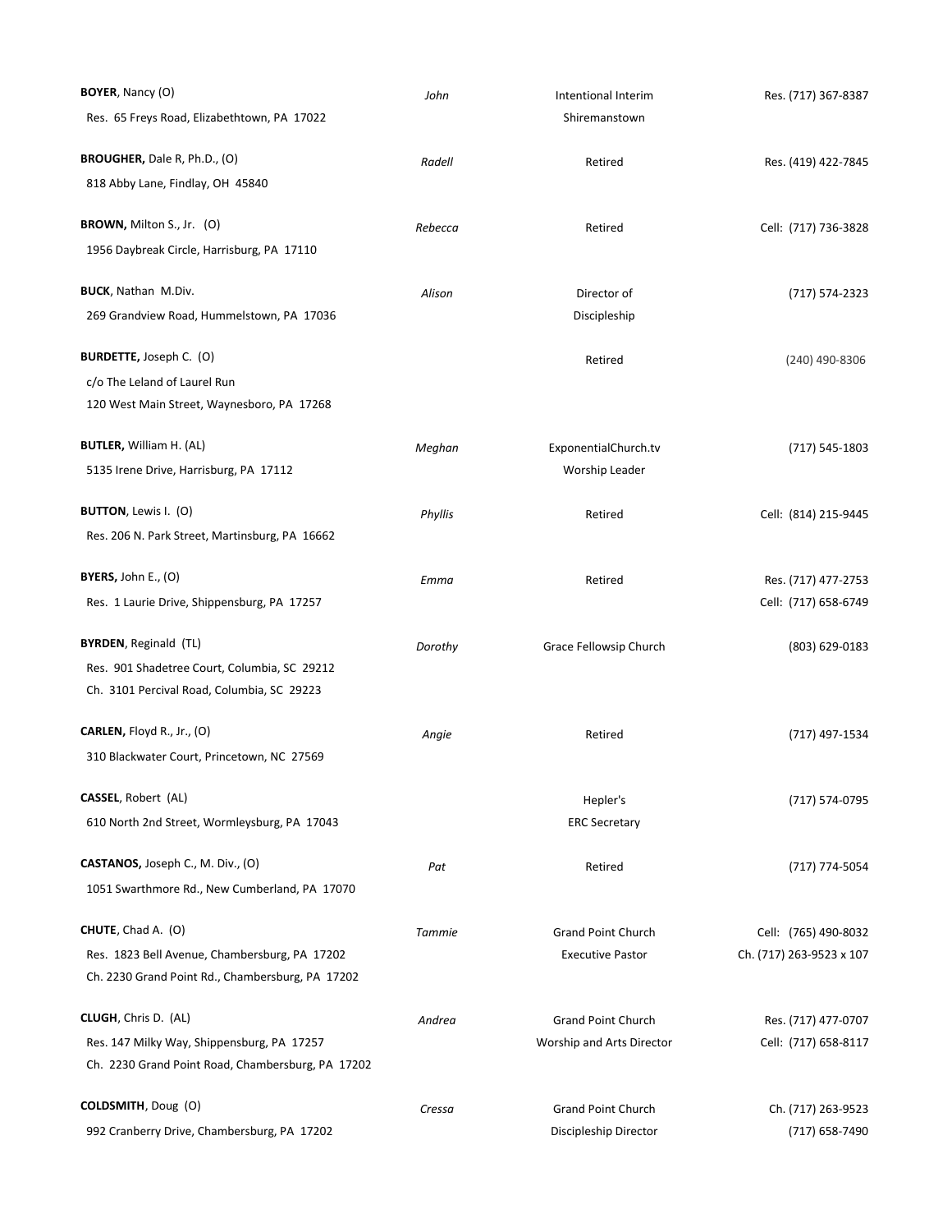| BOYER, Nancy (O)                                  | John    | Intentional Interim       | Res. (717) 367-8387      |
|---------------------------------------------------|---------|---------------------------|--------------------------|
| Res. 65 Freys Road, Elizabethtown, PA 17022       |         | Shiremanstown             |                          |
| BROUGHER, Dale R, Ph.D., (O)                      | Radell  | Retired                   | Res. (419) 422-7845      |
| 818 Abby Lane, Findlay, OH 45840                  |         |                           |                          |
| BROWN, Milton S., Jr. (O)                         | Rebecca | Retired                   | Cell: (717) 736-3828     |
| 1956 Daybreak Circle, Harrisburg, PA 17110        |         |                           |                          |
| <b>BUCK, Nathan M.Div.</b>                        | Alison  | Director of               | (717) 574-2323           |
| 269 Grandview Road, Hummelstown, PA 17036         |         | Discipleship              |                          |
| <b>BURDETTE, Joseph C. (O)</b>                    |         | Retired                   | (240) 490-8306           |
| c/o The Leland of Laurel Run                      |         |                           |                          |
| 120 West Main Street, Waynesboro, PA 17268        |         |                           |                          |
| <b>BUTLER, William H. (AL)</b>                    | Meghan  | ExponentialChurch.tv      | (717) 545-1803           |
| 5135 Irene Drive, Harrisburg, PA 17112            |         | Worship Leader            |                          |
| <b>BUTTON</b> , Lewis I. (O)                      | Phyllis | Retired                   | Cell: (814) 215-9445     |
| Res. 206 N. Park Street, Martinsburg, PA 16662    |         |                           |                          |
| <b>BYERS, John E., (O)</b>                        | Emma    | Retired                   | Res. (717) 477-2753      |
| Res. 1 Laurie Drive, Shippensburg, PA 17257       |         |                           | Cell: (717) 658-6749     |
| <b>BYRDEN, Reginald (TL)</b>                      | Dorothy | Grace Fellowsip Church    | (803) 629-0183           |
| Res. 901 Shadetree Court, Columbia, SC 29212      |         |                           |                          |
| Ch. 3101 Percival Road, Columbia, SC 29223        |         |                           |                          |
| <b>CARLEN, Floyd R., Jr., (O)</b>                 | Angie   | Retired                   | (717) 497-1534           |
| 310 Blackwater Court, Princetown, NC 27569        |         |                           |                          |
| CASSEL, Robert (AL)                               |         | Hepler's                  | (717) 574-0795           |
| 610 North 2nd Street, Wormleysburg, PA 17043      |         | <b>ERC Secretary</b>      |                          |
| CASTANOS, Joseph C., M. Div., (O)                 | Pat     | Retired                   | (717) 774-5054           |
| 1051 Swarthmore Rd., New Cumberland, PA 17070     |         |                           |                          |
| CHUTE, Chad A. (O)                                | Tammie  | Grand Point Church        | Cell: (765) 490-8032     |
| Res. 1823 Bell Avenue, Chambersburg, PA 17202     |         | <b>Executive Pastor</b>   | Ch. (717) 263-9523 x 107 |
| Ch. 2230 Grand Point Rd., Chambersburg, PA 17202  |         |                           |                          |
| CLUGH, Chris D. (AL)                              | Andrea  | <b>Grand Point Church</b> | Res. (717) 477-0707      |
| Res. 147 Milky Way, Shippensburg, PA 17257        |         | Worship and Arts Director | Cell: (717) 658-8117     |
| Ch. 2230 Grand Point Road, Chambersburg, PA 17202 |         |                           |                          |
| COLDSMITH, Doug (O)                               | Cressa  | <b>Grand Point Church</b> | Ch. (717) 263-9523       |
| 992 Cranberry Drive, Chambersburg, PA 17202       |         | Discipleship Director     | (717) 658-7490           |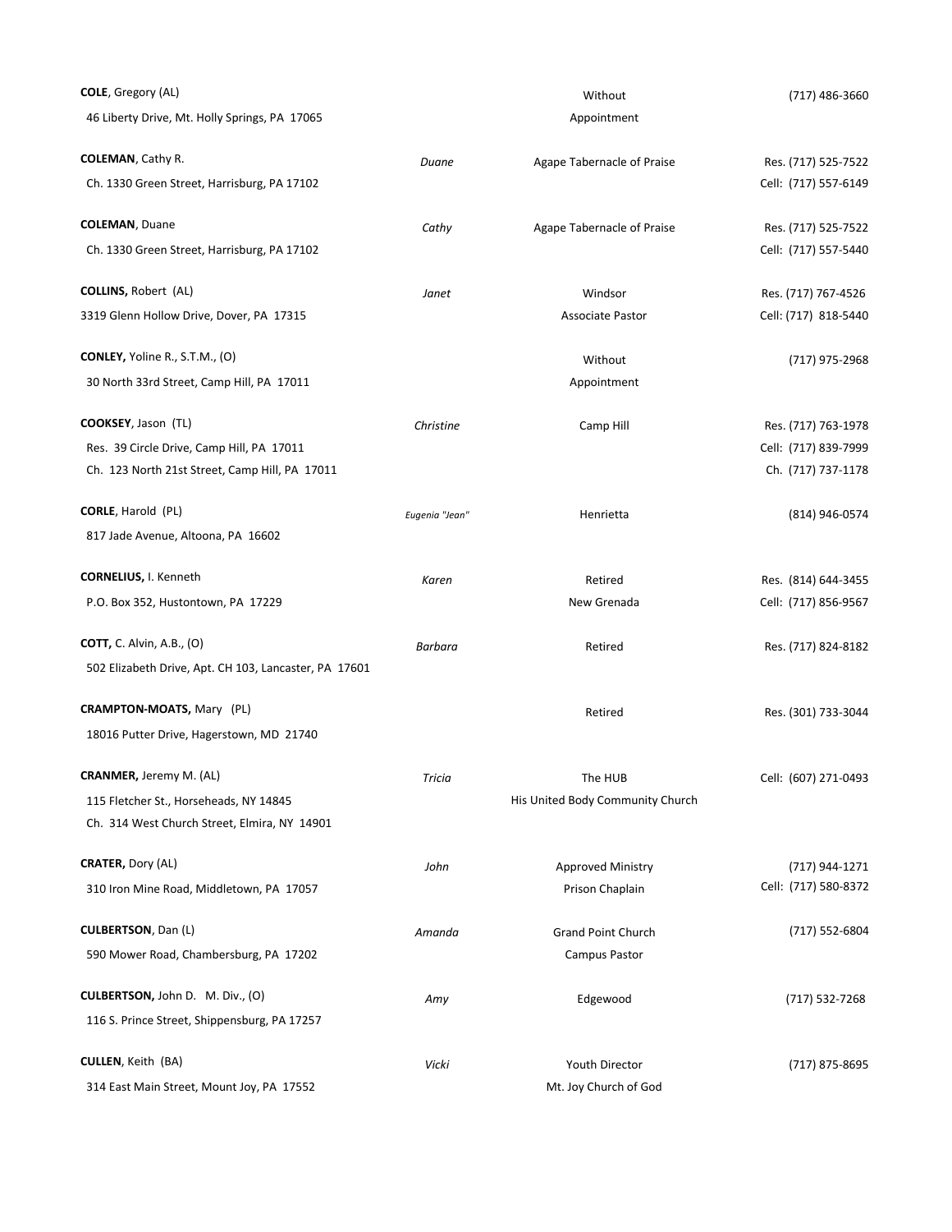| <b>COLE</b> , Gregory (AL)                            |                | Without                          | (717) 486-3660       |
|-------------------------------------------------------|----------------|----------------------------------|----------------------|
| 46 Liberty Drive, Mt. Holly Springs, PA 17065         |                | Appointment                      |                      |
| <b>COLEMAN, Cathy R.</b>                              | Duane          | Agape Tabernacle of Praise       | Res. (717) 525-7522  |
| Ch. 1330 Green Street, Harrisburg, PA 17102           |                |                                  | Cell: (717) 557-6149 |
| <b>COLEMAN, Duane</b>                                 | Cathy          | Agape Tabernacle of Praise       | Res. (717) 525-7522  |
| Ch. 1330 Green Street, Harrisburg, PA 17102           |                |                                  | Cell: (717) 557-5440 |
| <b>COLLINS, Robert (AL)</b>                           | Janet          | Windsor                          | Res. (717) 767-4526  |
| 3319 Glenn Hollow Drive, Dover, PA 17315              |                | <b>Associate Pastor</b>          | Cell: (717) 818-5440 |
| CONLEY, Yoline R., S.T.M., (O)                        |                | Without                          | (717) 975-2968       |
| 30 North 33rd Street, Camp Hill, PA 17011             |                | Appointment                      |                      |
| COOKSEY, Jason (TL)                                   | Christine      | Camp Hill                        | Res. (717) 763-1978  |
| Res. 39 Circle Drive, Camp Hill, PA 17011             |                |                                  | Cell: (717) 839-7999 |
| Ch. 123 North 21st Street, Camp Hill, PA 17011        |                |                                  | Ch. (717) 737-1178   |
| CORLE, Harold (PL)                                    | Eugenia "Jean" | Henrietta                        | (814) 946-0574       |
| 817 Jade Avenue, Altoona, PA 16602                    |                |                                  |                      |
| <b>CORNELIUS, I. Kenneth</b>                          | Karen          | Retired                          | Res. (814) 644-3455  |
| P.O. Box 352, Hustontown, PA 17229                    |                | New Grenada                      | Cell: (717) 856-9567 |
| <b>COTT, C. Alvin, A.B., (O)</b>                      | Barbara        | Retired                          | Res. (717) 824-8182  |
| 502 Elizabeth Drive, Apt. CH 103, Lancaster, PA 17601 |                |                                  |                      |
| <b>CRAMPTON-MOATS, Mary (PL)</b>                      |                | Retired                          | Res. (301) 733-3044  |
| 18016 Putter Drive, Hagerstown, MD 21740              |                |                                  |                      |
| <b>CRANMER,</b> Jeremy M. (AL)                        | Tricia         | The HUB                          | Cell: (607) 271-0493 |
| 115 Fletcher St., Horseheads, NY 14845                |                | His United Body Community Church |                      |
| Ch. 314 West Church Street, Elmira, NY 14901          |                |                                  |                      |
| <b>CRATER, Dory (AL)</b>                              | John           | Approved Ministry                | (717) 944-1271       |
| 310 Iron Mine Road, Middletown, PA 17057              |                | Prison Chaplain                  | Cell: (717) 580-8372 |
| <b>CULBERTSON, Dan (L)</b>                            | Amanda         | <b>Grand Point Church</b>        | (717) 552-6804       |
| 590 Mower Road, Chambersburg, PA 17202                |                | Campus Pastor                    |                      |
| CULBERTSON, John D. M. Div., (O)                      | Amy            | Edgewood                         | (717) 532-7268       |
| 116 S. Prince Street, Shippensburg, PA 17257          |                |                                  |                      |
| <b>CULLEN, Keith (BA)</b>                             | Vicki          | Youth Director                   | (717) 875-8695       |
| 314 East Main Street, Mount Joy, PA 17552             |                | Mt. Joy Church of God            |                      |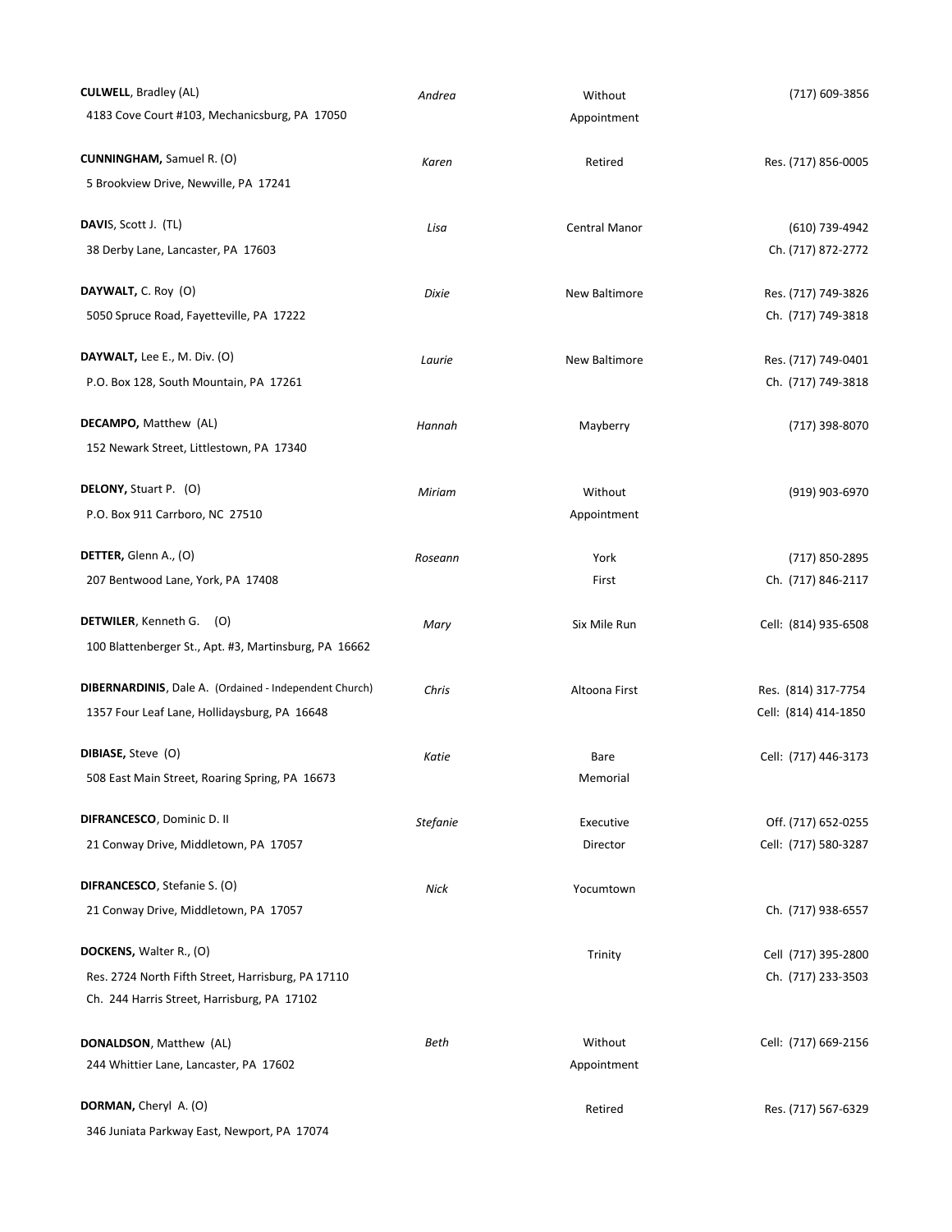| <b>CULWELL, Bradley (AL)</b>                                  | Andrea          | Without       | (717) 609-3856       |
|---------------------------------------------------------------|-----------------|---------------|----------------------|
| 4183 Cove Court #103, Mechanicsburg, PA 17050                 |                 | Appointment   |                      |
| <b>CUNNINGHAM, Samuel R. (O)</b>                              | Karen           | Retired       | Res. (717) 856-0005  |
| 5 Brookview Drive, Newville, PA 17241                         |                 |               |                      |
| DAVIS, Scott J. (TL)                                          | Lisa            | Central Manor | (610) 739-4942       |
| 38 Derby Lane, Lancaster, PA 17603                            |                 |               | Ch. (717) 872-2772   |
| DAYWALT, C. Roy (O)                                           | Dixie           | New Baltimore | Res. (717) 749-3826  |
| 5050 Spruce Road, Fayetteville, PA 17222                      |                 |               | Ch. (717) 749-3818   |
| DAYWALT, Lee E., M. Div. $(O)$                                | Laurie          | New Baltimore | Res. (717) 749-0401  |
| P.O. Box 128, South Mountain, PA 17261                        |                 |               | Ch. (717) 749-3818   |
| DECAMPO, Matthew (AL)                                         | Hannah          | Mayberry      | (717) 398-8070       |
| 152 Newark Street, Littlestown, PA 17340                      |                 |               |                      |
| DELONY, Stuart P. (O)                                         | Miriam          | Without       | (919) 903-6970       |
| P.O. Box 911 Carrboro, NC 27510                               |                 | Appointment   |                      |
| DETTER, Glenn A., (O)                                         | Roseann         | York          | (717) 850-2895       |
| 207 Bentwood Lane, York, PA 17408                             |                 | First         | Ch. (717) 846-2117   |
| DETWILER, Kenneth G. (O)                                      | Mary            | Six Mile Run  | Cell: (814) 935-6508 |
| 100 Blattenberger St., Apt. #3, Martinsburg, PA 16662         |                 |               |                      |
| <b>DIBERNARDINIS, Dale A. (Ordained - Independent Church)</b> | Chris           | Altoona First | Res. (814) 317-7754  |
| 1357 Four Leaf Lane, Hollidaysburg, PA 16648                  |                 |               | Cell: (814) 414-1850 |
| DIBIASE, Steve (O)                                            | Katie           | Bare          | Cell: (717) 446-3173 |
| 508 East Main Street, Roaring Spring, PA 16673                |                 | Memorial      |                      |
| DIFRANCESCO, Dominic D. II                                    | <b>Stefanie</b> | Executive     | Off. (717) 652-0255  |
| 21 Conway Drive, Middletown, PA 17057                         |                 | Director      | Cell: (717) 580-3287 |
| DIFRANCESCO, Stefanie S. (O)                                  | Nick            | Yocumtown     |                      |
| 21 Conway Drive, Middletown, PA 17057                         |                 |               | Ch. (717) 938-6557   |
| DOCKENS, Walter R., (O)                                       |                 | Trinity       | Cell (717) 395-2800  |
| Res. 2724 North Fifth Street, Harrisburg, PA 17110            |                 |               | Ch. (717) 233-3503   |
| Ch. 244 Harris Street, Harrisburg, PA 17102                   |                 |               |                      |
| <b>DONALDSON, Matthew (AL)</b>                                | Beth            | Without       | Cell: (717) 669-2156 |
| 244 Whittier Lane, Lancaster, PA 17602                        |                 | Appointment   |                      |
| DORMAN, Cheryl A. (O)                                         |                 | Retired       | Res. (717) 567-6329  |
| 346 Juniata Parkway East, Newport, PA 17074                   |                 |               |                      |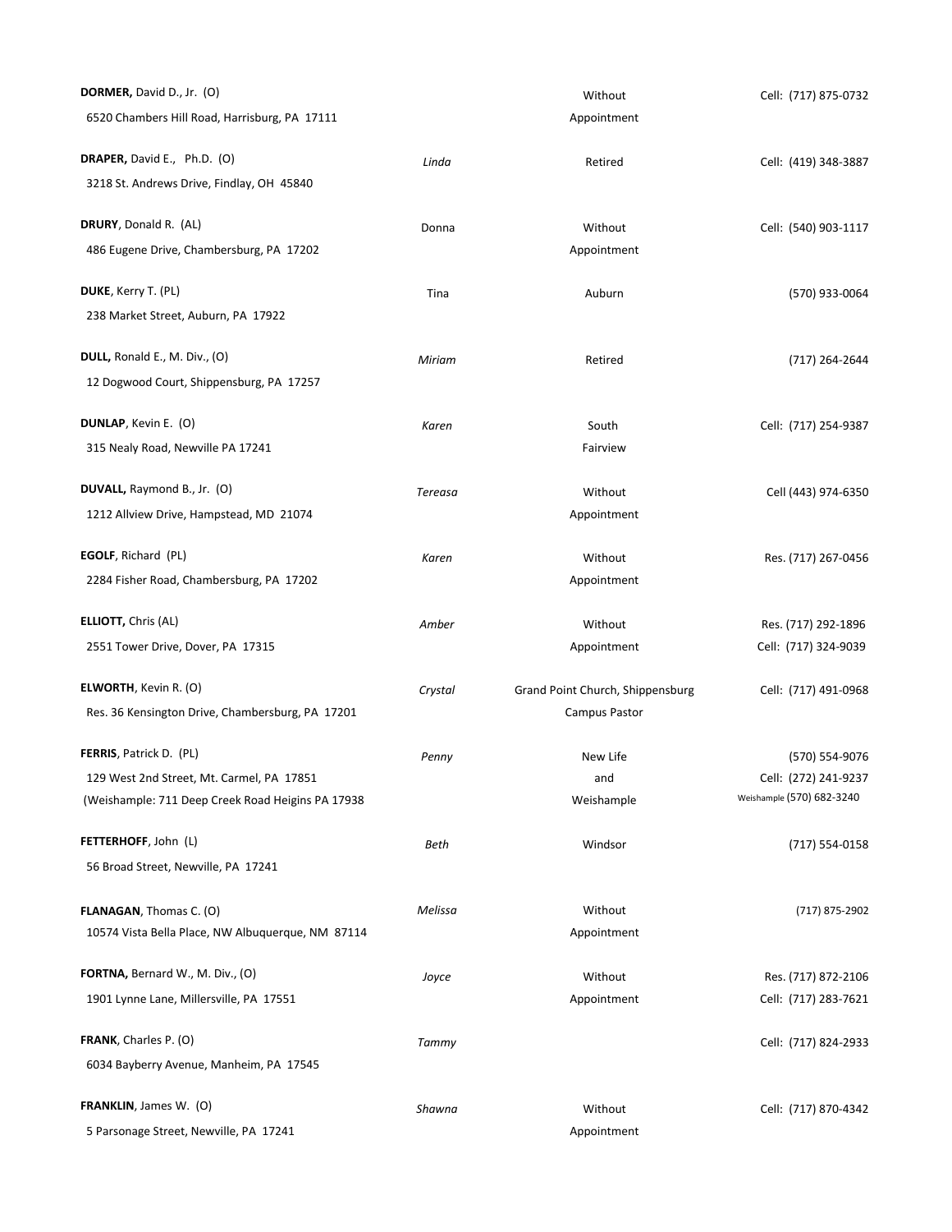| DORMER, David D., Jr. (O)                         |                | Without                          | Cell: (717) 875-0732      |
|---------------------------------------------------|----------------|----------------------------------|---------------------------|
| 6520 Chambers Hill Road, Harrisburg, PA 17111     |                | Appointment                      |                           |
| DRAPER, David E., Ph.D. (O)                       | Linda          | Retired                          | Cell: (419) 348-3887      |
| 3218 St. Andrews Drive, Findlay, OH 45840         |                |                                  |                           |
| DRURY, Donald R. (AL)                             | Donna          | Without                          | Cell: (540) 903-1117      |
| 486 Eugene Drive, Chambersburg, PA 17202          |                | Appointment                      |                           |
| DUKE, Kerry T. (PL)                               | Tina           | Auburn                           | (570) 933-0064            |
| 238 Market Street, Auburn, PA 17922               |                |                                  |                           |
| DULL, Ronald E., M. Div., (O)                     | Miriam         | Retired                          | (717) 264-2644            |
| 12 Dogwood Court, Shippensburg, PA 17257          |                |                                  |                           |
| <b>DUNLAP, Kevin E. (O)</b>                       | Karen          | South                            | Cell: (717) 254-9387      |
| 315 Nealy Road, Newville PA 17241                 |                | Fairview                         |                           |
| DUVALL, Raymond B., Jr. (O)                       | <b>Tereasa</b> | Without                          | Cell (443) 974-6350       |
| 1212 Allview Drive, Hampstead, MD 21074           |                | Appointment                      |                           |
| EGOLF, Richard (PL)                               | Karen          | Without                          | Res. (717) 267-0456       |
| 2284 Fisher Road, Chambersburg, PA 17202          |                | Appointment                      |                           |
| <b>ELLIOTT, Chris (AL)</b>                        | Amber          | Without                          | Res. (717) 292-1896       |
| 2551 Tower Drive, Dover, PA 17315                 |                | Appointment                      | Cell: (717) 324-9039      |
| <b>ELWORTH</b> , Kevin R. (O)                     | Crystal        | Grand Point Church, Shippensburg | Cell: (717) 491-0968      |
| Res. 36 Kensington Drive, Chambersburg, PA 17201  |                | Campus Pastor                    |                           |
| FERRIS, Patrick D. (PL)                           | Penny          | New Life                         | (570) 554-9076            |
| 129 West 2nd Street, Mt. Carmel, PA 17851         |                | and                              | Cell: (272) 241-9237      |
| (Weishample: 711 Deep Creek Road Heigins PA 17938 |                | Weishample                       | Weishample (570) 682-3240 |
| FETTERHOFF, John (L)                              | Beth           | Windsor                          | (717) 554-0158            |
| 56 Broad Street, Newville, PA 17241               |                |                                  |                           |
| FLANAGAN, Thomas C. (O)                           | Melissa        | Without                          | (717) 875-2902            |
| 10574 Vista Bella Place, NW Albuquerque, NM 87114 |                | Appointment                      |                           |
| FORTNA, Bernard W., M. Div., (O)                  | Joyce          | Without                          | Res. (717) 872-2106       |
| 1901 Lynne Lane, Millersville, PA 17551           |                | Appointment                      | Cell: (717) 283-7621      |
| FRANK, Charles P. (O)                             | Tammy          |                                  | Cell: (717) 824-2933      |
| 6034 Bayberry Avenue, Manheim, PA 17545           |                |                                  |                           |
| FRANKLIN, James W. (O)                            | Shawna         | Without                          | Cell: (717) 870-4342      |
| 5 Parsonage Street, Newville, PA 17241            |                | Appointment                      |                           |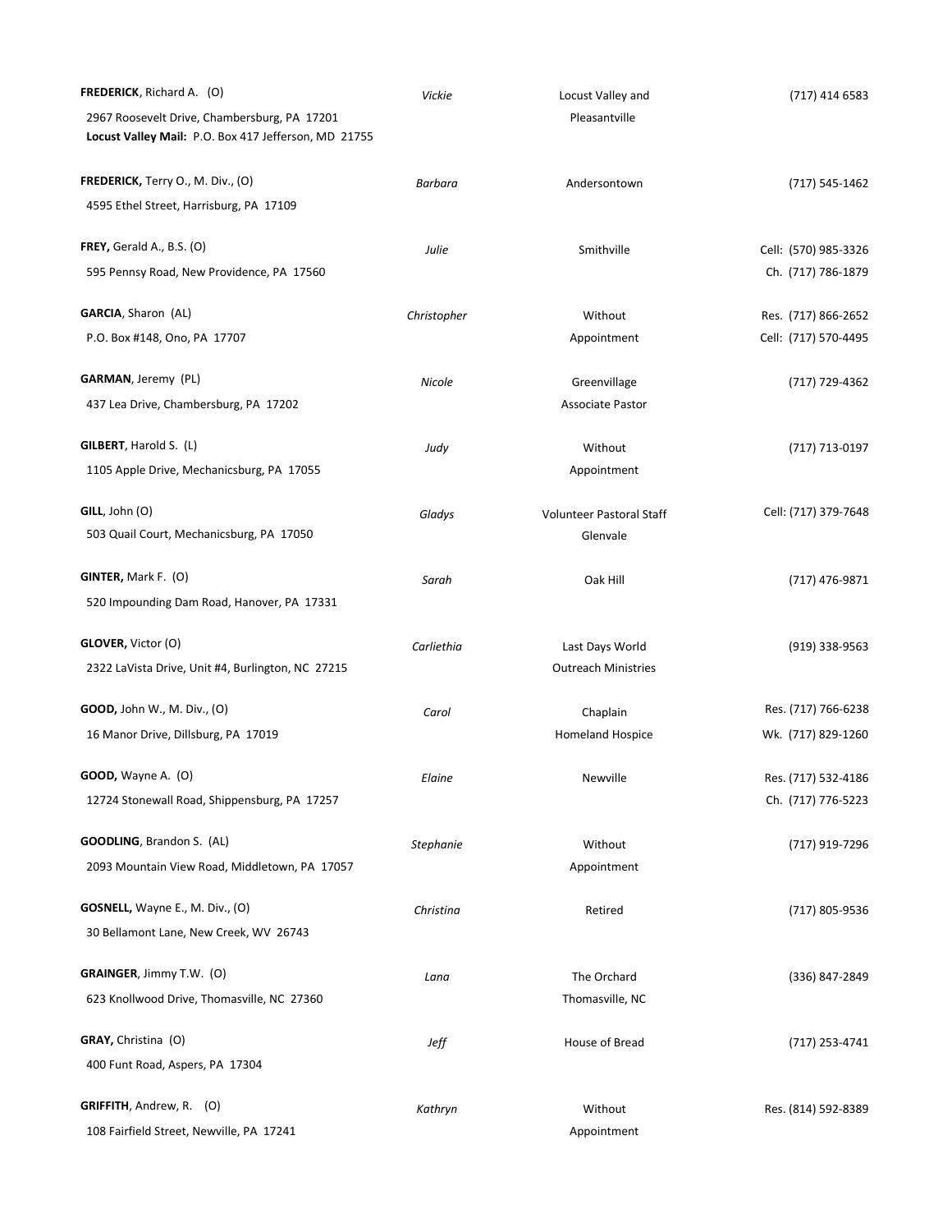| FREDERICK, Richard A. (O)                            | Vickie      | Locust Valley and          | (717) 414 6583       |
|------------------------------------------------------|-------------|----------------------------|----------------------|
| 2967 Roosevelt Drive, Chambersburg, PA 17201         |             | Pleasantville              |                      |
| Locust Valley Mail: P.O. Box 417 Jefferson, MD 21755 |             |                            |                      |
| FREDERICK, Terry O., M. Div., (O)                    |             |                            |                      |
|                                                      | Barbara     | Andersontown               | (717) 545-1462       |
| 4595 Ethel Street, Harrisburg, PA 17109              |             |                            |                      |
| FREY, Gerald A., B.S. $(O)$                          | Julie       | Smithville                 | Cell: (570) 985-3326 |
| 595 Pennsy Road, New Providence, PA 17560            |             |                            | Ch. (717) 786-1879   |
| GARCIA, Sharon (AL)                                  | Christopher | Without                    | Res. (717) 866-2652  |
| P.O. Box #148, Ono, PA 17707                         |             | Appointment                | Cell: (717) 570-4495 |
|                                                      |             |                            |                      |
| <b>GARMAN, Jeremy (PL)</b>                           | Nicole      | Greenvillage               | (717) 729-4362       |
| 437 Lea Drive, Chambersburg, PA 17202                |             | <b>Associate Pastor</b>    |                      |
| GILBERT, Harold S. (L)                               | Judy        | Without                    | (717) 713-0197       |
| 1105 Apple Drive, Mechanicsburg, PA 17055            |             | Appointment                |                      |
|                                                      |             |                            |                      |
| GILL, John (O)                                       | Gladys      | Volunteer Pastoral Staff   | Cell: (717) 379-7648 |
| 503 Quail Court, Mechanicsburg, PA 17050             |             | Glenvale                   |                      |
| GINTER, Mark F. (O)                                  | Sarah       | Oak Hill                   | (717) 476-9871       |
| 520 Impounding Dam Road, Hanover, PA 17331           |             |                            |                      |
| GLOVER, Victor (O)                                   |             |                            |                      |
|                                                      | Carliethia  | Last Days World            | $(919)$ 338-9563     |
| 2322 LaVista Drive, Unit #4, Burlington, NC 27215    |             | <b>Outreach Ministries</b> |                      |
| GOOD, John W., M. Div., (O)                          | Carol       | Chaplain                   | Res. (717) 766-6238  |
| 16 Manor Drive, Dillsburg, PA 17019                  |             | <b>Homeland Hospice</b>    | Wk. (717) 829-1260   |
| <b>GOOD,</b> Wayne A. (O)                            | Elaine      | Newville                   | Res. (717) 532-4186  |
| 12724 Stonewall Road, Shippensburg, PA 17257         |             |                            | Ch. (717) 776-5223   |
|                                                      |             |                            |                      |
| GOODLING, Brandon S. (AL)                            | Stephanie   | Without                    | (717) 919-7296       |
| 2093 Mountain View Road, Middletown, PA 17057        |             | Appointment                |                      |
| GOSNELL, Wayne E., M. Div., (O)                      | Christina   | Retired                    | (717) 805-9536       |
| 30 Bellamont Lane, New Creek, WV 26743               |             |                            |                      |
|                                                      |             |                            |                      |
| GRAINGER, Jimmy T.W. (O)                             | Lana        | The Orchard                | (336) 847-2849       |
| 623 Knollwood Drive, Thomasville, NC 27360           |             | Thomasville, NC            |                      |
| <b>GRAY, Christina (O)</b>                           | Jeff        | House of Bread             | (717) 253-4741       |
| 400 Funt Road, Aspers, PA 17304                      |             |                            |                      |
| GRIFFITH, Andrew, R. (O)                             | Kathryn     | Without                    | Res. (814) 592-8389  |
| 108 Fairfield Street, Newville, PA 17241             |             | Appointment                |                      |
|                                                      |             |                            |                      |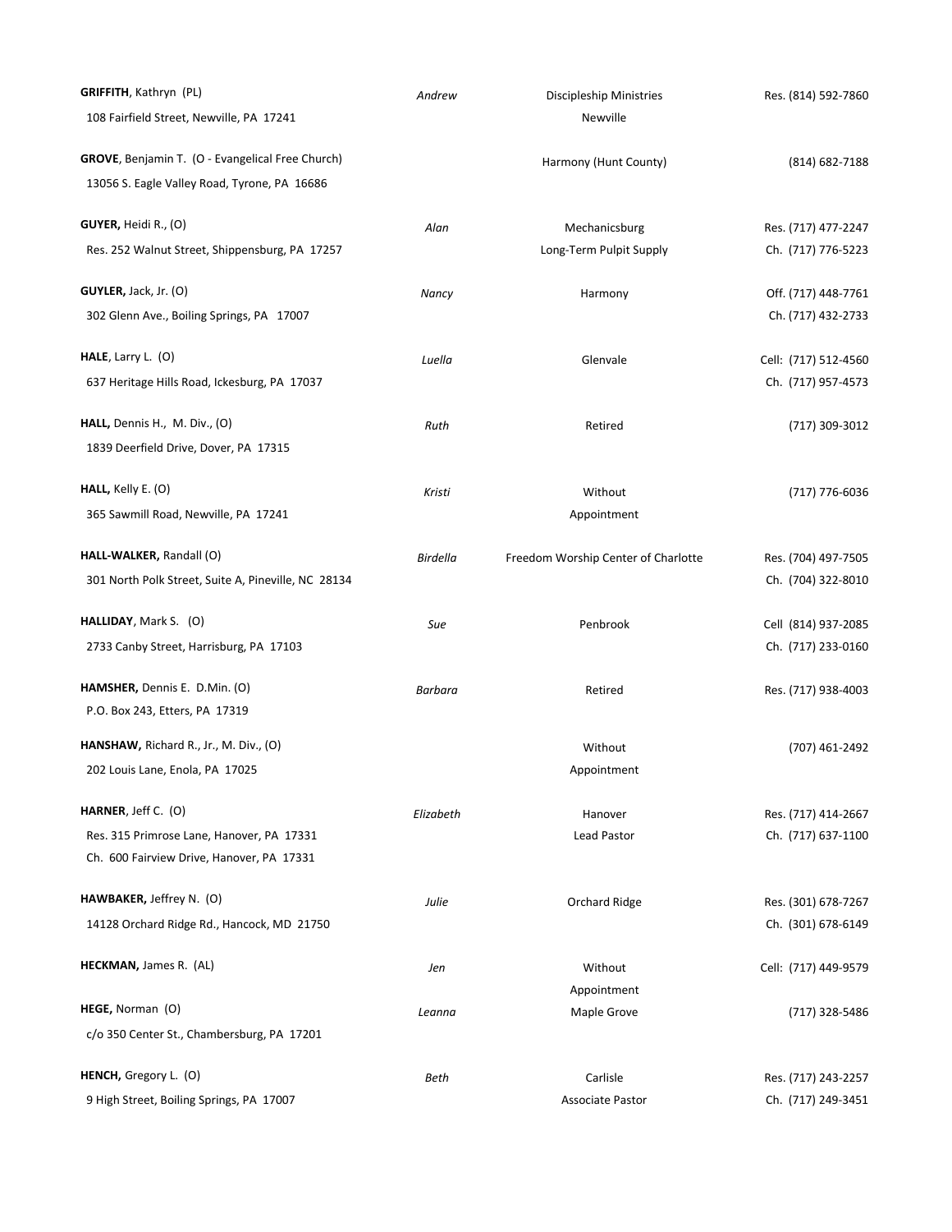| GRIFFITH, Kathryn (PL)                                         | Andrew          | <b>Discipleship Ministries</b>      | Res. (814) 592-7860                       |
|----------------------------------------------------------------|-----------------|-------------------------------------|-------------------------------------------|
| 108 Fairfield Street, Newville, PA 17241                       |                 | Newville                            |                                           |
| GROVE, Benjamin T. (O - Evangelical Free Church)               |                 | Harmony (Hunt County)               | (814) 682-7188                            |
| 13056 S. Eagle Valley Road, Tyrone, PA 16686                   |                 |                                     |                                           |
| GUYER, Heidi R., (O)                                           | Alan            | Mechanicsburg                       | Res. (717) 477-2247                       |
| Res. 252 Walnut Street, Shippensburg, PA 17257                 |                 | Long-Term Pulpit Supply             | Ch. (717) 776-5223                        |
| GUVLER, Jack, Jr. (O)                                          | Nancy           | Harmony                             | Off. (717) 448-7761                       |
| 302 Glenn Ave., Boiling Springs, PA 17007                      |                 |                                     | Ch. (717) 432-2733                        |
| HALE, Larry L. $(O)$                                           | Luella          | Glenvale                            | Cell: (717) 512-4560                      |
| 637 Heritage Hills Road, Ickesburg, PA 17037                   |                 |                                     | Ch. (717) 957-4573                        |
| HALL, Dennis H., M. Div., (O)                                  | Ruth            | Retired                             | (717) 309-3012                            |
| 1839 Deerfield Drive, Dover, PA 17315                          |                 |                                     |                                           |
| HALL, Kelly E. (O)                                             | Kristi          | Without                             | (717) 776-6036                            |
| 365 Sawmill Road, Newville, PA 17241                           |                 | Appointment                         |                                           |
| HALL-WALKER, Randall (O)                                       | <b>Birdella</b> | Freedom Worship Center of Charlotte | Res. (704) 497-7505                       |
| 301 North Polk Street, Suite A, Pineville, NC 28134            |                 |                                     | Ch. (704) 322-8010                        |
| HALLIDAY, Mark S. (O)                                          | Sue             | Penbrook                            | Cell (814) 937-2085                       |
| 2733 Canby Street, Harrisburg, PA 17103                        |                 |                                     | Ch. (717) 233-0160                        |
| HAMSHER, Dennis E. D.Min. (O)                                  | Barbara         | Retired                             | Res. (717) 938-4003                       |
| P.O. Box 243, Etters, PA 17319                                 |                 |                                     |                                           |
| <b>HANSHAW,</b> Richard R., Jr., M. Div., (O)                  |                 | Without                             | (707) 461-2492                            |
| 202 Louis Lane, Enola, PA 17025                                |                 | Appointment                         |                                           |
| HARNER, Jeff C. (O)                                            | Elizabeth       | Hanover                             | Res. (717) 414-2667                       |
| Res. 315 Primrose Lane, Hanover, PA 17331                      |                 | <b>Lead Pastor</b>                  | Ch. (717) 637-1100                        |
| Ch. 600 Fairview Drive, Hanover, PA 17331                      |                 |                                     |                                           |
| HAWBAKER, Jeffrey N. (O)                                       | Julie           | Orchard Ridge                       | Res. (301) 678-7267                       |
| 14128 Orchard Ridge Rd., Hancock, MD 21750                     |                 |                                     | Ch. (301) 678-6149                        |
| <b>HECKMAN, James R. (AL)</b>                                  | Jen             | Without                             | Cell: (717) 449-9579                      |
|                                                                |                 | Appointment                         |                                           |
| HEGE, Norman (O)<br>c/o 350 Center St., Chambersburg, PA 17201 | Leanna          | Maple Grove                         | (717) 328-5486                            |
| <b>HENCH,</b> Gregory L. (O)                                   |                 |                                     |                                           |
| 9 High Street, Boiling Springs, PA 17007                       | Beth            | Carlisle<br><b>Associate Pastor</b> | Res. (717) 243-2257<br>Ch. (717) 249-3451 |
|                                                                |                 |                                     |                                           |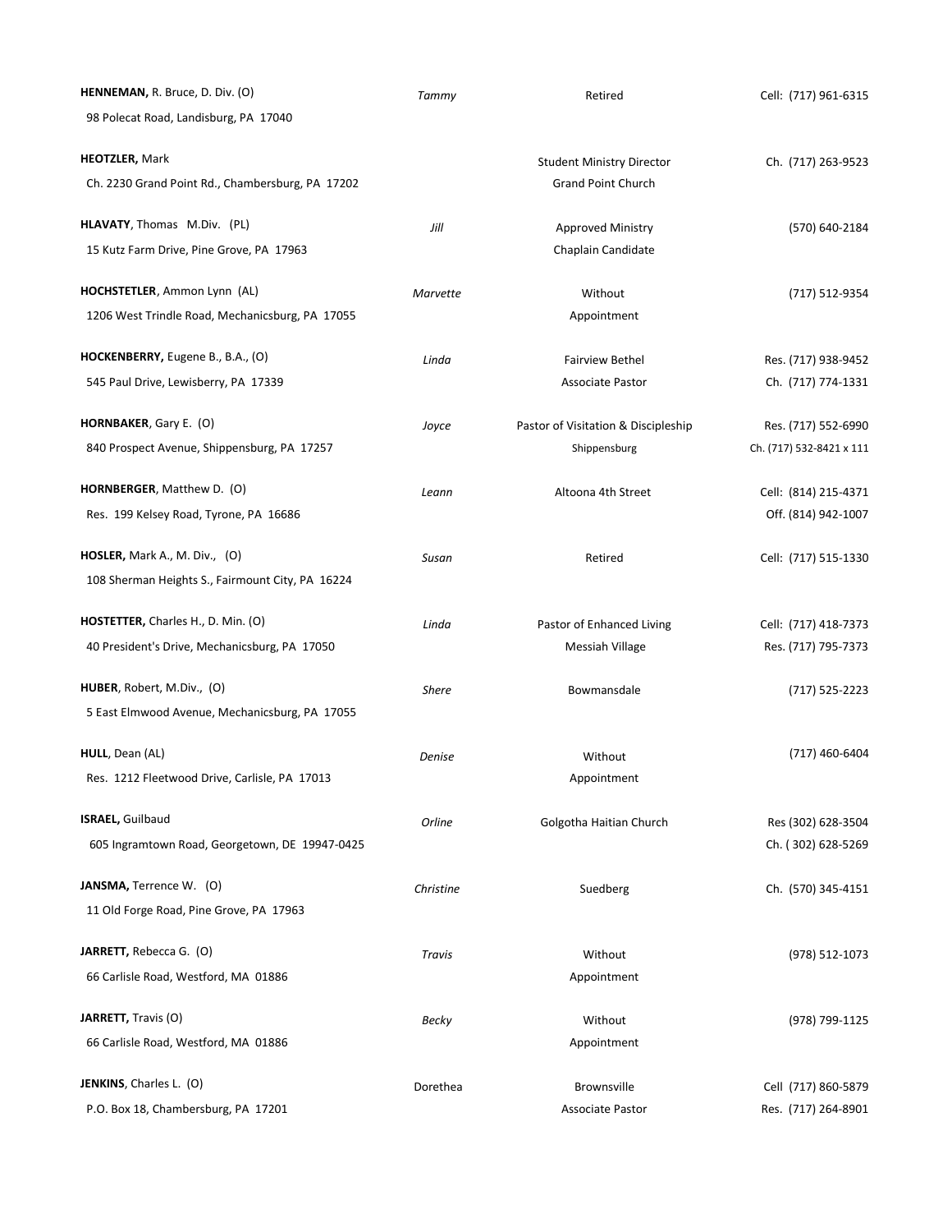| HENNEMAN, R. Bruce, D. Div. (O)                  | Tammy        | Retired                             | Cell: (717) 961-6315     |
|--------------------------------------------------|--------------|-------------------------------------|--------------------------|
| 98 Polecat Road, Landisburg, PA 17040            |              |                                     |                          |
| <b>HEOTZLER, Mark</b>                            |              | <b>Student Ministry Director</b>    | Ch. (717) 263-9523       |
| Ch. 2230 Grand Point Rd., Chambersburg, PA 17202 |              | <b>Grand Point Church</b>           |                          |
| HLAVATY, Thomas M.Div. (PL)                      | Jill         | Approved Ministry                   | (570) 640-2184           |
| 15 Kutz Farm Drive, Pine Grove, PA 17963         |              | Chaplain Candidate                  |                          |
| HOCHSTETLER, Ammon Lynn (AL)                     | Marvette     | Without                             | (717) 512-9354           |
| 1206 West Trindle Road, Mechanicsburg, PA 17055  |              | Appointment                         |                          |
| HOCKENBERRY, Eugene B., B.A., (O)                | Linda        | <b>Fairview Bethel</b>              | Res. (717) 938-9452      |
| 545 Paul Drive, Lewisberry, PA 17339             |              | <b>Associate Pastor</b>             | Ch. (717) 774-1331       |
| HORNBAKER, Gary E. (O)                           | Joyce        | Pastor of Visitation & Discipleship | Res. (717) 552-6990      |
| 840 Prospect Avenue, Shippensburg, PA 17257      |              | Shippensburg                        | Ch. (717) 532-8421 x 111 |
| HORNBERGER, Matthew D. (O)                       | Leann        | Altoona 4th Street                  | Cell: (814) 215-4371     |
| Res. 199 Kelsey Road, Tyrone, PA 16686           |              |                                     | Off. (814) 942-1007      |
| <b>HOSLER,</b> Mark A., M. Div., $(0)$           | Susan        | Retired                             | Cell: (717) 515-1330     |
| 108 Sherman Heights S., Fairmount City, PA 16224 |              |                                     |                          |
| HOSTETTER, Charles H., D. Min. (O)               | Linda        | Pastor of Enhanced Living           | Cell: (717) 418-7373     |
| 40 President's Drive, Mechanicsburg, PA 17050    |              | Messiah Village                     | Res. (717) 795-7373      |
| HUBER, Robert, M.Div., (O)                       | <b>Shere</b> | Bowmansdale                         | (717) 525-2223           |
| 5 East Elmwood Avenue, Mechanicsburg, PA 17055   |              |                                     |                          |
| <b>HULL</b> , Dean (AL)                          | Denise       | Without                             | (717) 460-6404           |
| Res. 1212 Fleetwood Drive, Carlisle, PA 17013    |              | Appointment                         |                          |
| <b>ISRAEL, Guilbaud</b>                          | Orline       | Golgotha Haitian Church             | Res (302) 628-3504       |
| 605 Ingramtown Road, Georgetown, DE 19947-0425   |              |                                     | Ch. (302) 628-5269       |
| JANSMA, Terrence W. (O)                          | Christine    | Suedberg                            | Ch. (570) 345-4151       |
| 11 Old Forge Road, Pine Grove, PA 17963          |              |                                     |                          |
| JARRETT, Rebecca G. (O)                          | Travis       | Without                             | (978) 512-1073           |
| 66 Carlisle Road, Westford, MA 01886             |              | Appointment                         |                          |
| JARRETT, Travis (O)                              | Becky        | Without                             | (978) 799-1125           |
| 66 Carlisle Road, Westford, MA 01886             |              | Appointment                         |                          |
| JENKINS, Charles L. (O)                          | Dorethea     | Brownsville                         | Cell (717) 860-5879      |
| P.O. Box 18, Chambersburg, PA 17201              |              | <b>Associate Pastor</b>             | Res. (717) 264-8901      |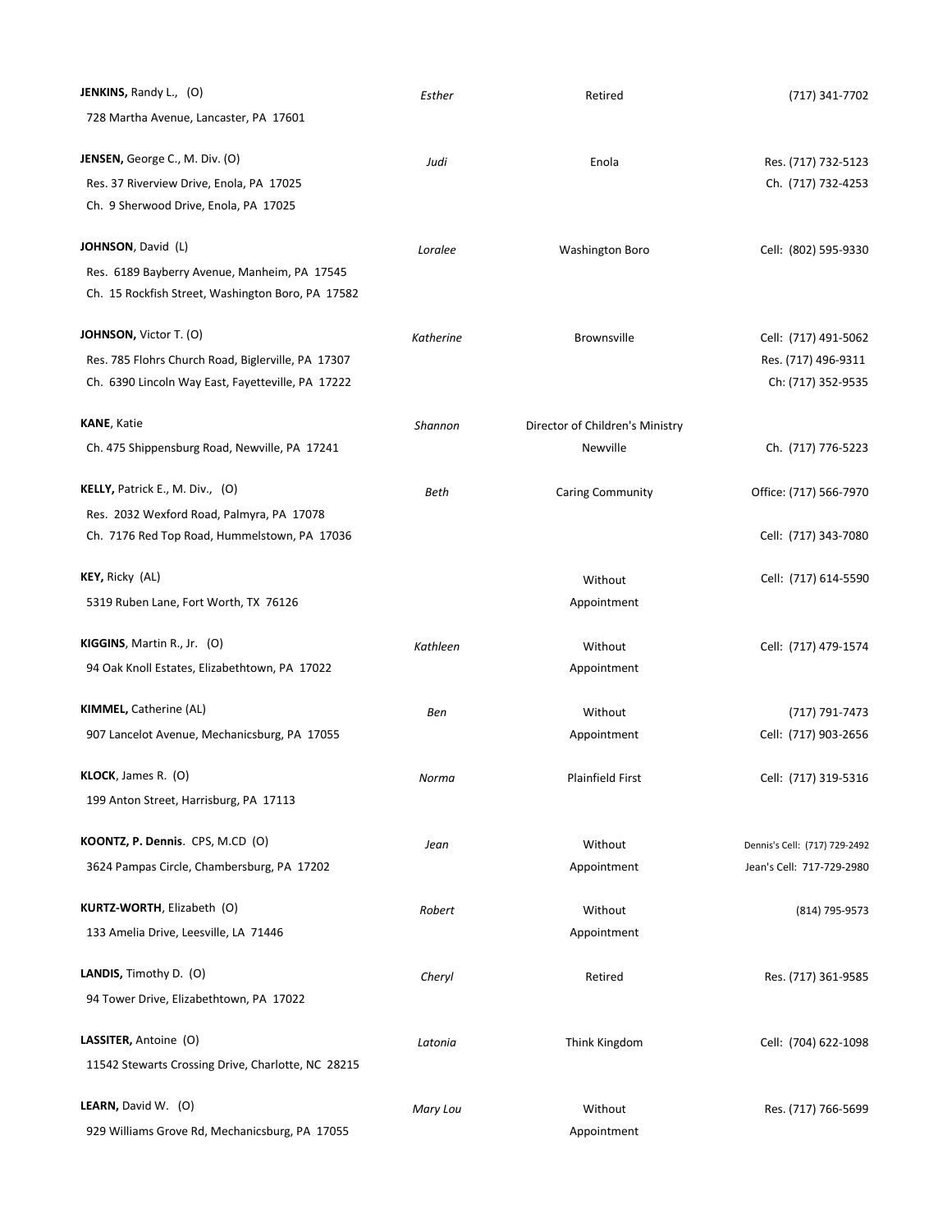| <b>JENKINS, Randy L., (O)</b>                      | Esther    | Retired                         | (717) 341-7702                |
|----------------------------------------------------|-----------|---------------------------------|-------------------------------|
| 728 Martha Avenue, Lancaster, PA 17601             |           |                                 |                               |
| JENSEN, George C., M. Div. (O)                     | Judi      | Enola                           | Res. (717) 732-5123           |
| Res. 37 Riverview Drive, Enola, PA 17025           |           |                                 | Ch. (717) 732-4253            |
| Ch. 9 Sherwood Drive, Enola, PA 17025              |           |                                 |                               |
| <b>JOHNSON</b> , David (L)                         | Loralee   | Washington Boro                 | Cell: (802) 595-9330          |
| Res. 6189 Bayberry Avenue, Manheim, PA 17545       |           |                                 |                               |
| Ch. 15 Rockfish Street, Washington Boro, PA 17582  |           |                                 |                               |
| <b>JOHNSON,</b> Victor T. (O)                      | Katherine | <b>Brownsville</b>              | Cell: (717) 491-5062          |
| Res. 785 Flohrs Church Road, Biglerville, PA 17307 |           |                                 | Res. (717) 496-9311           |
| Ch. 6390 Lincoln Way East, Fayetteville, PA 17222  |           |                                 | Ch: (717) 352-9535            |
| <b>KANE, Katie</b>                                 | Shannon   | Director of Children's Ministry |                               |
| Ch. 475 Shippensburg Road, Newville, PA 17241      |           | Newville                        | Ch. (717) 776-5223            |
| KELLY, Patrick E., M. Div., (O)                    | Beth      | Caring Community                | Office: (717) 566-7970        |
| Res. 2032 Wexford Road, Palmyra, PA 17078          |           |                                 |                               |
| Ch. 7176 Red Top Road, Hummelstown, PA 17036       |           |                                 | Cell: (717) 343-7080          |
| <b>KEY,</b> Ricky (AL)                             |           | Without                         | Cell: (717) 614-5590          |
| 5319 Ruben Lane, Fort Worth, TX 76126              |           | Appointment                     |                               |
| KIGGINS, Martin R., Jr. (O)                        | Kathleen  | Without                         | Cell: (717) 479-1574          |
| 94 Oak Knoll Estates, Elizabethtown, PA 17022      |           | Appointment                     |                               |
| <b>KIMMEL, Catherine (AL)</b>                      | Ben       | Without                         | (717) 791-7473                |
| 907 Lancelot Avenue, Mechanicsburg, PA 17055       |           | Appointment                     | Cell: (717) 903-2656          |
| <b>KLOCK</b> , James R. (O)                        | Norma     | Plainfield First                | Cell: (717) 319-5316          |
| 199 Anton Street, Harrisburg, PA 17113             |           |                                 |                               |
| KOONTZ, P. Dennis. CPS, M.CD (O)                   | Jean      | Without                         | Dennis's Cell: (717) 729-2492 |
| 3624 Pampas Circle, Chambersburg, PA 17202         |           | Appointment                     | Jean's Cell: 717-729-2980     |
| KURTZ-WORTH, Elizabeth (O)                         | Robert    | Without                         | (814) 795-9573                |
| 133 Amelia Drive, Leesville, LA 71446              |           | Appointment                     |                               |
| LANDIS, Timothy D. (O)                             | Cheryl    | Retired                         | Res. (717) 361-9585           |
| 94 Tower Drive, Elizabethtown, PA 17022            |           |                                 |                               |
| LASSITER, Antoine (O)                              | Latonia   | Think Kingdom                   | Cell: (704) 622-1098          |
| 11542 Stewarts Crossing Drive, Charlotte, NC 28215 |           |                                 |                               |
| LEARN, David W. (O)                                | Mary Lou  | Without                         | Res. (717) 766-5699           |
| 929 Williams Grove Rd, Mechanicsburg, PA 17055     |           | Appointment                     |                               |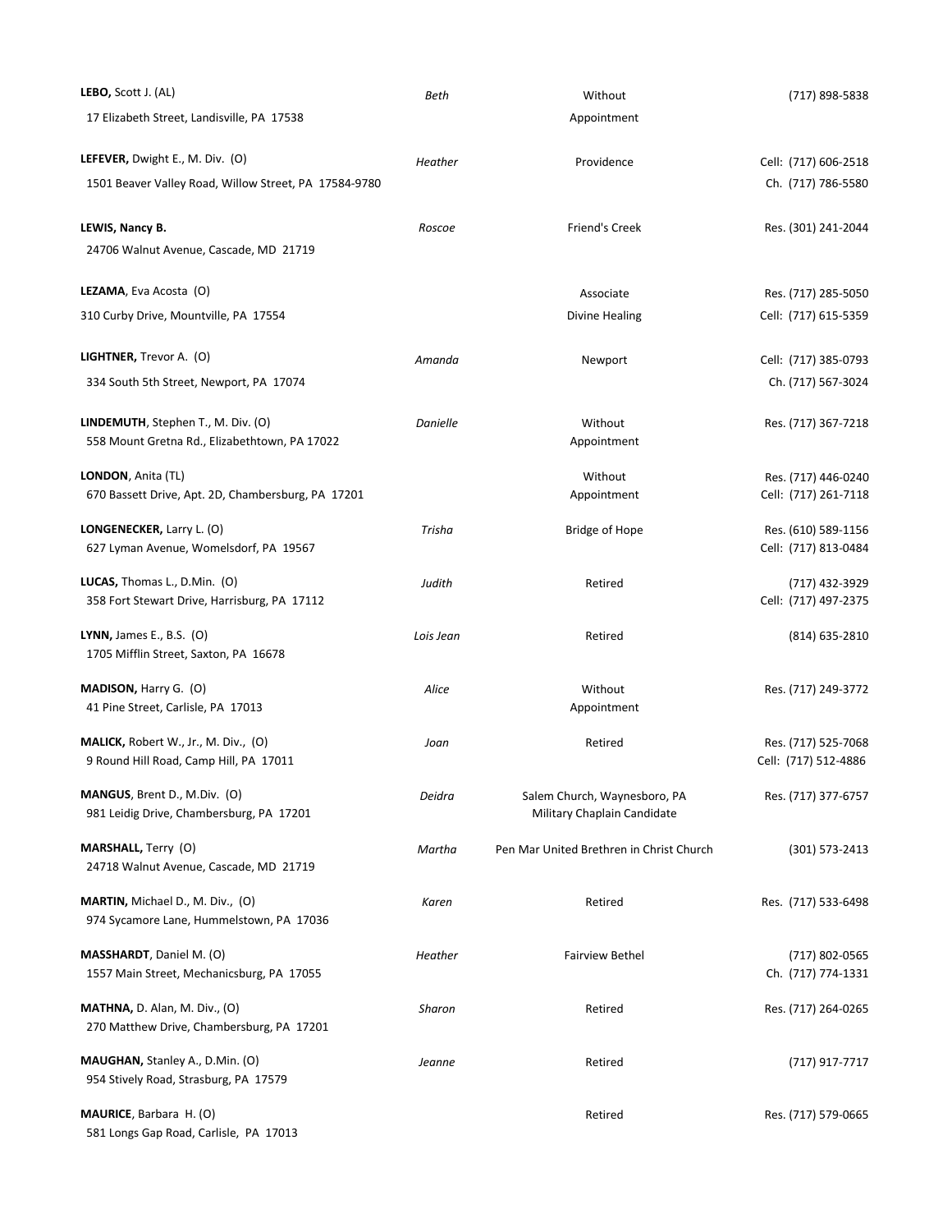| LEBO, Scott J. (AL)                                                            | Beth      | Without                                                     | (717) 898-5838                              |
|--------------------------------------------------------------------------------|-----------|-------------------------------------------------------------|---------------------------------------------|
| 17 Elizabeth Street, Landisville, PA 17538                                     |           | Appointment                                                 |                                             |
| LEFEVER, Dwight E., M. Div. (O)                                                | Heather   | Providence                                                  | Cell: (717) 606-2518                        |
| 1501 Beaver Valley Road, Willow Street, PA 17584-9780                          |           |                                                             | Ch. (717) 786-5580                          |
| LEWIS, Nancy B.<br>24706 Walnut Avenue, Cascade, MD 21719                      | Roscoe    | Friend's Creek                                              | Res. (301) 241-2044                         |
|                                                                                |           |                                                             |                                             |
| LEZAMA, Eva Acosta (O)                                                         |           | Associate                                                   | Res. (717) 285-5050                         |
| 310 Curby Drive, Mountville, PA 17554                                          |           | Divine Healing                                              | Cell: (717) 615-5359                        |
| LIGHTNER, Trevor A. (O)                                                        | Amanda    | Newport                                                     | Cell: (717) 385-0793                        |
| 334 South 5th Street, Newport, PA 17074                                        |           |                                                             | Ch. (717) 567-3024                          |
| LINDEMUTH, Stephen T., M. Div. (O)                                             | Danielle  | Without                                                     | Res. (717) 367-7218                         |
| 558 Mount Gretna Rd., Elizabethtown, PA 17022                                  |           | Appointment                                                 |                                             |
| LONDON, Anita (TL)                                                             |           | Without                                                     | Res. (717) 446-0240                         |
| 670 Bassett Drive, Apt. 2D, Chambersburg, PA 17201                             |           | Appointment                                                 | Cell: (717) 261-7118                        |
| LONGENECKER, Larry L. (O)                                                      | Trisha    | <b>Bridge of Hope</b>                                       | Res. (610) 589-1156                         |
| 627 Lyman Avenue, Womelsdorf, PA 19567                                         |           |                                                             | Cell: (717) 813-0484                        |
| LUCAS, Thomas L., D.Min. (O)<br>358 Fort Stewart Drive, Harrisburg, PA 17112   | Judith    | Retired                                                     | (717) 432-3929<br>Cell: (717) 497-2375      |
| <b>LYNN,</b> James E., B.S. (O)<br>1705 Mifflin Street, Saxton, PA 16678       | Lois Jean | Retired                                                     | (814) 635-2810                              |
| MADISON, Harry G. (O)<br>41 Pine Street, Carlisle, PA 17013                    | Alice     | Without<br>Appointment                                      | Res. (717) 249-3772                         |
| MALICK, Robert W., Jr., M. Div., (O)<br>9 Round Hill Road, Camp Hill, PA 17011 | Joan      | Retired                                                     | Res. (717) 525-7068<br>Cell: (717) 512-4886 |
| MANGUS, Brent D., M.Div. (O)<br>981 Leidig Drive, Chambersburg, PA 17201       | Deidra    | Salem Church, Waynesboro, PA<br>Military Chaplain Candidate | Res. (717) 377-6757                         |
| <b>MARSHALL, Terry (O)</b><br>24718 Walnut Avenue, Cascade, MD 21719           | Martha    | Pen Mar United Brethren in Christ Church                    | (301) 573-2413                              |
| MARTIN, Michael D., M. Div., (O)<br>974 Sycamore Lane, Hummelstown, PA 17036   | Karen     | Retired                                                     | Res. (717) 533-6498                         |
| MASSHARDT, Daniel M. (O)<br>1557 Main Street, Mechanicsburg, PA 17055          | Heather   | <b>Fairview Bethel</b>                                      | (717) 802-0565<br>Ch. (717) 774-1331        |
| MATHNA, D. Alan, M. Div., (O)<br>270 Matthew Drive, Chambersburg, PA 17201     | Sharon    | Retired                                                     | Res. (717) 264-0265                         |
| MAUGHAN, Stanley A., D.Min. (O)<br>954 Stively Road, Strasburg, PA 17579       | Jeanne    | Retired                                                     | (717) 917-7717                              |
| MAURICE, Barbara H. (O)<br>581 Longs Gap Road, Carlisle, PA 17013              |           | Retired                                                     | Res. (717) 579-0665                         |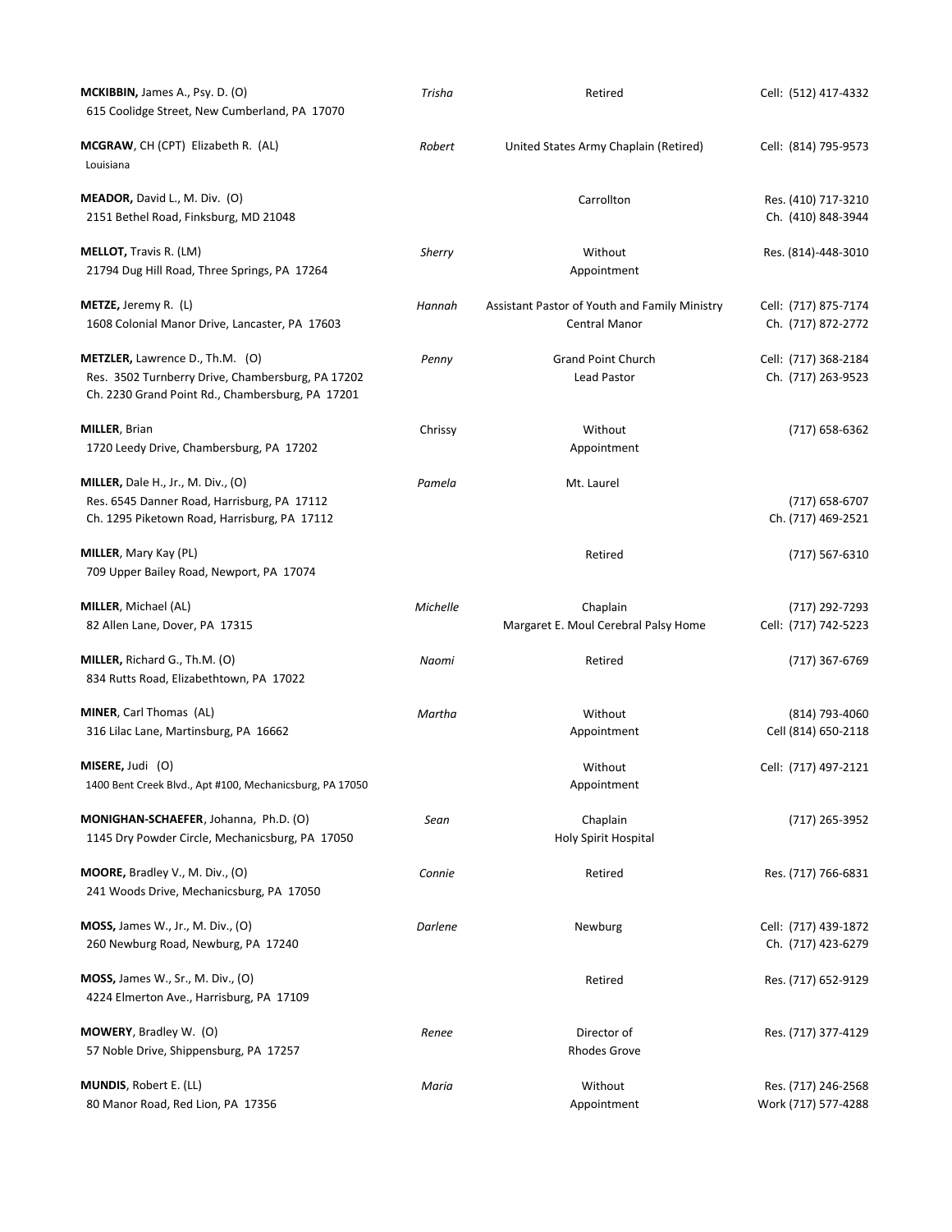| <b>MCKIBBIN, James A., Psy. D. (O)</b><br>615 Coolidge Street, New Cumberland, PA 17070                                                    | Trisha   | Retired                                                        | Cell: (512) 417-4332                       |
|--------------------------------------------------------------------------------------------------------------------------------------------|----------|----------------------------------------------------------------|--------------------------------------------|
| <b>MCGRAW, CH (CPT) Elizabeth R. (AL)</b><br>Louisiana                                                                                     | Robert   | United States Army Chaplain (Retired)                          | Cell: (814) 795-9573                       |
| MEADOR, David L., M. Div. (O)<br>2151 Bethel Road, Finksburg, MD 21048                                                                     |          | Carrollton                                                     | Res. (410) 717-3210<br>Ch. (410) 848-3944  |
| <b>MELLOT, Travis R. (LM)</b><br>21794 Dug Hill Road, Three Springs, PA 17264                                                              | Sherry   | Without<br>Appointment                                         | Res. (814)-448-3010                        |
| <b>METZE, Jeremy R. (L)</b><br>1608 Colonial Manor Drive, Lancaster, PA 17603                                                              | Hannah   | Assistant Pastor of Youth and Family Ministry<br>Central Manor | Cell: (717) 875-7174<br>Ch. (717) 872-2772 |
| METZLER, Lawrence D., Th.M. (O)<br>Res. 3502 Turnberry Drive, Chambersburg, PA 17202<br>Ch. 2230 Grand Point Rd., Chambersburg, PA 17201   | Penny    | <b>Grand Point Church</b><br>Lead Pastor                       | Cell: (717) 368-2184<br>Ch. (717) 263-9523 |
| <b>MILLER, Brian</b><br>1720 Leedy Drive, Chambersburg, PA 17202                                                                           | Chrissy  | Without<br>Appointment                                         | (717) 658-6362                             |
| <b>MILLER,</b> Dale H., Jr., M. Div., $(0)$<br>Res. 6545 Danner Road, Harrisburg, PA 17112<br>Ch. 1295 Piketown Road, Harrisburg, PA 17112 | Pamela   | Mt. Laurel                                                     | $(717)$ 658-6707<br>Ch. (717) 469-2521     |
| MILLER, Mary Kay (PL)<br>709 Upper Bailey Road, Newport, PA 17074                                                                          |          | Retired                                                        | (717) 567-6310                             |
| MILLER, Michael (AL)<br>82 Allen Lane, Dover, PA 17315                                                                                     | Michelle | Chaplain<br>Margaret E. Moul Cerebral Palsy Home               | (717) 292-7293<br>Cell: (717) 742-5223     |
| MILLER, Richard G., Th.M. (O)<br>834 Rutts Road, Elizabethtown, PA 17022                                                                   | Naomi    | Retired                                                        | (717) 367-6769                             |
| MINER, Carl Thomas (AL)<br>316 Lilac Lane, Martinsburg, PA 16662                                                                           | Martha   | Without<br>Appointment                                         | (814) 793-4060<br>Cell (814) 650-2118      |
| MISERE, Judi (O)<br>1400 Bent Creek Blvd., Apt #100, Mechanicsburg, PA 17050                                                               |          | Without<br>Appointment                                         | Cell: (717) 497-2121                       |
| MONIGHAN-SCHAEFER, Johanna, Ph.D. (O)<br>1145 Dry Powder Circle, Mechanicsburg, PA 17050                                                   | Sean     | Chaplain<br><b>Holy Spirit Hospital</b>                        | (717) 265-3952                             |
| <b>MOORE, Bradley V., M. Div., (O)</b><br>241 Woods Drive, Mechanicsburg, PA 17050                                                         | Connie   | Retired                                                        | Res. (717) 766-6831                        |
| MOSS, James W., Jr., M. Div., (O)<br>260 Newburg Road, Newburg, PA 17240                                                                   | Darlene  | Newburg                                                        | Cell: (717) 439-1872<br>Ch. (717) 423-6279 |
| <b>MOSS, James W., Sr., M. Div., (O)</b><br>4224 Elmerton Ave., Harrisburg, PA 17109                                                       |          | Retired                                                        | Res. (717) 652-9129                        |
| <b>MOWERY, Bradley W. (O)</b><br>57 Noble Drive, Shippensburg, PA 17257                                                                    | Renee    | Director of<br><b>Rhodes Grove</b>                             | Res. (717) 377-4129                        |
| MUNDIS, Robert E. (LL)<br>80 Manor Road, Red Lion, PA 17356                                                                                | Maria    | Without<br>Appointment                                         | Res. (717) 246-2568<br>Work (717) 577-4288 |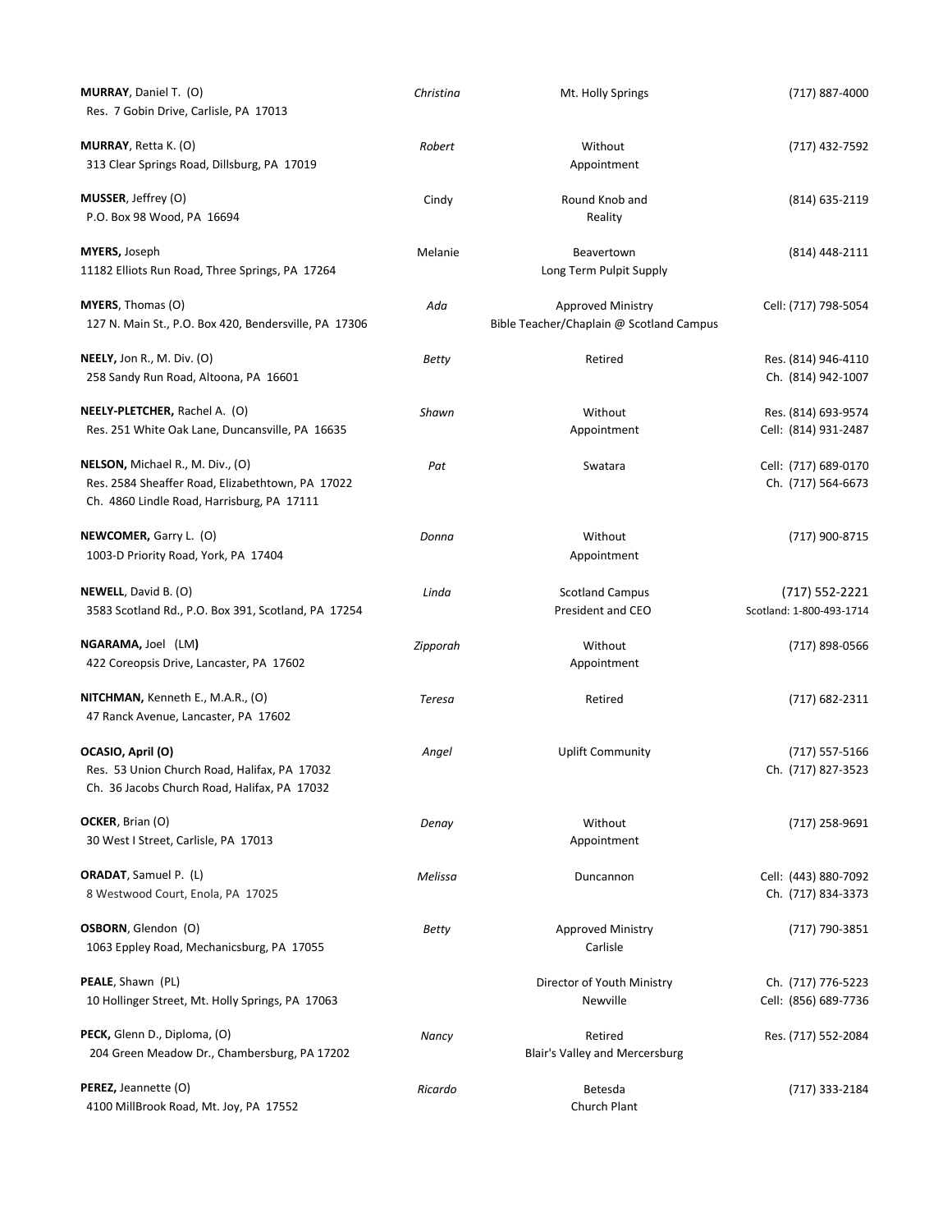| MURRAY, Daniel T. (O)<br>Res. 7 Gobin Drive, Carlisle, PA 17013                                                                           | Christina | Mt. Holly Springs                                                    | (717) 887-4000                              |
|-------------------------------------------------------------------------------------------------------------------------------------------|-----------|----------------------------------------------------------------------|---------------------------------------------|
| <b>MURRAY</b> , Retta K. (O)<br>313 Clear Springs Road, Dillsburg, PA 17019                                                               | Robert    | Without<br>Appointment                                               | (717) 432-7592                              |
| MUSSER, Jeffrey (O)<br>P.O. Box 98 Wood, PA 16694                                                                                         | Cindy     | Round Knob and<br>Reality                                            | (814) 635-2119                              |
| <b>MYERS, Joseph</b><br>11182 Elliots Run Road, Three Springs, PA 17264                                                                   | Melanie   | Beavertown<br>Long Term Pulpit Supply                                | (814) 448-2111                              |
| <b>MYERS</b> , Thomas (O)<br>127 N. Main St., P.O. Box 420, Bendersville, PA 17306                                                        | Ada       | <b>Approved Ministry</b><br>Bible Teacher/Chaplain @ Scotland Campus | Cell: (717) 798-5054                        |
| <b>NEELY,</b> Jon R., M. Div. (O)<br>258 Sandy Run Road, Altoona, PA 16601                                                                | Betty     | Retired                                                              | Res. (814) 946-4110<br>Ch. (814) 942-1007   |
| NEELY-PLETCHER, Rachel A. (O)<br>Res. 251 White Oak Lane, Duncansville, PA 16635                                                          | Shawn     | Without<br>Appointment                                               | Res. (814) 693-9574<br>Cell: (814) 931-2487 |
| <b>NELSON, Michael R., M. Div., (O)</b><br>Res. 2584 Sheaffer Road, Elizabethtown, PA 17022<br>Ch. 4860 Lindle Road, Harrisburg, PA 17111 | Pat       | Swatara                                                              | Cell: (717) 689-0170<br>Ch. (717) 564-6673  |
| NEWCOMER, Garry L. (O)<br>1003-D Priority Road, York, PA 17404                                                                            | Donna     | Without<br>Appointment                                               | (717) 900-8715                              |
| NEWELL, David B. (O)<br>3583 Scotland Rd., P.O. Box 391, Scotland, PA 17254                                                               | Linda     | <b>Scotland Campus</b><br>President and CEO                          | (717) 552-2221<br>Scotland: 1-800-493-1714  |
| <b>NGARAMA,</b> Joel (LM)<br>422 Coreopsis Drive, Lancaster, PA 17602                                                                     | Zipporah  | Without<br>Appointment                                               | (717) 898-0566                              |
| NITCHMAN, Kenneth E., M.A.R., (O)<br>47 Ranck Avenue, Lancaster, PA 17602                                                                 | Teresa    | Retired                                                              | (717) 682-2311                              |
| OCASIO, April (O)<br>Res. 53 Union Church Road, Halifax, PA 17032<br>Ch. 36 Jacobs Church Road, Halifax, PA 17032                         | Angel     | <b>Uplift Community</b>                                              | $(717) 557 - 5166$<br>Ch. (717) 827-3523    |
| OCKER, Brian (O)<br>30 West I Street, Carlisle, PA 17013                                                                                  | Denay     | Without<br>Appointment                                               | (717) 258-9691                              |
| <b>ORADAT, Samuel P. (L)</b><br>8 Westwood Court, Enola, PA 17025                                                                         | Melissa   | Duncannon                                                            | Cell: (443) 880-7092<br>Ch. (717) 834-3373  |
| OSBORN, Glendon (O)<br>1063 Eppley Road, Mechanicsburg, PA 17055                                                                          | Betty     | Approved Ministry<br>Carlisle                                        | (717) 790-3851                              |
| PEALE, Shawn (PL)<br>10 Hollinger Street, Mt. Holly Springs, PA 17063                                                                     |           | Director of Youth Ministry<br>Newville                               | Ch. (717) 776-5223<br>Cell: (856) 689-7736  |
| PECK, Glenn D., Diploma, (O)<br>204 Green Meadow Dr., Chambersburg, PA 17202                                                              | Nancy     | Retired<br>Blair's Valley and Mercersburg                            | Res. (717) 552-2084                         |
| PEREZ, Jeannette (O)<br>4100 MillBrook Road, Mt. Joy, PA 17552                                                                            | Ricardo   | Betesda<br>Church Plant                                              | (717) 333-2184                              |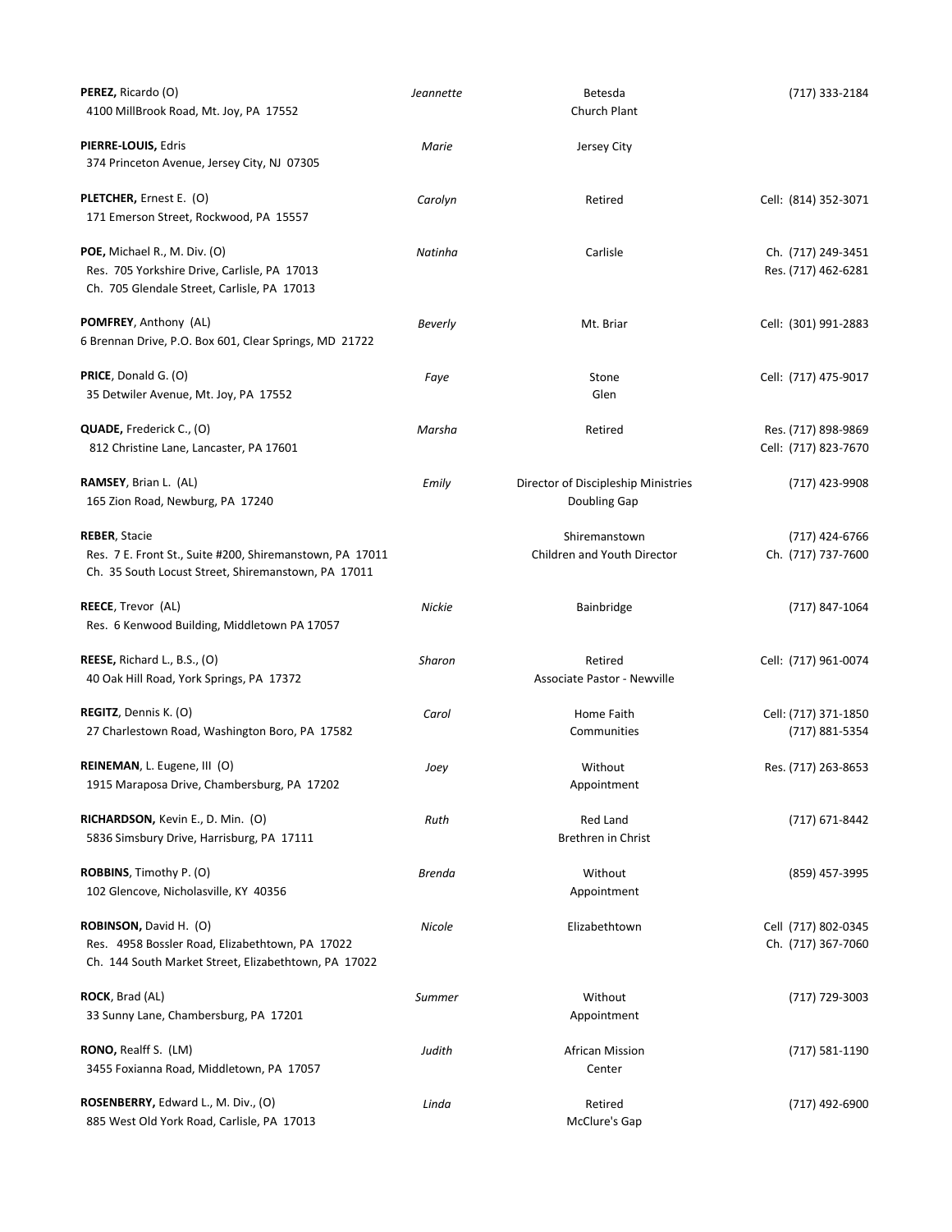| PEREZ, Ricardo (O)<br>4100 MillBrook Road, Mt. Joy, PA 17552                                                                            | Jeannette | Betesda<br>Church Plant                             | (717) 333-2184                              |
|-----------------------------------------------------------------------------------------------------------------------------------------|-----------|-----------------------------------------------------|---------------------------------------------|
| PIERRE-LOUIS, Edris<br>374 Princeton Avenue, Jersey City, NJ 07305                                                                      | Marie     | Jersey City                                         |                                             |
| PLETCHER, Ernest E. (O)<br>171 Emerson Street, Rockwood, PA 15557                                                                       | Carolyn   | Retired                                             | Cell: (814) 352-3071                        |
| POE, Michael R., M. Div. (O)<br>Res. 705 Yorkshire Drive, Carlisle, PA 17013<br>Ch. 705 Glendale Street, Carlisle, PA 17013             | Natinha   | Carlisle                                            | Ch. (717) 249-3451<br>Res. (717) 462-6281   |
| <b>POMFREY, Anthony (AL)</b><br>6 Brennan Drive, P.O. Box 601, Clear Springs, MD 21722                                                  | Beverly   | Mt. Briar                                           | Cell: (301) 991-2883                        |
| <b>PRICE</b> , Donald G. (O)<br>35 Detwiler Avenue, Mt. Joy, PA 17552                                                                   | Faye      | Stone<br>Glen                                       | Cell: (717) 475-9017                        |
| <b>QUADE,</b> Frederick C., (O)<br>812 Christine Lane, Lancaster, PA 17601                                                              | Marsha    | Retired                                             | Res. (717) 898-9869<br>Cell: (717) 823-7670 |
| <b>RAMSEY, Brian L. (AL)</b><br>165 Zion Road, Newburg, PA 17240                                                                        | Emily     | Director of Discipleship Ministries<br>Doubling Gap | (717) 423-9908                              |
| <b>REBER, Stacie</b><br>Res. 7 E. Front St., Suite #200, Shiremanstown, PA 17011<br>Ch. 35 South Locust Street, Shiremanstown, PA 17011 |           | Shiremanstown<br>Children and Youth Director        | (717) 424-6766<br>Ch. (717) 737-7600        |
| REECE, Trevor (AL)<br>Res. 6 Kenwood Building, Middletown PA 17057                                                                      | Nickie    | <b>Bainbridge</b>                                   | (717) 847-1064                              |
| REESE, Richard L., B.S., (O)<br>40 Oak Hill Road, York Springs, PA 17372                                                                | Sharon    | Retired<br>Associate Pastor - Newville              | Cell: (717) 961-0074                        |
| REGITZ, Dennis K. (O)<br>27 Charlestown Road, Washington Boro, PA 17582                                                                 | Carol     | Home Faith<br>Communities                           | Cell: (717) 371-1850<br>(717) 881-5354      |
| <b>REINEMAN, L. Eugene, III (O)</b><br>1915 Maraposa Drive, Chambersburg, PA 17202                                                      | Joey      | Without<br>Appointment                              | Res. (717) 263-8653                         |
| RICHARDSON, Kevin E., D. Min. (O)<br>5836 Simsbury Drive, Harrisburg, PA 17111                                                          | Ruth      | Red Land<br>Brethren in Christ                      | (717) 671-8442                              |
| ROBBINS, Timothy P. (O)<br>102 Glencove, Nicholasville, KY 40356                                                                        | Brenda    | Without<br>Appointment                              | (859) 457-3995                              |
| ROBINSON, David H. (O)<br>Res. 4958 Bossler Road, Elizabethtown, PA 17022<br>Ch. 144 South Market Street, Elizabethtown, PA 17022       | Nicole    | Elizabethtown                                       | Cell (717) 802-0345<br>Ch. (717) 367-7060   |
| <b>ROCK</b> , Brad (AL)<br>33 Sunny Lane, Chambersburg, PA 17201                                                                        | Summer    | Without<br>Appointment                              | (717) 729-3003                              |
| <b>RONO, Realff S. (LM)</b><br>3455 Foxianna Road, Middletown, PA 17057                                                                 | Judith    | African Mission<br>Center                           | $(717) 581 - 1190$                          |
| ROSENBERRY, Edward L., M. Div., (O)<br>885 West Old York Road, Carlisle, PA 17013                                                       | Linda     | Retired<br>McClure's Gap                            | (717) 492-6900                              |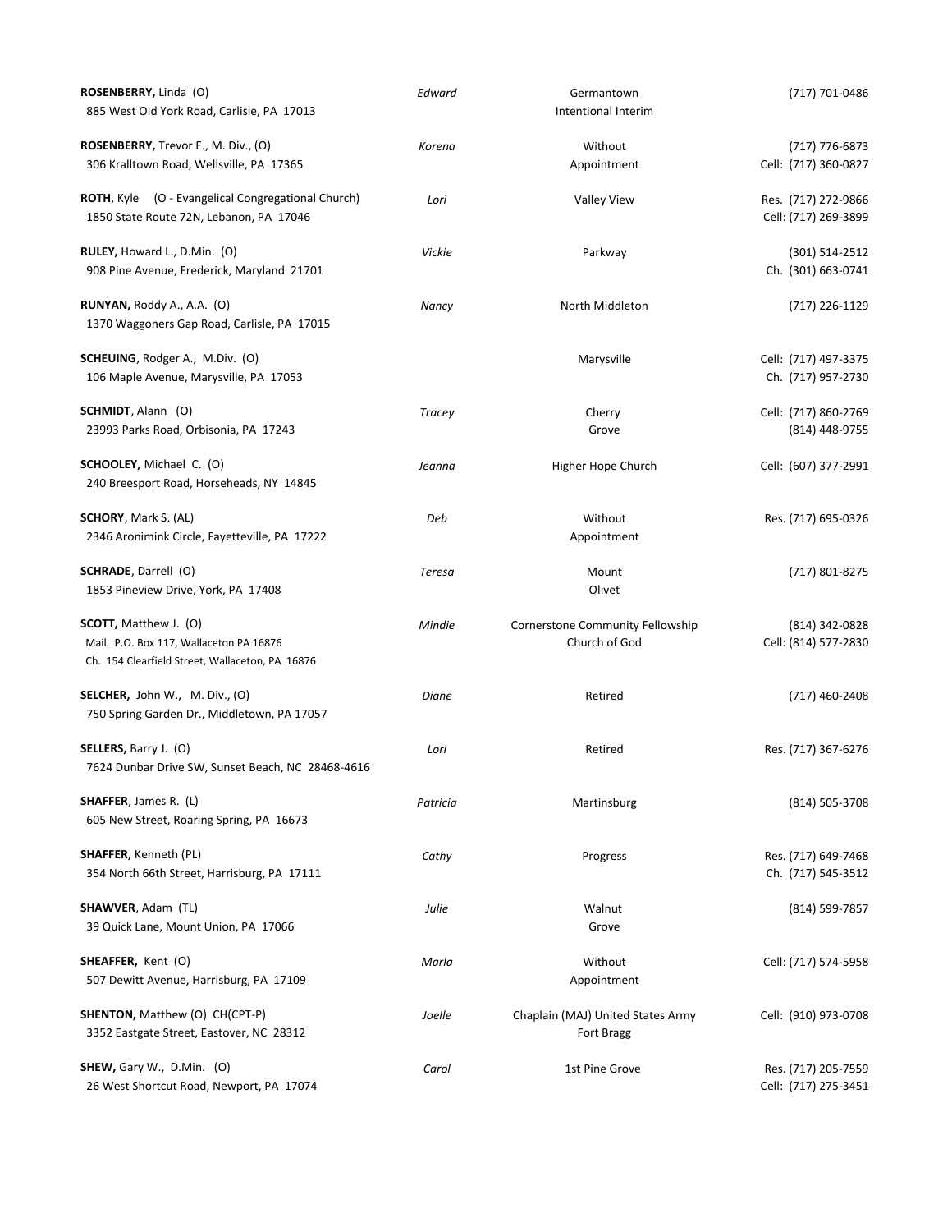| ROSENBERRY, Linda (O)<br>885 West Old York Road, Carlisle, PA 17013                                                        | Edward   | Germantown<br>Intentional Interim                 | (717) 701-0486                              |
|----------------------------------------------------------------------------------------------------------------------------|----------|---------------------------------------------------|---------------------------------------------|
| <b>ROSENBERRY,</b> Trevor E., M. Div., (O)                                                                                 | Korena   | Without                                           | (717) 776-6873                              |
| 306 Kralltown Road, Wellsville, PA 17365                                                                                   |          | Appointment                                       | Cell: (717) 360-0827                        |
| ROTH, Kyle (O - Evangelical Congregational Church)<br>1850 State Route 72N, Lebanon, PA 17046                              | Lori     | <b>Valley View</b>                                | Res. (717) 272-9866<br>Cell: (717) 269-3899 |
| RULEY, Howard L., D.Min. (O)<br>908 Pine Avenue, Frederick, Maryland 21701                                                 | Vickie   | Parkway                                           | $(301) 514 - 2512$<br>Ch. (301) 663-0741    |
| <b>RUNYAN,</b> Roddy A., A.A. (O)<br>1370 Waggoners Gap Road, Carlisle, PA 17015                                           | Nancy    | North Middleton                                   | (717) 226-1129                              |
| SCHEUING, Rodger A., M.Div. (O)<br>106 Maple Avenue, Marysville, PA 17053                                                  |          | Marysville                                        | Cell: (717) 497-3375<br>Ch. (717) 957-2730  |
| SCHMIDT, Alann (O)<br>23993 Parks Road, Orbisonia, PA 17243                                                                | Tracey   | Cherry<br>Grove                                   | Cell: (717) 860-2769<br>(814) 448-9755      |
| SCHOOLEY, Michael C. (O)<br>240 Breesport Road, Horseheads, NY 14845                                                       | Jeanna   | Higher Hope Church                                | Cell: (607) 377-2991                        |
| SCHORY, Mark S. (AL)<br>2346 Aronimink Circle, Fayetteville, PA 17222                                                      | Deb      | Without<br>Appointment                            | Res. (717) 695-0326                         |
| <b>SCHRADE</b> , Darrell (O)<br>1853 Pineview Drive, York, PA 17408                                                        | Teresa   | Mount<br>Olivet                                   | (717) 801-8275                              |
| <b>SCOTT, Matthew J. (O)</b><br>Mail. P.O. Box 117, Wallaceton PA 16876<br>Ch. 154 Clearfield Street, Wallaceton, PA 16876 | Mindie   | Cornerstone Community Fellowship<br>Church of God | (814) 342-0828<br>Cell: (814) 577-2830      |
| SELCHER, John W., M. Div., (O)<br>750 Spring Garden Dr., Middletown, PA 17057                                              | Diane    | Retired                                           | (717) 460-2408                              |
| <b>SELLERS, Barry J. (O)</b><br>7624 Dunbar Drive SW, Sunset Beach, NC 28468-4616                                          | Lori     | Retired                                           | Res. (717) 367-6276                         |
| <b>SHAFFER</b> , James R. (L)<br>605 New Street, Roaring Spring, PA 16673                                                  | Patricia | Martinsburg                                       | (814) 505-3708                              |
| <b>SHAFFER,</b> Kenneth (PL)<br>354 North 66th Street, Harrisburg, PA 17111                                                | Cathy    | Progress                                          | Res. (717) 649-7468<br>Ch. (717) 545-3512   |
| SHAWVER, Adam (TL)<br>39 Quick Lane, Mount Union, PA 17066                                                                 | Julie    | Walnut<br>Grove                                   | (814) 599-7857                              |
| <b>SHEAFFER, Kent (O)</b><br>507 Dewitt Avenue, Harrisburg, PA 17109                                                       | Marla    | Without<br>Appointment                            | Cell: (717) 574-5958                        |
| <b>SHENTON, Matthew (O) CH(CPT-P)</b><br>3352 Eastgate Street, Eastover, NC 28312                                          | Joelle   | Chaplain (MAJ) United States Army<br>Fort Bragg   | Cell: (910) 973-0708                        |
| SHEW, Gary W., D.Min. (O)<br>26 West Shortcut Road, Newport, PA 17074                                                      | Carol    | 1st Pine Grove                                    | Res. (717) 205-7559<br>Cell: (717) 275-3451 |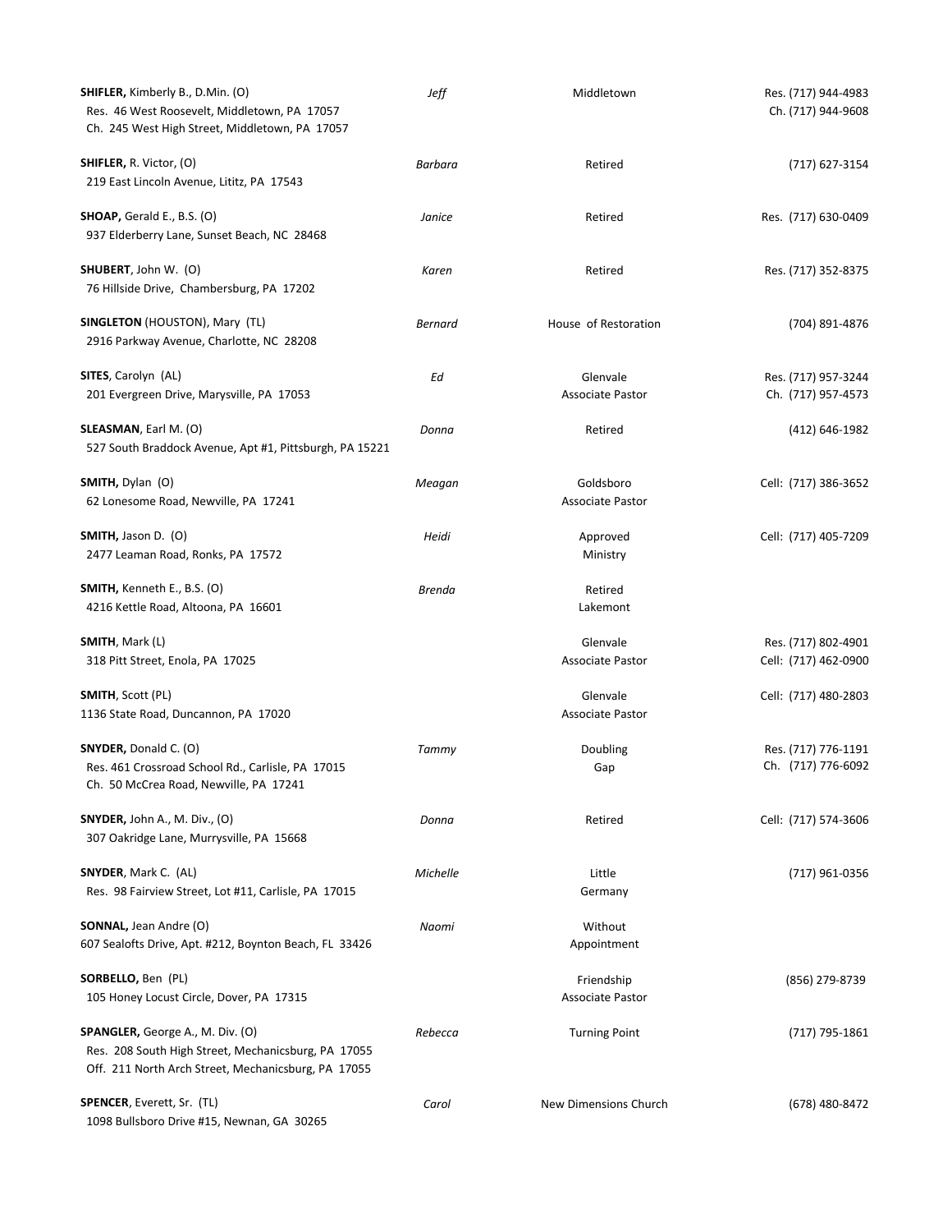| <b>SHIFLER, Kimberly B., D.Min. (O)</b><br>Res. 46 West Roosevelt, Middletown, PA 17057<br>Ch. 245 West High Street, Middletown, PA 17057             | Jeff          | Middletown                            | Res. (717) 944-4983<br>Ch. (717) 944-9608   |
|-------------------------------------------------------------------------------------------------------------------------------------------------------|---------------|---------------------------------------|---------------------------------------------|
| <b>SHIFLER, R. Victor, (O)</b><br>219 East Lincoln Avenue, Lititz, PA 17543                                                                           | Barbara       | Retired                               | (717) 627-3154                              |
| SHOAP, Gerald E., B.S. (O)<br>937 Elderberry Lane, Sunset Beach, NC 28468                                                                             | Janice        | Retired                               | Res. (717) 630-0409                         |
| SHUBERT, John W. (O)<br>76 Hillside Drive, Chambersburg, PA 17202                                                                                     | Karen         | Retired                               | Res. (717) 352-8375                         |
| <b>SINGLETON</b> (HOUSTON), Mary (TL)<br>2916 Parkway Avenue, Charlotte, NC 28208                                                                     | Bernard       | House of Restoration                  | (704) 891-4876                              |
| <b>SITES, Carolyn (AL)</b><br>201 Evergreen Drive, Marysville, PA 17053                                                                               | Ed            | Glenvale<br><b>Associate Pastor</b>   | Res. (717) 957-3244<br>Ch. (717) 957-4573   |
| <b>SLEASMAN</b> , Earl M. (O)<br>527 South Braddock Avenue, Apt #1, Pittsburgh, PA 15221                                                              | Donna         | Retired                               | (412) 646-1982                              |
| <b>SMITH, Dylan (O)</b><br>62 Lonesome Road, Newville, PA 17241                                                                                       | Meagan        | Goldsboro<br><b>Associate Pastor</b>  | Cell: (717) 386-3652                        |
| SMITH, Jason D. (O)<br>2477 Leaman Road, Ronks, PA 17572                                                                                              | Heidi         | Approved<br>Ministry                  | Cell: (717) 405-7209                        |
| <b>SMITH,</b> Kenneth E., B.S. (O)<br>4216 Kettle Road, Altoona, PA 16601                                                                             | <b>Brenda</b> | Retired<br>Lakemont                   |                                             |
| <b>SMITH</b> , Mark (L)<br>318 Pitt Street, Enola, PA 17025                                                                                           |               | Glenvale<br>Associate Pastor          | Res. (717) 802-4901<br>Cell: (717) 462-0900 |
| SMITH, Scott (PL)<br>1136 State Road, Duncannon, PA 17020                                                                                             |               | Glenvale<br><b>Associate Pastor</b>   | Cell: (717) 480-2803                        |
| SNYDER, Donald C. (O)<br>Res. 461 Crossroad School Rd., Carlisle, PA 17015<br>Ch. 50 McCrea Road, Newville, PA 17241                                  | Tammy         | Doubling<br>Gap                       | Res. (717) 776-1191<br>Ch. (717) 776-6092   |
| <b>SNYDER, John A., M. Div., (O)</b><br>307 Oakridge Lane, Murrysville, PA 15668                                                                      | Donna         | Retired                               | Cell: (717) 574-3606                        |
| <b>SNYDER, Mark C. (AL)</b><br>Res. 98 Fairview Street, Lot #11, Carlisle, PA 17015                                                                   | Michelle      | Little<br>Germany                     | (717) 961-0356                              |
| <b>SONNAL, Jean Andre (O)</b><br>607 Sealofts Drive, Apt. #212, Boynton Beach, FL 33426                                                               | Naomi         | Without<br>Appointment                |                                             |
| SORBELLO, Ben (PL)<br>105 Honey Locust Circle, Dover, PA 17315                                                                                        |               | Friendship<br><b>Associate Pastor</b> | (856) 279-8739                              |
| <b>SPANGLER, George A., M. Div. (O)</b><br>Res. 208 South High Street, Mechanicsburg, PA 17055<br>Off. 211 North Arch Street, Mechanicsburg, PA 17055 | Rebecca       | <b>Turning Point</b>                  | (717) 795-1861                              |
| SPENCER, Everett, Sr. (TL)<br>1098 Bullsboro Drive #15, Newnan, GA 30265                                                                              | Carol         | New Dimensions Church                 | (678) 480-8472                              |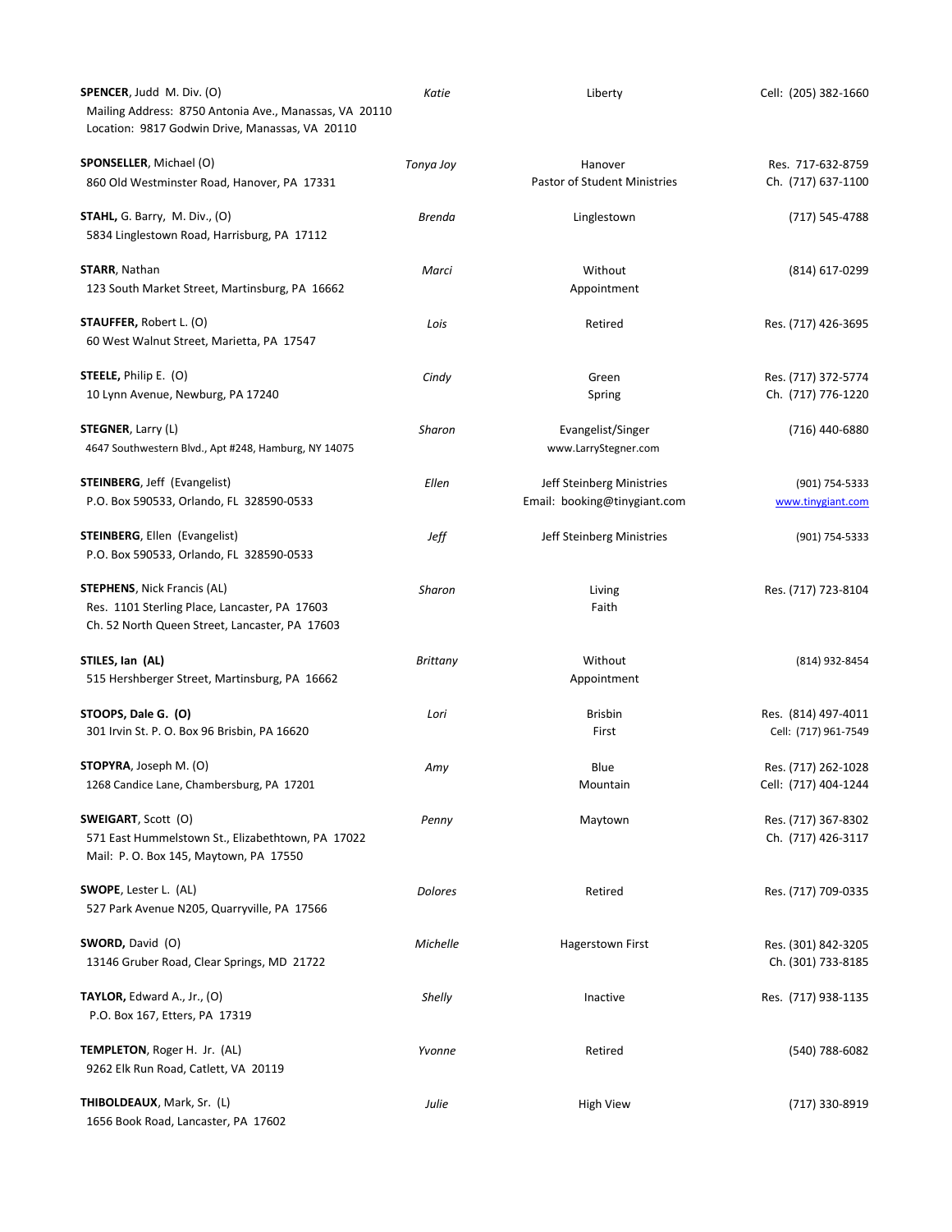| SPENCER, Judd M. Div. (O)<br>Mailing Address: 8750 Antonia Ave., Manassas, VA 20110<br>Location: 9817 Godwin Drive, Manassas, VA 20110 | Katie           | Liberty                                                   | Cell: (205) 382-1660                        |
|----------------------------------------------------------------------------------------------------------------------------------------|-----------------|-----------------------------------------------------------|---------------------------------------------|
| SPONSELLER, Michael (O)<br>860 Old Westminster Road, Hanover, PA 17331                                                                 | Tonya Joy       | Hanover<br>Pastor of Student Ministries                   | Res. 717-632-8759<br>Ch. (717) 637-1100     |
| $STAHL$ , G. Barry, M. Div., (O)<br>5834 Linglestown Road, Harrisburg, PA 17112                                                        | Brenda          | Linglestown                                               | (717) 545-4788                              |
| <b>STARR</b> , Nathan<br>123 South Market Street, Martinsburg, PA 16662                                                                | Marci           | Without<br>Appointment                                    | (814) 617-0299                              |
| <b>STAUFFER, Robert L. (O)</b><br>60 West Walnut Street, Marietta, PA 17547                                                            | Lois            | Retired                                                   | Res. (717) 426-3695                         |
| <b>STEELE, Philip E. (O)</b><br>10 Lynn Avenue, Newburg, PA 17240                                                                      | Cindy           | Green<br>Spring                                           | Res. (717) 372-5774<br>Ch. (717) 776-1220   |
| <b>STEGNER</b> , Larry (L)<br>4647 Southwestern Blvd., Apt #248, Hamburg, NY 14075                                                     | Sharon          | Evangelist/Singer<br>www.LarryStegner.com                 | (716) 440-6880                              |
| <b>STEINBERG, Jeff (Evangelist)</b><br>P.O. Box 590533, Orlando, FL 328590-0533                                                        | Ellen           | Jeff Steinberg Ministries<br>Email: booking@tinygiant.com | (901) 754-5333<br>www.tinygiant.com         |
| <b>STEINBERG, Ellen (Evangelist)</b><br>P.O. Box 590533, Orlando, FL 328590-0533                                                       | Jeff            | Jeff Steinberg Ministries                                 | (901) 754-5333                              |
| <b>STEPHENS</b> , Nick Francis (AL)<br>Res. 1101 Sterling Place, Lancaster, PA 17603<br>Ch. 52 North Queen Street, Lancaster, PA 17603 | Sharon          | Living<br>Faith                                           | Res. (717) 723-8104                         |
| STILES, Ian (AL)<br>515 Hershberger Street, Martinsburg, PA 16662                                                                      | <b>Brittany</b> | Without<br>Appointment                                    | (814) 932-8454                              |
| STOOPS, Dale G. (O)<br>301 Irvin St. P. O. Box 96 Brisbin, PA 16620                                                                    | Lori            | <b>Brisbin</b><br>First                                   | Res. (814) 497-4011<br>Cell: (717) 961-7549 |
| <b>STOPYRA</b> , Joseph M. (O)<br>1268 Candice Lane, Chambersburg, PA 17201                                                            | Amy             | Blue<br>Mountain                                          | Res. (717) 262-1028<br>Cell: (717) 404-1244 |
| SWEIGART, Scott (O)<br>571 East Hummelstown St., Elizabethtown, PA 17022<br>Mail: P. O. Box 145, Maytown, PA 17550                     | Penny           | Maytown                                                   | Res. (717) 367-8302<br>Ch. (717) 426-3117   |
| SWOPE, Lester L. (AL)<br>527 Park Avenue N205, Quarryville, PA 17566                                                                   | <b>Dolores</b>  | Retired                                                   | Res. (717) 709-0335                         |
| SWORD, David (O)<br>13146 Gruber Road, Clear Springs, MD 21722                                                                         | Michelle        | <b>Hagerstown First</b>                                   | Res. (301) 842-3205<br>Ch. (301) 733-8185   |
| <b>TAYLOR, Edward A., Jr., (O)</b><br>P.O. Box 167, Etters, PA 17319                                                                   | Shelly          | Inactive                                                  | Res. (717) 938-1135                         |
| TEMPLETON, Roger H. Jr. (AL)<br>9262 Elk Run Road, Catlett, VA 20119                                                                   | Yvonne          | Retired                                                   | (540) 788-6082                              |
| THIBOLDEAUX, Mark, Sr. (L)<br>1656 Book Road, Lancaster, PA 17602                                                                      | Julie           | <b>High View</b>                                          | (717) 330-8919                              |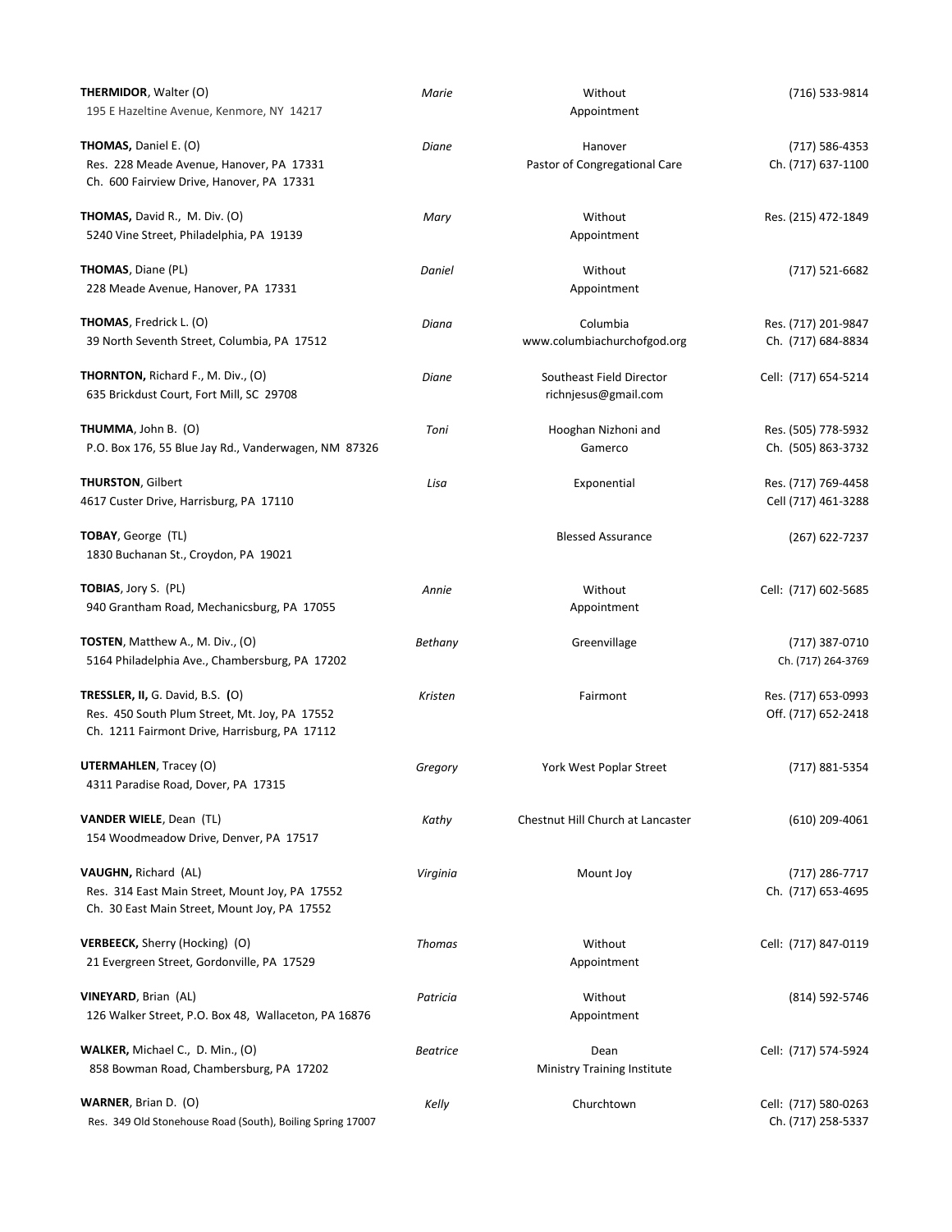| THERMIDOR, Walter (O)<br>195 E Hazeltine Avenue, Kenmore, NY 14217                                                                        | Marie           | Without<br>Appointment                           | (716) 533-9814                             |
|-------------------------------------------------------------------------------------------------------------------------------------------|-----------------|--------------------------------------------------|--------------------------------------------|
| <b>THOMAS, Daniel E. (O)</b><br>Res. 228 Meade Avenue, Hanover, PA 17331<br>Ch. 600 Fairview Drive, Hanover, PA 17331                     | Diane           | Hanover<br>Pastor of Congregational Care         | (717) 586-4353<br>Ch. (717) 637-1100       |
| THOMAS, David R., M. Div. (O)<br>5240 Vine Street, Philadelphia, PA 19139                                                                 | Mary            | Without<br>Appointment                           | Res. (215) 472-1849                        |
| <b>THOMAS</b> , Diane (PL)<br>228 Meade Avenue, Hanover, PA 17331                                                                         | Daniel          | Without<br>Appointment                           | $(717) 521 - 6682$                         |
| <b>THOMAS</b> , Fredrick L. (O)<br>39 North Seventh Street, Columbia, PA 17512                                                            | Diana           | Columbia<br>www.columbiachurchofgod.org          | Res. (717) 201-9847<br>Ch. (717) 684-8834  |
| <b>THORNTON, Richard F., M. Div., (O)</b><br>635 Brickdust Court, Fort Mill, SC 29708                                                     | Diane           | Southeast Field Director<br>richnjesus@gmail.com | Cell: (717) 654-5214                       |
| THUMMA, John B. (O)<br>P.O. Box 176, 55 Blue Jay Rd., Vanderwagen, NM 87326                                                               | Toni            | Hooghan Nizhoni and<br>Gamerco                   | Res. (505) 778-5932<br>Ch. (505) 863-3732  |
| <b>THURSTON, Gilbert</b><br>4617 Custer Drive, Harrisburg, PA 17110                                                                       | Lisa            | Exponential                                      | Res. (717) 769-4458<br>Cell (717) 461-3288 |
| TOBAY, George (TL)<br>1830 Buchanan St., Croydon, PA 19021                                                                                |                 | <b>Blessed Assurance</b>                         | $(267)$ 622-7237                           |
| TOBIAS, Jory S. (PL)<br>940 Grantham Road, Mechanicsburg, PA 17055                                                                        | Annie           | Without<br>Appointment                           | Cell: (717) 602-5685                       |
| TOSTEN, Matthew A., M. Div., (O)<br>5164 Philadelphia Ave., Chambersburg, PA 17202                                                        | Bethany         | Greenvillage                                     | (717) 387-0710<br>Ch. (717) 264-3769       |
| <b>TRESSLER, II, G. David, B.S. (O)</b><br>Res. 450 South Plum Street, Mt. Joy, PA 17552<br>Ch. 1211 Fairmont Drive, Harrisburg, PA 17112 | Kristen         | Fairmont                                         | Res. (717) 653-0993<br>Off. (717) 652-2418 |
| <b>UTERMAHLEN, Tracey (O)</b><br>4311 Paradise Road, Dover, PA 17315                                                                      | Gregory         | York West Poplar Street                          | (717) 881-5354                             |
| <b>VANDER WIELE, Dean (TL)</b><br>154 Woodmeadow Drive, Denver, PA 17517                                                                  | Kathy           | Chestnut Hill Church at Lancaster                | $(610)$ 209-4061                           |
| <b>VAUGHN, Richard (AL)</b><br>Res. 314 East Main Street, Mount Joy, PA 17552<br>Ch. 30 East Main Street, Mount Joy, PA 17552             | Virginia        | Mount Joy                                        | (717) 286-7717<br>Ch. (717) 653-4695       |
| <b>VERBEECK, Sherry (Hocking) (O)</b><br>21 Evergreen Street, Gordonville, PA 17529                                                       | <b>Thomas</b>   | Without<br>Appointment                           | Cell: (717) 847-0119                       |
| <b>VINEYARD, Brian (AL)</b><br>126 Walker Street, P.O. Box 48, Wallaceton, PA 16876                                                       | Patricia        | Without<br>Appointment                           | (814) 592-5746                             |
| <b>WALKER, Michael C., D. Min., (O)</b><br>858 Bowman Road, Chambersburg, PA 17202                                                        | <b>Beatrice</b> | Dean<br><b>Ministry Training Institute</b>       | Cell: (717) 574-5924                       |
| <b>WARNER, Brian D. (O)</b><br>Res. 349 Old Stonehouse Road (South), Boiling Spring 17007                                                 | Kelly           | Churchtown                                       | Cell: (717) 580-0263<br>Ch. (717) 258-5337 |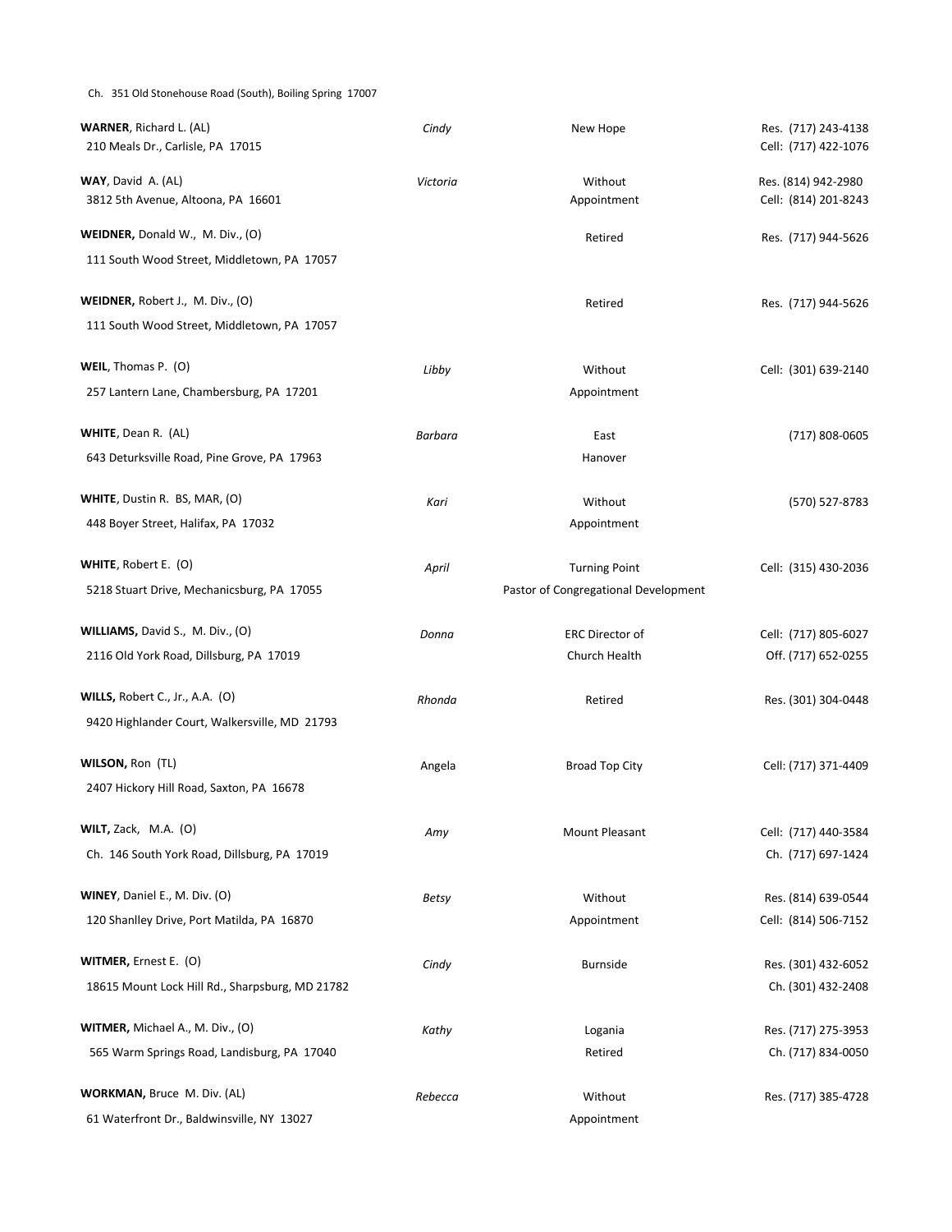#### Ch. 351 Old Stonehouse Road (South), Boiling Spring 17007

| <b>WARNER</b> , Richard L. (AL)<br>210 Meals Dr., Carlisle, PA 17015            | Cindy    | New Hope                             | Res. (717) 243-4138<br>Cell: (717) 422-1076 |
|---------------------------------------------------------------------------------|----------|--------------------------------------|---------------------------------------------|
| WAY, David A. (AL)<br>3812 5th Avenue, Altoona, PA 16601                        | Victoria | Without<br>Appointment               | Res. (814) 942-2980<br>Cell: (814) 201-8243 |
| WEIDNER, Donald W., M. Div., (O)                                                |          | Retired                              | Res. (717) 944-5626                         |
| 111 South Wood Street, Middletown, PA 17057                                     |          |                                      |                                             |
| WEIDNER, Robert J., M. Div., (O)<br>111 South Wood Street, Middletown, PA 17057 |          | Retired                              | Res. (717) 944-5626                         |
| WEIL, Thomas P. (O)                                                             | Libby    | Without                              | Cell: (301) 639-2140                        |
| 257 Lantern Lane, Chambersburg, PA 17201                                        |          | Appointment                          |                                             |
| WHITE, Dean R. (AL)                                                             | Barbara  | East                                 | (717) 808-0605                              |
| 643 Deturksville Road, Pine Grove, PA 17963                                     |          | Hanover                              |                                             |
| WHITE, Dustin R. BS, MAR, (O)                                                   | Kari     | Without                              | (570) 527-8783                              |
| 448 Boyer Street, Halifax, PA 17032                                             |          | Appointment                          |                                             |
| WHITE, Robert E. (O)                                                            | April    | <b>Turning Point</b>                 | Cell: (315) 430-2036                        |
| 5218 Stuart Drive, Mechanicsburg, PA 17055                                      |          | Pastor of Congregational Development |                                             |
| WILLIAMS, David S., M. Div., (O)                                                | Donna    | <b>ERC Director of</b>               | Cell: (717) 805-6027                        |
| 2116 Old York Road, Dillsburg, PA 17019                                         |          | Church Health                        | Off. (717) 652-0255                         |
| WILLS, Robert C., Jr., A.A. (O)                                                 | Rhonda   | Retired                              | Res. (301) 304-0448                         |
| 9420 Highlander Court, Walkersville, MD 21793                                   |          |                                      |                                             |
| WILSON, Ron (TL)                                                                | Angela   | <b>Broad Top City</b>                | Cell: (717) 371-4409                        |
| 2407 Hickory Hill Road, Saxton, PA 16678                                        |          |                                      |                                             |
| <b>WILT,</b> Zack, $M.A.$ (O)                                                   | Amy      | Mount Pleasant                       | Cell: (717) 440-3584                        |
| Ch. 146 South York Road, Dillsburg, PA 17019                                    |          |                                      | Ch. (717) 697-1424                          |
| WINEY, Daniel E., M. Div. (O)                                                   | Betsy    | Without                              | Res. (814) 639-0544                         |
| 120 Shanlley Drive, Port Matilda, PA 16870                                      |          | Appointment                          | Cell: (814) 506-7152                        |
| WITMER, Ernest E. (O)                                                           | Cindy    | <b>Burnside</b>                      | Res. (301) 432-6052                         |
| 18615 Mount Lock Hill Rd., Sharpsburg, MD 21782                                 |          |                                      | Ch. (301) 432-2408                          |
| WITMER, Michael A., M. Div., (O)                                                |          |                                      |                                             |
| 565 Warm Springs Road, Landisburg, PA 17040                                     | Kathy    | Logania<br>Retired                   | Res. (717) 275-3953<br>Ch. (717) 834-0050   |
|                                                                                 |          |                                      |                                             |
| WORKMAN, Bruce M. Div. (AL)<br>61 Waterfront Dr., Baldwinsville, NY 13027       | Rebecca  | Without<br>Appointment               | Res. (717) 385-4728                         |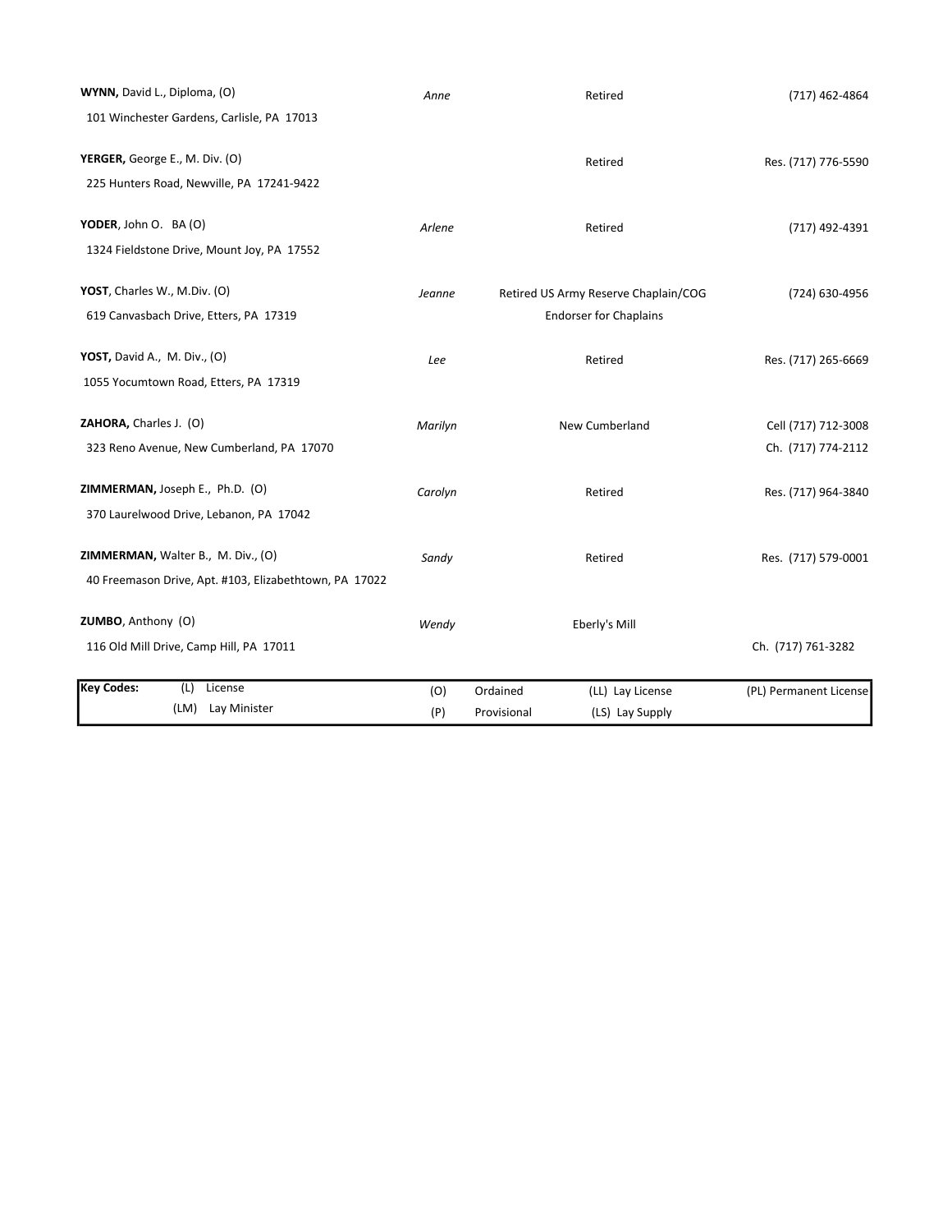| WYNN, David L., Diploma, (O)                           | Anne    |             | Retired                              | (717) 462-4864         |
|--------------------------------------------------------|---------|-------------|--------------------------------------|------------------------|
| 101 Winchester Gardens, Carlisle, PA 17013             |         |             |                                      |                        |
| YERGER, George E., M. Div. (O)                         |         |             | Retired                              | Res. (717) 776-5590    |
| 225 Hunters Road, Newville, PA 17241-9422              |         |             |                                      |                        |
| YODER, John O. BA (O)                                  | Arlene  |             | Retired                              | (717) 492-4391         |
| 1324 Fieldstone Drive, Mount Joy, PA 17552             |         |             |                                      |                        |
| YOST, Charles W., M.Div. (O)                           | Jeanne  |             | Retired US Army Reserve Chaplain/COG | (724) 630-4956         |
| 619 Canvasbach Drive, Etters, PA 17319                 |         |             | <b>Endorser for Chaplains</b>        |                        |
| YOST, David A., M. Div., (O)                           | Lee     |             | Retired                              | Res. (717) 265-6669    |
| 1055 Yocumtown Road, Etters, PA 17319                  |         |             |                                      |                        |
| ZAHORA, Charles J. (O)                                 | Marilyn |             | New Cumberland                       | Cell (717) 712-3008    |
| 323 Reno Avenue, New Cumberland, PA 17070              |         |             |                                      | Ch. (717) 774-2112     |
| ZIMMERMAN, Joseph E., Ph.D. (O)                        | Carolyn |             | Retired                              | Res. (717) 964-3840    |
| 370 Laurelwood Drive, Lebanon, PA 17042                |         |             |                                      |                        |
| ZIMMERMAN, Walter B., M. Div., (O)                     | Sandy   |             | Retired                              | Res. (717) 579-0001    |
| 40 Freemason Drive, Apt. #103, Elizabethtown, PA 17022 |         |             |                                      |                        |
| ZUMBO, Anthony (O)                                     | Wendy   |             | Eberly's Mill                        |                        |
| 116 Old Mill Drive, Camp Hill, PA 17011                |         |             |                                      | Ch. (717) 761-3282     |
| <b>Key Codes:</b><br>(L)<br>License                    | (O)     | Ordained    | (LL) Lay License                     | (PL) Permanent License |
| (LM) Lay Minister                                      | (P)     | Provisional | (LS) Lay Supply                      |                        |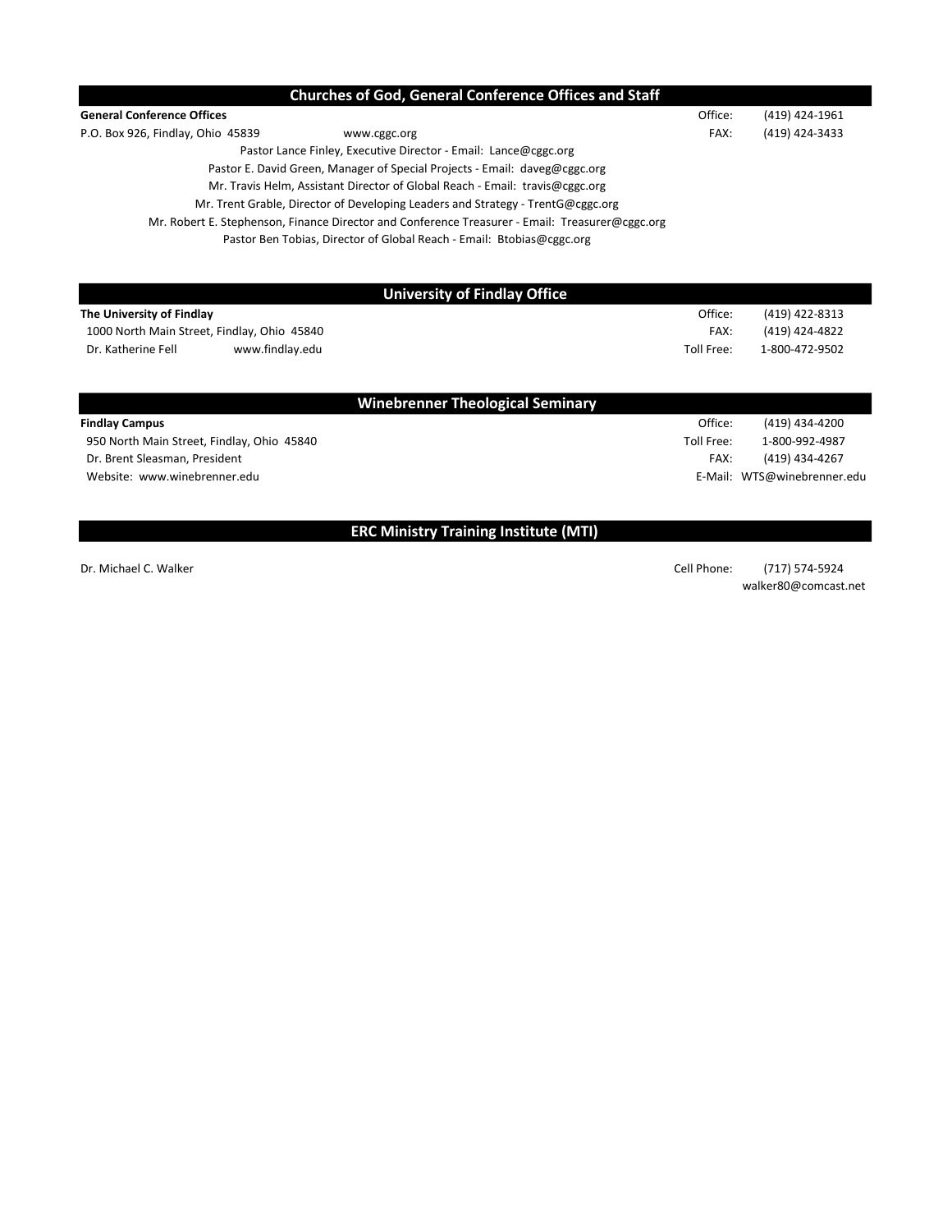| <b>Churches of God, General Conference Offices and Staff</b>                                    |            |                             |
|-------------------------------------------------------------------------------------------------|------------|-----------------------------|
| <b>General Conference Offices</b>                                                               | Office:    | (419) 424-1961              |
| P.O. Box 926, Findlay, Ohio 45839<br>www.cggc.org                                               | FAX:       | (419) 424-3433              |
| Pastor Lance Finley, Executive Director - Email: Lance@cggc.org                                 |            |                             |
| Pastor E. David Green, Manager of Special Projects - Email: daveg@cggc.org                      |            |                             |
| Mr. Travis Helm, Assistant Director of Global Reach - Email: travis@cggc.org                    |            |                             |
| Mr. Trent Grable, Director of Developing Leaders and Strategy - TrentG@cggc.org                 |            |                             |
| Mr. Robert E. Stephenson, Finance Director and Conference Treasurer - Email: Treasurer@cggc.org |            |                             |
| Pastor Ben Tobias, Director of Global Reach - Email: Btobias@cggc.org                           |            |                             |
| <b>University of Findlay Office</b>                                                             |            |                             |
| The University of Findlay                                                                       | Office:    | (419) 422-8313              |
| 1000 North Main Street, Findlay, Ohio 45840                                                     | FAX:       | (419) 424-4822              |
| Dr. Katherine Fell<br>www.findlay.edu                                                           | Toll Free: | 1-800-472-9502              |
| <b>Winebrenner Theological Seminary</b>                                                         |            |                             |
| <b>Findlay Campus</b>                                                                           | Office:    | (419) 434-4200              |
| 950 North Main Street, Findlay, Ohio 45840                                                      | Toll Free: | 1-800-992-4987              |
| Dr. Brent Sleasman, President                                                                   | FAX:       | (419) 434-4267              |
| Website: www.winebrenner.edu                                                                    |            | E-Mail: WTS@winebrenner.edu |

## ERC Ministry Training Institute (MTI)

Dr. Michael C. Walker (717) 574-5924 walker80@comcast.net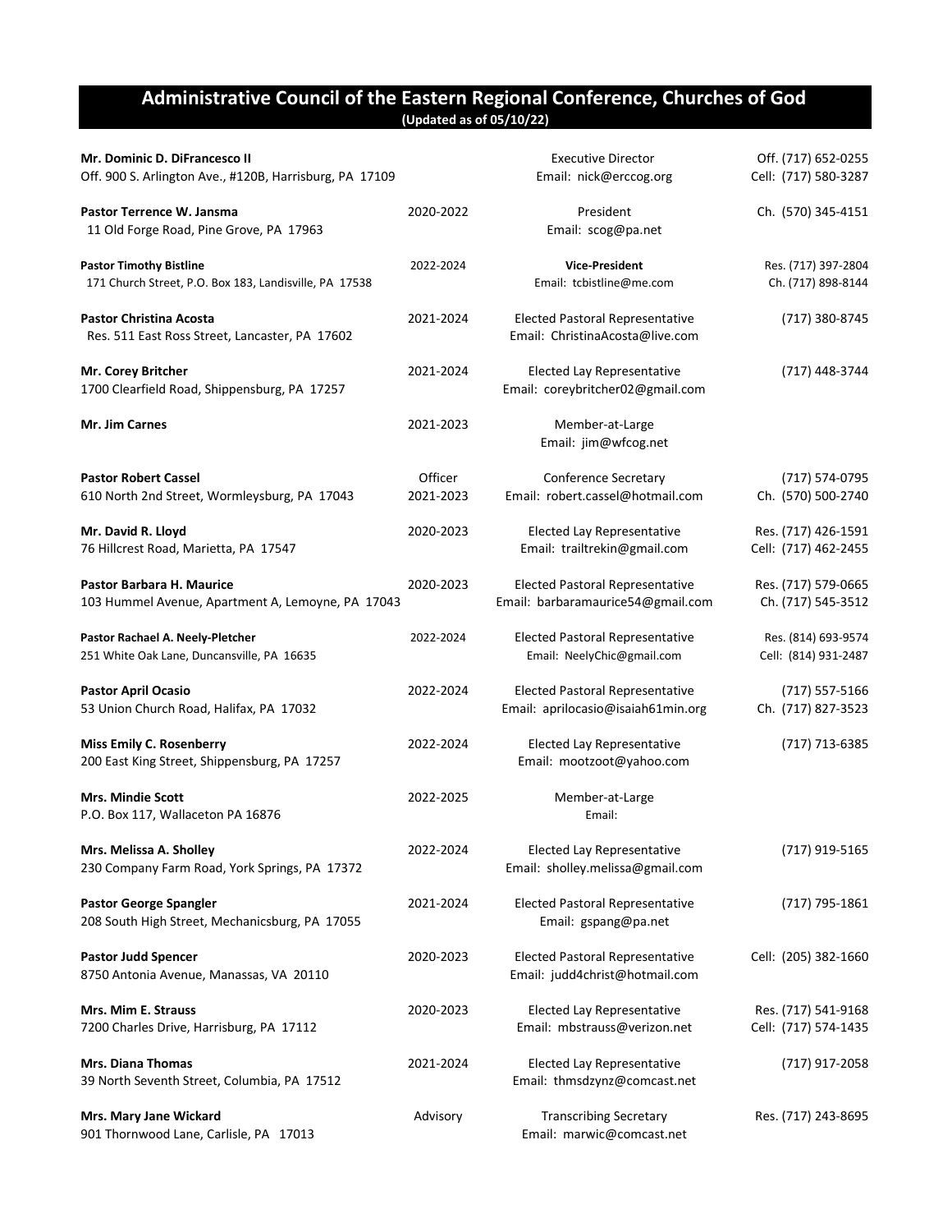### Administrative Council of the Eastern Regional Conference, Churches of God (Updated as of 05/10/22)

| Mr. Dominic D. DiFrancesco II<br>Off. 900 S. Arlington Ave., #120B, Harrisburg, PA 17109 |                             | <b>Executive Director</b><br>Email: nick@erccog.org                          | Off. (717) 652-0255<br>Cell: (717) 580-3287 |
|------------------------------------------------------------------------------------------|-----------------------------|------------------------------------------------------------------------------|---------------------------------------------|
| Pastor Terrence W. Jansma<br>11 Old Forge Road, Pine Grove, PA 17963                     | 2020-2022                   | President<br>Email: scog@pa.net                                              | Ch. (570) 345-4151                          |
| <b>Pastor Timothy Bistline</b><br>171 Church Street, P.O. Box 183, Landisville, PA 17538 | 2022-2024                   | <b>Vice-President</b><br>Email: tcbistline@me.com                            | Res. (717) 397-2804<br>Ch. (717) 898-8144   |
| <b>Pastor Christina Acosta</b><br>Res. 511 East Ross Street, Lancaster, PA 17602         | 2021-2024                   | <b>Elected Pastoral Representative</b><br>Email: ChristinaAcosta@live.com    | (717) 380-8745                              |
| Mr. Corey Britcher<br>1700 Clearfield Road, Shippensburg, PA 17257                       | 2021-2024                   | <b>Elected Lay Representative</b><br>Email: coreybritcher02@gmail.com        | (717) 448-3744                              |
| Mr. Jim Carnes                                                                           | 2021-2023                   | Member-at-Large<br>Email: jim@wfcog.net                                      |                                             |
| <b>Pastor Robert Cassel</b><br>610 North 2nd Street, Wormleysburg, PA 17043              | <b>Officer</b><br>2021-2023 | Conference Secretary<br>Email: robert.cassel@hotmail.com                     | (717) 574-0795<br>Ch. (570) 500-2740        |
| Mr. David R. Lloyd<br>76 Hillcrest Road, Marietta, PA 17547                              | 2020-2023                   | Elected Lay Representative<br>Email: trailtrekin@gmail.com                   | Res. (717) 426-1591<br>Cell: (717) 462-2455 |
| Pastor Barbara H. Maurice<br>103 Hummel Avenue, Apartment A, Lemoyne, PA 17043           | 2020-2023                   | <b>Elected Pastoral Representative</b><br>Email: barbaramaurice54@gmail.com  | Res. (717) 579-0665<br>Ch. (717) 545-3512   |
| Pastor Rachael A. Neely-Pletcher<br>251 White Oak Lane, Duncansville, PA 16635           | 2022-2024                   | <b>Elected Pastoral Representative</b><br>Email: NeelyChic@gmail.com         | Res. (814) 693-9574<br>Cell: (814) 931-2487 |
| <b>Pastor April Ocasio</b><br>53 Union Church Road, Halifax, PA 17032                    | 2022-2024                   | <b>Elected Pastoral Representative</b><br>Email: aprilocasio@isaiah61min.org | $(717) 557 - 5166$<br>Ch. (717) 827-3523    |
| <b>Miss Emily C. Rosenberry</b><br>200 East King Street, Shippensburg, PA 17257          | 2022-2024                   | <b>Elected Lay Representative</b><br>Email: mootzoot@yahoo.com               | (717) 713-6385                              |
| <b>Mrs. Mindie Scott</b><br>P.O. Box 117, Wallaceton PA 16876                            | 2022-2025                   | Member-at-Large<br>Email:                                                    |                                             |
| Mrs. Melissa A. Sholley<br>230 Company Farm Road, York Springs, PA 17372                 | 2022-2024                   | <b>Elected Lay Representative</b><br>Email: sholley.melissa@gmail.com        | (717) 919-5165                              |
| Pastor George Spangler<br>208 South High Street, Mechanicsburg, PA 17055                 | 2021-2024                   | <b>Elected Pastoral Representative</b><br>Email: gspang@pa.net               | (717) 795-1861                              |
| <b>Pastor Judd Spencer</b><br>8750 Antonia Avenue, Manassas, VA 20110                    | 2020-2023                   | <b>Elected Pastoral Representative</b><br>Email: judd4christ@hotmail.com     | Cell: (205) 382-1660                        |
| Mrs. Mim E. Strauss<br>7200 Charles Drive, Harrisburg, PA 17112                          | 2020-2023                   | <b>Elected Lay Representative</b><br>Email: mbstrauss@verizon.net            | Res. (717) 541-9168<br>Cell: (717) 574-1435 |
| <b>Mrs. Diana Thomas</b><br>39 North Seventh Street, Columbia, PA 17512                  | 2021-2024                   | <b>Elected Lay Representative</b><br>Email: thmsdzynz@comcast.net            | (717) 917-2058                              |
| Mrs. Mary Jane Wickard<br>901 Thornwood Lane, Carlisle, PA 17013                         | Advisory                    | <b>Transcribing Secretary</b><br>Email: marwic@comcast.net                   | Res. (717) 243-8695                         |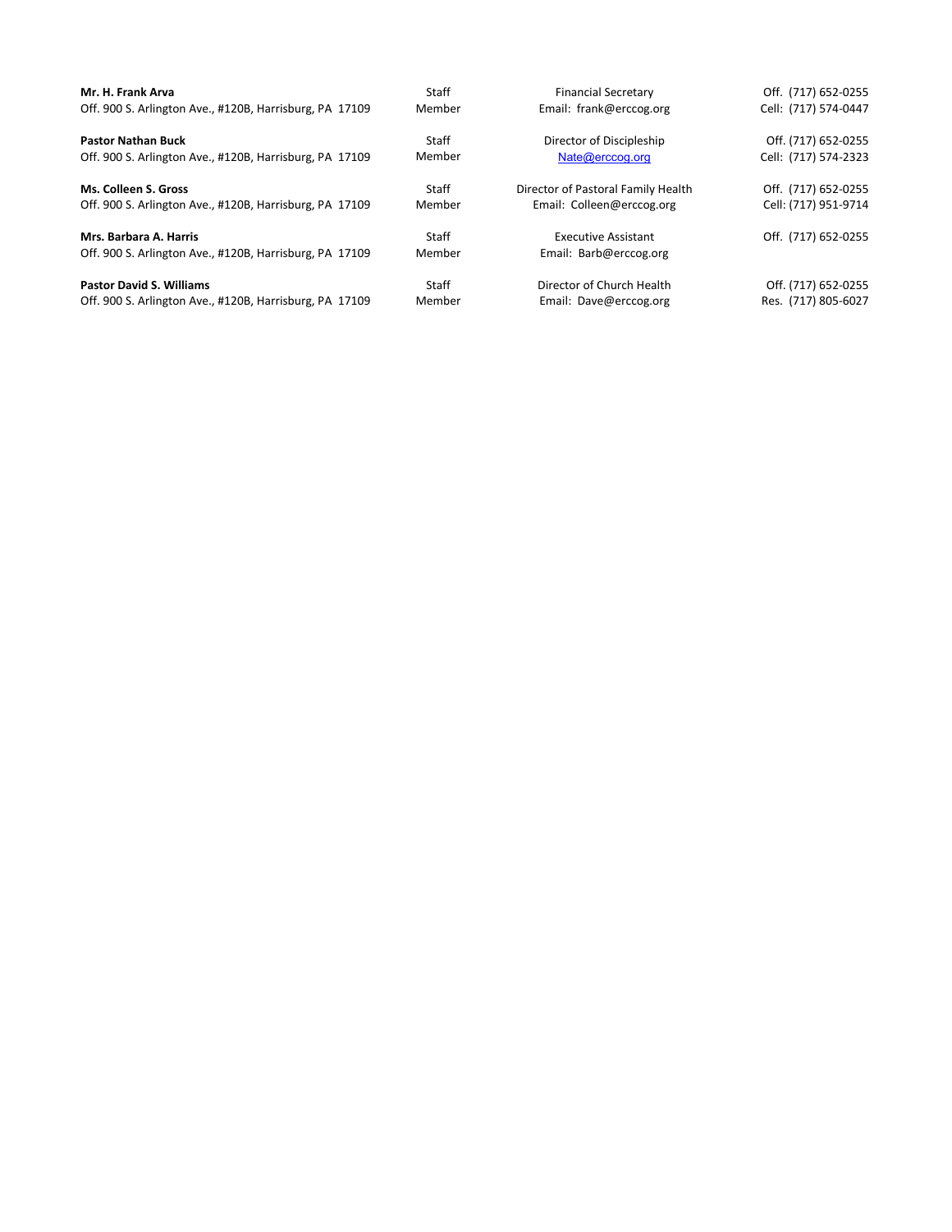| Mr. H. Frank Arva                                       | Staff  | <b>Financial Secretary</b>         | Off. (717) 652-0255  |
|---------------------------------------------------------|--------|------------------------------------|----------------------|
| Off. 900 S. Arlington Ave., #120B, Harrisburg, PA 17109 | Member | Email: frank@erccog.org            | Cell: (717) 574-0447 |
| <b>Pastor Nathan Buck</b>                               | Staff  | Director of Discipleship           | Off. (717) 652-0255  |
| Off. 900 S. Arlington Ave., #120B, Harrisburg, PA 17109 | Member | Nate@erccog.org                    | Cell: (717) 574-2323 |
| Ms. Colleen S. Gross                                    | Staff  | Director of Pastoral Family Health | Off. (717) 652-0255  |
| Off. 900 S. Arlington Ave., #120B, Harrisburg, PA 17109 | Member | Email: Colleen@erccog.org          | Cell: (717) 951-9714 |
| Mrs. Barbara A. Harris                                  | Staff  | <b>Executive Assistant</b>         | Off. (717) 652-0255  |
| Off. 900 S. Arlington Ave., #120B, Harrisburg, PA 17109 | Member | Email: Barb@erccog.org             |                      |
| <b>Pastor David S. Williams</b>                         | Staff  | Director of Church Health          | Off. (717) 652-0255  |
| Off. 900 S. Arlington Ave., #120B, Harrisburg, PA 17109 | Member | Email: Dave@erccog.org             | Res. (717) 805-6027  |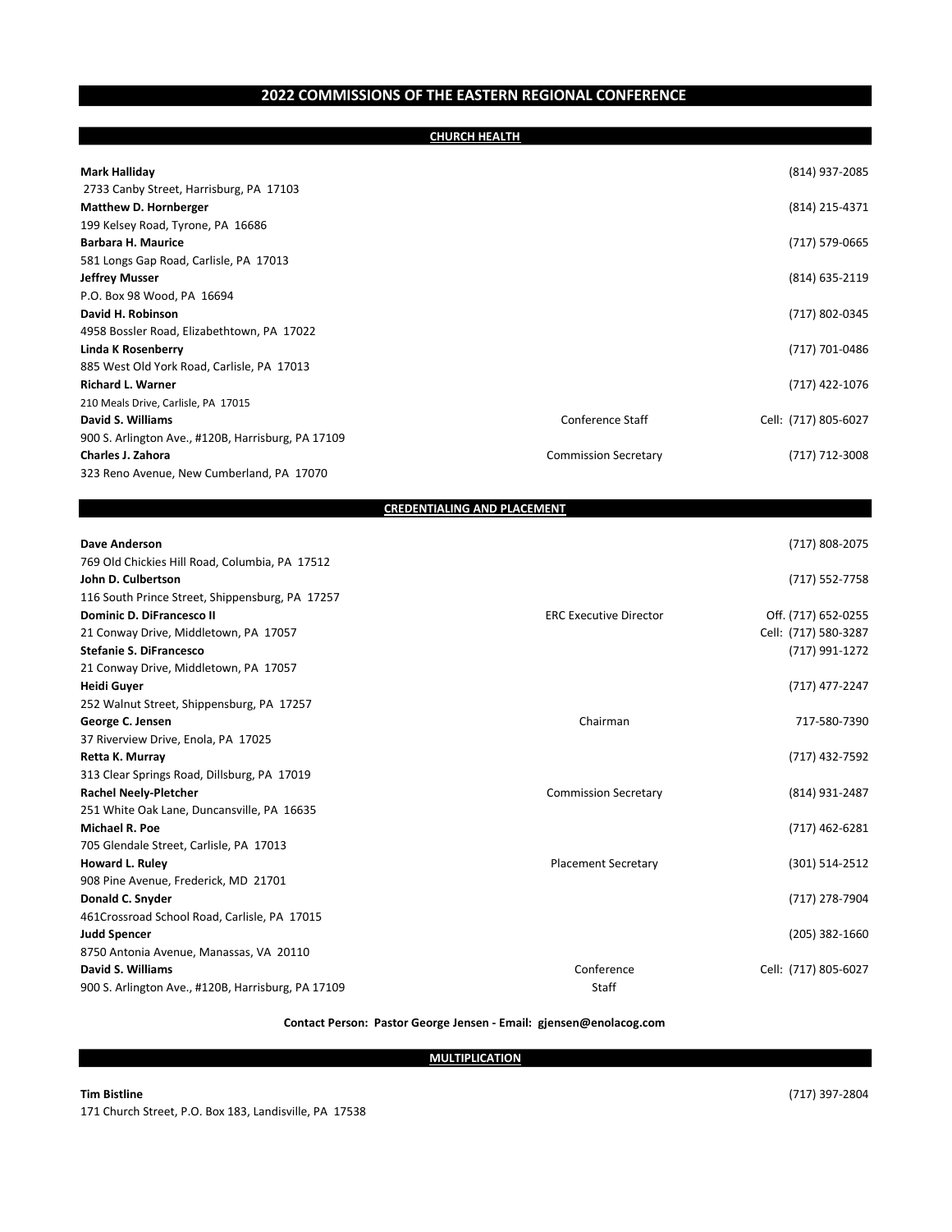### 2022 COMMISSIONS OF THE EASTERN REGIONAL CONFERENCE

|                                                    | <b>CHURCH HEALTH</b>               |                      |
|----------------------------------------------------|------------------------------------|----------------------|
|                                                    |                                    |                      |
| Mark Halliday                                      |                                    | (814) 937-2085       |
| 2733 Canby Street, Harrisburg, PA 17103            |                                    |                      |
| <b>Matthew D. Hornberger</b>                       |                                    | (814) 215-4371       |
| 199 Kelsey Road, Tyrone, PA 16686                  |                                    |                      |
| <b>Barbara H. Maurice</b>                          |                                    | (717) 579-0665       |
| 581 Longs Gap Road, Carlisle, PA 17013             |                                    |                      |
| Jeffrey Musser                                     |                                    | (814) 635-2119       |
| P.O. Box 98 Wood, PA 16694                         |                                    |                      |
| David H. Robinson                                  |                                    | (717) 802-0345       |
| 4958 Bossler Road, Elizabethtown, PA 17022         |                                    |                      |
| Linda K Rosenberry                                 |                                    | (717) 701-0486       |
| 885 West Old York Road, Carlisle, PA 17013         |                                    |                      |
| Richard L. Warner                                  |                                    | (717) 422-1076       |
| 210 Meals Drive, Carlisle, PA 17015                |                                    |                      |
| David S. Williams                                  | Conference Staff                   | Cell: (717) 805-6027 |
| 900 S. Arlington Ave., #120B, Harrisburg, PA 17109 |                                    |                      |
| Charles J. Zahora                                  | <b>Commission Secretary</b>        | (717) 712-3008       |
| 323 Reno Avenue, New Cumberland, PA 17070          |                                    |                      |
|                                                    |                                    |                      |
|                                                    | <b>CREDENTIALING AND PLACEMENT</b> |                      |
| Dave Anderson                                      |                                    | (717) 808-2075       |
| 769 Old Chickies Hill Road, Columbia, PA 17512     |                                    |                      |
| John D. Culbertson                                 |                                    | (717) 552-7758       |
| 116 South Prince Street, Shippensburg, PA 17257    |                                    |                      |
| Dominic D. DiFrancesco II                          | <b>ERC Executive Director</b>      | Off. (717) 652-0255  |
| 21 Conway Drive, Middletown, PA 17057              |                                    | Cell: (717) 580-3287 |
| <b>Stefanie S. DiFrancesco</b>                     |                                    | (717) 991-1272       |
| 21 Conway Drive, Middletown, PA 17057              |                                    |                      |
| Heidi Guyer                                        |                                    | (717) 477-2247       |
| 252 Walnut Street, Shippensburg, PA 17257          |                                    |                      |
| George C. Jensen                                   | Chairman                           | 717-580-7390         |
| 37 Riverview Drive, Enola, PA 17025                |                                    |                      |
| Retta K. Murray                                    |                                    | (717) 432-7592       |
| 313 Clear Springs Road, Dillsburg, PA 17019        |                                    |                      |
| <b>Rachel Neely-Pletcher</b>                       | <b>Commission Secretary</b>        | (814) 931-2487       |
| 251 White Oak Lane, Duncansville, PA 16635         |                                    |                      |
| Michael R. Poe                                     |                                    | (717) 462-6281       |
| 705 Glendale Street, Carlisle, PA 17013            |                                    |                      |
| <b>Howard L. Ruley</b>                             | <b>Placement Secretary</b>         | (301) 514-2512       |
| 908 Pine Avenue, Frederick, MD 21701               |                                    |                      |
| Donald C. Snyder                                   |                                    | (717) 278-7904       |
| 461Crossroad School Road, Carlisle, PA 17015       |                                    |                      |
| Judd Spencer                                       |                                    | $(205)$ 382-1660     |
| 8750 Antonia Avenue, Manassas, VA 20110            |                                    |                      |
| David S. Williams                                  | Conference                         | Cell: (717) 805-6027 |
| 900 S. Arlington Ave., #120B, Harrisburg, PA 17109 | Staff                              |                      |
|                                                    |                                    |                      |

#### Contact Person: Pastor George Jensen - Email: gjensen@enolacog.com

### **MULTIPLICATION**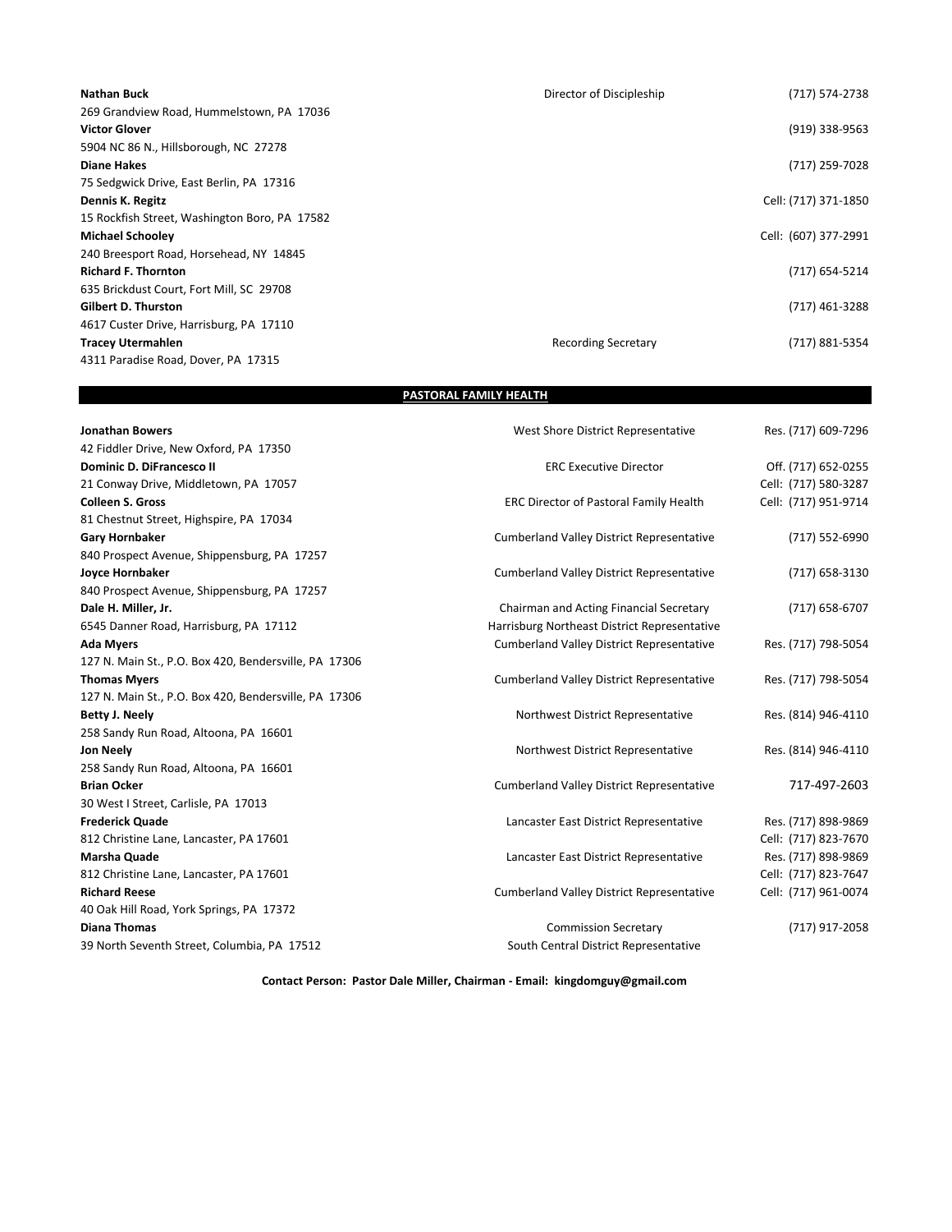| <b>Nathan Buck</b>                            | Director of Discipleship   | (717) 574-2738       |
|-----------------------------------------------|----------------------------|----------------------|
| 269 Grandview Road, Hummelstown, PA 17036     |                            |                      |
| <b>Victor Glover</b>                          |                            | (919) 338-9563       |
| 5904 NC 86 N., Hillsborough, NC 27278         |                            |                      |
| <b>Diane Hakes</b>                            |                            | (717) 259-7028       |
| 75 Sedgwick Drive, East Berlin, PA 17316      |                            |                      |
| Dennis K. Regitz                              |                            | Cell: (717) 371-1850 |
| 15 Rockfish Street, Washington Boro, PA 17582 |                            |                      |
| <b>Michael Schooley</b>                       |                            | Cell: (607) 377-2991 |
| 240 Breesport Road, Horsehead, NY 14845       |                            |                      |
| <b>Richard F. Thornton</b>                    |                            | (717) 654-5214       |
| 635 Brickdust Court, Fort Mill, SC 29708      |                            |                      |
| <b>Gilbert D. Thurston</b>                    |                            | (717) 461-3288       |
| 4617 Custer Drive, Harrisburg, PA 17110       |                            |                      |
| <b>Tracey Utermahlen</b>                      | <b>Recording Secretary</b> | (717) 881-5354       |
| 4311 Paradise Road, Dover, PA 17315           |                            |                      |

### PASTORAL FAMILY HEALTH

| <b>Jonathan Bowers</b>                                | West Shore District Representative               | Res. (717) 609-7296  |
|-------------------------------------------------------|--------------------------------------------------|----------------------|
| 42 Fiddler Drive, New Oxford, PA 17350                |                                                  |                      |
| <b>Dominic D. DiFrancesco II</b>                      | <b>ERC Executive Director</b>                    | Off. (717) 652-0255  |
| 21 Conway Drive, Middletown, PA 17057                 |                                                  | Cell: (717) 580-3287 |
| <b>Colleen S. Gross</b>                               | <b>ERC Director of Pastoral Family Health</b>    | Cell: (717) 951-9714 |
| 81 Chestnut Street, Highspire, PA 17034               |                                                  |                      |
| <b>Gary Hornbaker</b>                                 | <b>Cumberland Valley District Representative</b> | (717) 552-6990       |
| 840 Prospect Avenue, Shippensburg, PA 17257           |                                                  |                      |
| Joyce Hornbaker                                       | <b>Cumberland Valley District Representative</b> | (717) 658-3130       |
| 840 Prospect Avenue, Shippensburg, PA 17257           |                                                  |                      |
| Dale H. Miller, Jr.                                   | Chairman and Acting Financial Secretary          | $(717)$ 658-6707     |
| 6545 Danner Road, Harrisburg, PA 17112                | Harrisburg Northeast District Representative     |                      |
| <b>Ada Myers</b>                                      | <b>Cumberland Valley District Representative</b> | Res. (717) 798-5054  |
| 127 N. Main St., P.O. Box 420, Bendersville, PA 17306 |                                                  |                      |
| <b>Thomas Myers</b>                                   | <b>Cumberland Valley District Representative</b> | Res. (717) 798-5054  |
| 127 N. Main St., P.O. Box 420, Bendersville, PA 17306 |                                                  |                      |
| <b>Betty J. Neely</b>                                 | Northwest District Representative                | Res. (814) 946-4110  |
| 258 Sandy Run Road, Altoona, PA 16601                 |                                                  |                      |
| <b>Jon Neely</b>                                      | Northwest District Representative                | Res. (814) 946-4110  |
| 258 Sandy Run Road, Altoona, PA 16601                 |                                                  |                      |
| <b>Brian Ocker</b>                                    | <b>Cumberland Valley District Representative</b> | 717-497-2603         |
| 30 West I Street, Carlisle, PA 17013                  |                                                  |                      |
| <b>Frederick Quade</b>                                | Lancaster East District Representative           | Res. (717) 898-9869  |
| 812 Christine Lane, Lancaster, PA 17601               |                                                  | Cell: (717) 823-7670 |
| <b>Marsha Quade</b>                                   | Lancaster East District Representative           | Res. (717) 898-9869  |
| 812 Christine Lane, Lancaster, PA 17601               |                                                  | Cell: (717) 823-7647 |
| <b>Richard Reese</b>                                  | <b>Cumberland Valley District Representative</b> | Cell: (717) 961-0074 |
| 40 Oak Hill Road, York Springs, PA 17372              |                                                  |                      |
| <b>Diana Thomas</b>                                   | <b>Commission Secretary</b>                      | (717) 917-2058       |
| 39 North Seventh Street, Columbia, PA 17512           | South Central District Representative            |                      |

Contact Person: Pastor Dale Miller, Chairman - Email: kingdomguy@gmail.com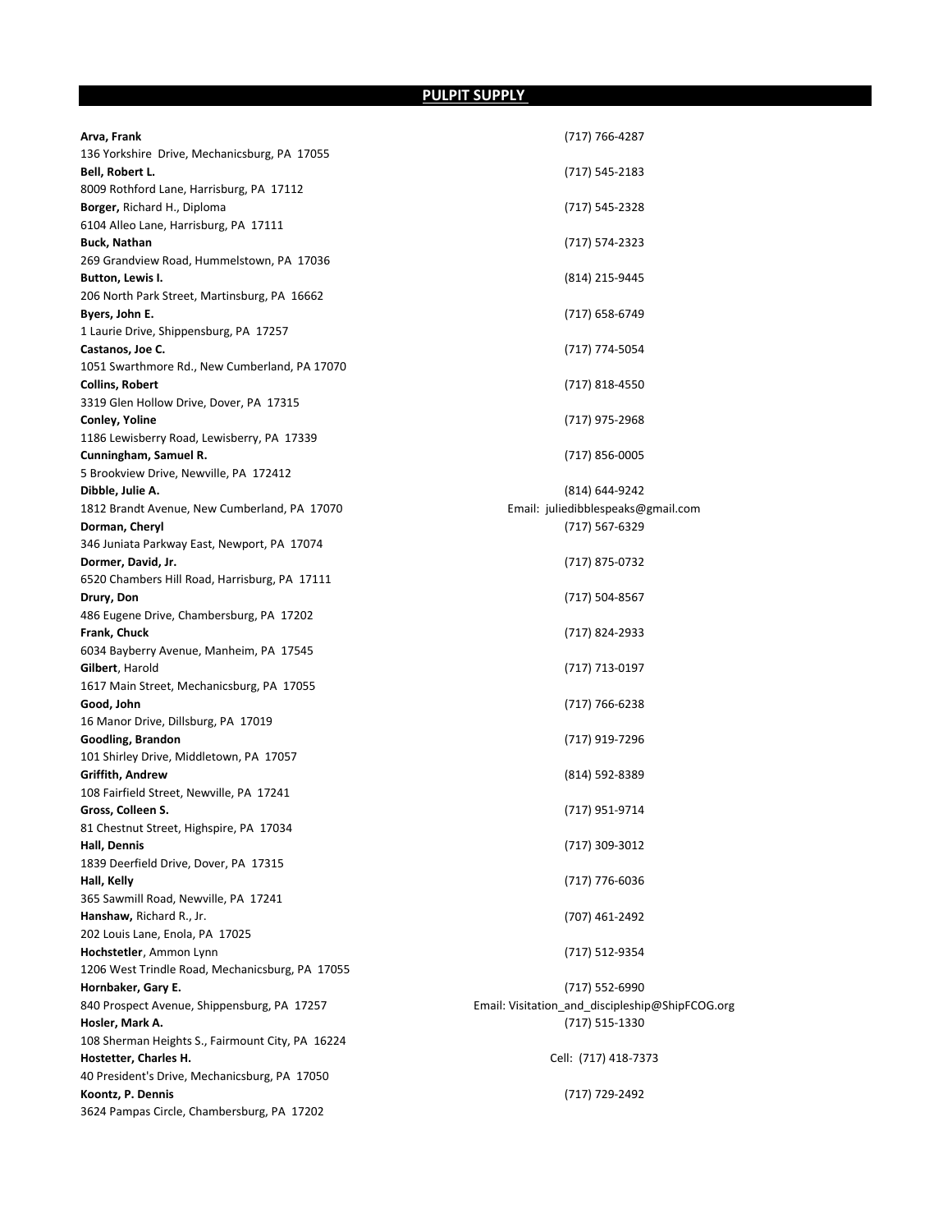## PULPIT SUPPLY

| Arva, Frank                                      | (717) 766-4287                                  |
|--------------------------------------------------|-------------------------------------------------|
| 136 Yorkshire Drive, Mechanicsburg, PA 17055     |                                                 |
| Bell, Robert L.                                  | (717) 545-2183                                  |
| 8009 Rothford Lane, Harrisburg, PA 17112         |                                                 |
| <b>Borger, Richard H., Diploma</b>               | (717) 545-2328                                  |
| 6104 Alleo Lane, Harrisburg, PA 17111            |                                                 |
| Buck, Nathan                                     | (717) 574-2323                                  |
| 269 Grandview Road, Hummelstown, PA 17036        |                                                 |
| Button, Lewis I.                                 | (814) 215-9445                                  |
| 206 North Park Street, Martinsburg, PA 16662     |                                                 |
| Byers, John E.                                   | (717) 658-6749                                  |
| 1 Laurie Drive, Shippensburg, PA 17257           |                                                 |
| Castanos, Joe C.                                 | (717) 774-5054                                  |
| 1051 Swarthmore Rd., New Cumberland, PA 17070    |                                                 |
|                                                  |                                                 |
| Collins, Robert                                  | (717) 818-4550                                  |
| 3319 Glen Hollow Drive, Dover, PA 17315          |                                                 |
| Conley, Yoline                                   | (717) 975-2968                                  |
| 1186 Lewisberry Road, Lewisberry, PA 17339       |                                                 |
| Cunningham, Samuel R.                            | (717) 856-0005                                  |
| 5 Brookview Drive, Newville, PA 172412           |                                                 |
| Dibble, Julie A.                                 | (814) 644-9242                                  |
| 1812 Brandt Avenue, New Cumberland, PA 17070     | Email: juliedibblespeaks@gmail.com              |
| Dorman, Cheryl                                   | (717) 567-6329                                  |
| 346 Juniata Parkway East, Newport, PA 17074      |                                                 |
| Dormer, David, Jr.                               | (717) 875-0732                                  |
| 6520 Chambers Hill Road, Harrisburg, PA 17111    |                                                 |
| Drury, Don                                       | (717) 504-8567                                  |
| 486 Eugene Drive, Chambersburg, PA 17202         |                                                 |
| Frank, Chuck                                     | (717) 824-2933                                  |
| 6034 Bayberry Avenue, Manheim, PA 17545          |                                                 |
| <b>Gilbert</b> , Harold                          | (717) 713-0197                                  |
| 1617 Main Street, Mechanicsburg, PA 17055        |                                                 |
| Good, John                                       | (717) 766-6238                                  |
| 16 Manor Drive, Dillsburg, PA 17019              |                                                 |
|                                                  |                                                 |
| Goodling, Brandon                                | (717) 919-7296                                  |
| 101 Shirley Drive, Middletown, PA 17057          |                                                 |
| Griffith, Andrew                                 | (814) 592-8389                                  |
| 108 Fairfield Street, Newville, PA 17241         |                                                 |
| Gross, Colleen S.                                | (717) 951-9714                                  |
| 81 Chestnut Street, Highspire, PA 17034          |                                                 |
| Hall, Dennis                                     | (717) 309-3012                                  |
| 1839 Deerfield Drive, Dover, PA 17315            |                                                 |
| Hall, Kelly                                      | (717) 776-6036                                  |
| 365 Sawmill Road, Newville, PA 17241             |                                                 |
| Hanshaw, Richard R., Jr.                         | (707) 461-2492                                  |
| 202 Louis Lane, Enola, PA 17025                  |                                                 |
| Hochstetler, Ammon Lynn                          | (717) 512-9354                                  |
| 1206 West Trindle Road, Mechanicsburg, PA 17055  |                                                 |
| Hornbaker, Gary E.                               | (717) 552-6990                                  |
| 840 Prospect Avenue, Shippensburg, PA 17257      | Email: Visitation_and_discipleship@ShipFCOG.org |
| Hosler, Mark A.                                  | (717) 515-1330                                  |
| 108 Sherman Heights S., Fairmount City, PA 16224 |                                                 |
| Hostetter, Charles H.                            | Cell: (717) 418-7373                            |
| 40 President's Drive, Mechanicsburg, PA 17050    |                                                 |
| Koontz, P. Dennis                                |                                                 |
|                                                  | (717) 729-2492                                  |
| 3624 Pampas Circle, Chambersburg, PA 17202       |                                                 |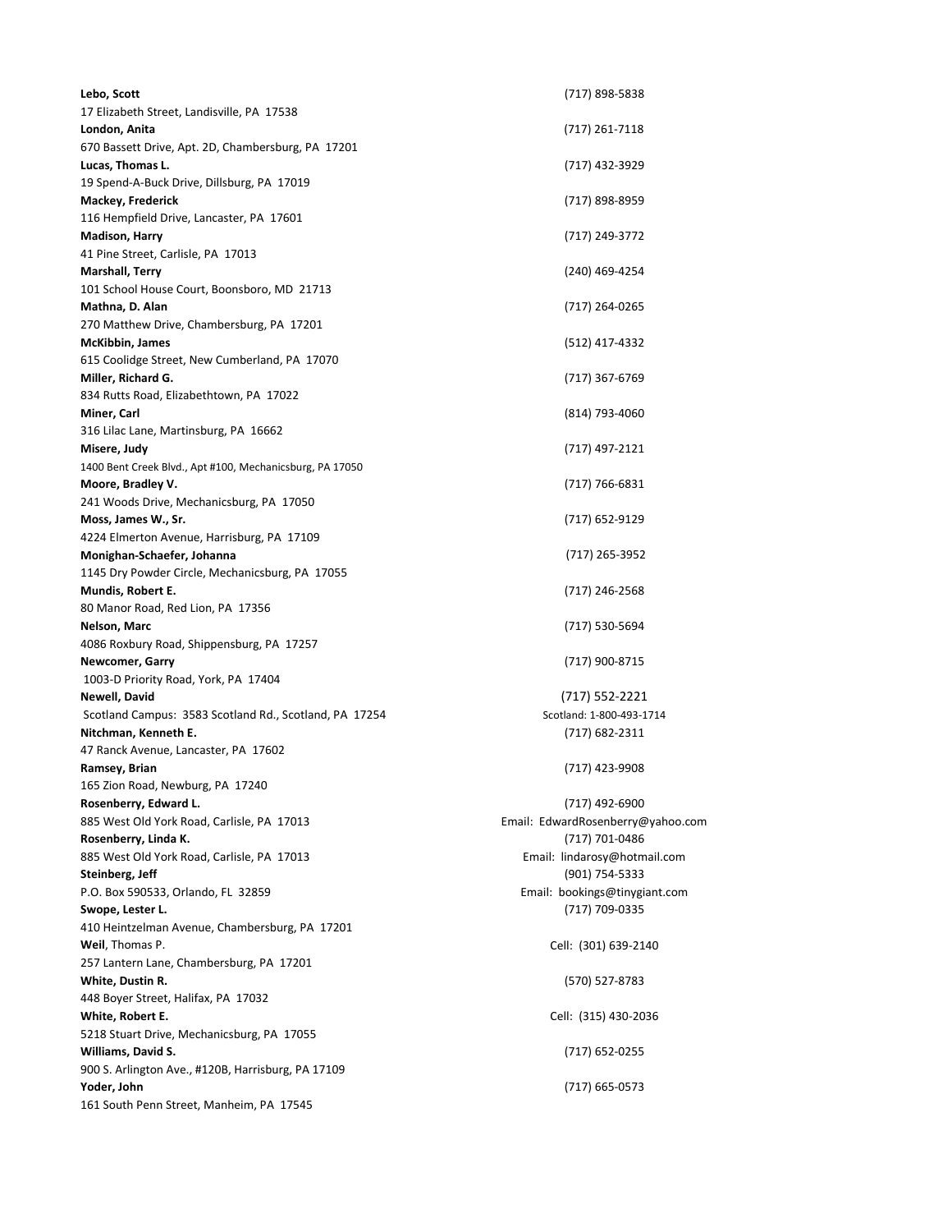| Lebo, Scott<br>17 Elizabeth Street, Landisville, PA 17538 | (717) 898-5838                    |
|-----------------------------------------------------------|-----------------------------------|
| London, Anita                                             | (717) 261-7118                    |
| 670 Bassett Drive, Apt. 2D, Chambersburg, PA 17201        |                                   |
| Lucas, Thomas L.                                          | (717) 432-3929                    |
| 19 Spend-A-Buck Drive, Dillsburg, PA 17019                |                                   |
| Mackey, Frederick                                         | (717) 898-8959                    |
| 116 Hempfield Drive, Lancaster, PA 17601                  |                                   |
| <b>Madison, Harry</b>                                     | (717) 249-3772                    |
| 41 Pine Street, Carlisle, PA 17013                        |                                   |
| Marshall, Terry                                           | (240) 469-4254                    |
| 101 School House Court, Boonsboro, MD 21713               |                                   |
| Mathna, D. Alan                                           | (717) 264-0265                    |
| 270 Matthew Drive, Chambersburg, PA 17201                 |                                   |
| <b>McKibbin, James</b>                                    | (512) 417-4332                    |
| 615 Coolidge Street, New Cumberland, PA 17070             |                                   |
| Miller, Richard G.                                        | (717) 367-6769                    |
| 834 Rutts Road, Elizabethtown, PA 17022                   |                                   |
| Miner, Carl                                               | (814) 793-4060                    |
| 316 Lilac Lane, Martinsburg, PA 16662                     |                                   |
| Misere, Judy                                              | (717) 497-2121                    |
| 1400 Bent Creek Blvd., Apt #100, Mechanicsburg, PA 17050  |                                   |
| Moore, Bradley V.                                         | (717) 766-6831                    |
| 241 Woods Drive, Mechanicsburg, PA 17050                  |                                   |
| Moss, James W., Sr.                                       | (717) 652-9129                    |
| 4224 Elmerton Avenue, Harrisburg, PA 17109                |                                   |
| Monighan-Schaefer, Johanna                                | (717) 265-3952                    |
| 1145 Dry Powder Circle, Mechanicsburg, PA 17055           |                                   |
| Mundis, Robert E.                                         | (717) 246-2568                    |
| 80 Manor Road, Red Lion, PA 17356                         |                                   |
| Nelson, Marc                                              | (717) 530-5694                    |
| 4086 Roxbury Road, Shippensburg, PA 17257                 |                                   |
| Newcomer, Garry                                           | (717) 900-8715                    |
| 1003-D Priority Road, York, PA 17404                      |                                   |
| Newell, David                                             | $(717) 552 - 2221$                |
| Scotland Campus: 3583 Scotland Rd., Scotland, PA 17254    | Scotland: 1-800-493-1714          |
| Nitchman, Kenneth E.                                      | (717) 682-2311                    |
| 47 Ranck Avenue, Lancaster, PA 17602                      |                                   |
| Ramsey, Brian                                             | (717) 423-9908                    |
| 165 Zion Road, Newburg, PA 17240                          |                                   |
| Rosenberry, Edward L.                                     | (717) 492-6900                    |
| 885 West Old York Road, Carlisle, PA 17013                | Email: EdwardRosenberry@yahoo.com |
| Rosenberry, Linda K.                                      | (717) 701-0486                    |
| 885 West Old York Road, Carlisle, PA 17013                | Email: lindarosy@hotmail.com      |
| Steinberg, Jeff                                           | (901) 754-5333                    |
| P.O. Box 590533, Orlando, FL 32859                        | Email: bookings@tinygiant.com     |
| Swope, Lester L.                                          | (717) 709-0335                    |
| 410 Heintzelman Avenue, Chambersburg, PA 17201            |                                   |
| Weil, Thomas P.                                           | Cell: (301) 639-2140              |
| 257 Lantern Lane, Chambersburg, PA 17201                  |                                   |
| White, Dustin R.                                          | (570) 527-8783                    |
| 448 Boyer Street, Halifax, PA 17032                       |                                   |
| White, Robert E.                                          | Cell: (315) 430-2036              |
| 5218 Stuart Drive, Mechanicsburg, PA 17055                |                                   |
| Williams, David S.                                        | (717) 652-0255                    |
| 900 S. Arlington Ave., #120B, Harrisburg, PA 17109        |                                   |
| Yoder, John                                               | (717) 665-0573                    |
| 161 South Penn Street, Manheim, PA 17545                  |                                   |